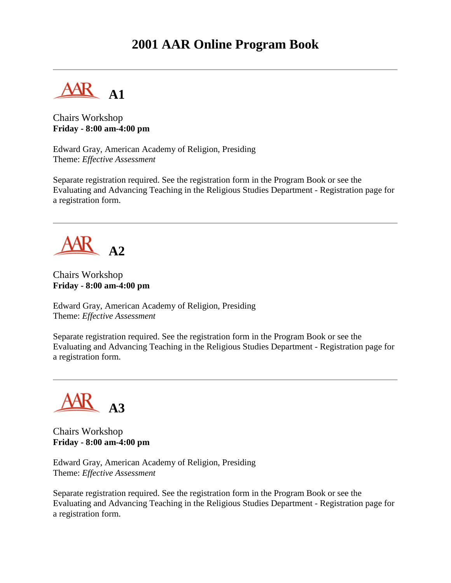### **2001 AAR Online Program Book**

**A1**

Chairs Workshop **Friday - 8:00 am-4:00 pm**

Edward Gray, American Academy of Religion, Presiding Theme: *Effective Assessment*

Separate registration required. See the registration form in the Program Book or see the Evaluating and Advancing Teaching in the Religious Studies Department - Registration page for a registration form.



Chairs Workshop **Friday - 8:00 am-4:00 pm**

Edward Gray, American Academy of Religion, Presiding Theme: *Effective Assessment*

Separate registration required. See the registration form in the Program Book or see the Evaluating and Advancing Teaching in the Religious Studies Department - Registration page for a registration form.



Chairs Workshop **Friday - 8:00 am-4:00 pm**

Edward Gray, American Academy of Religion, Presiding Theme: *Effective Assessment*

Separate registration required. See the registration form in the Program Book or see the Evaluating and Advancing Teaching in the Religious Studies Department - Registration page for a registration form.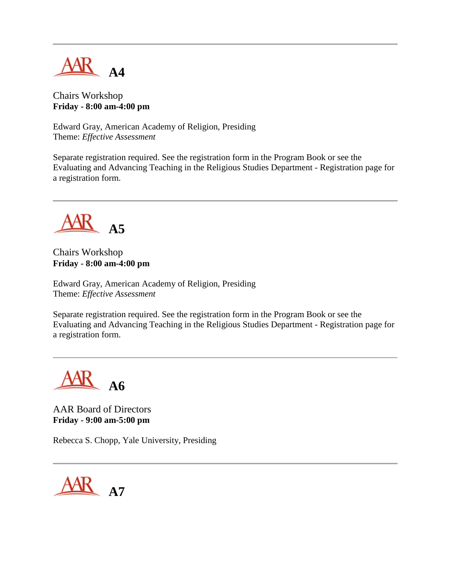

Chairs Workshop **Friday - 8:00 am-4:00 pm**

Edward Gray, American Academy of Religion, Presiding Theme: *Effective Assessment*

Separate registration required. See the registration form in the Program Book or see the Evaluating and Advancing Teaching in the Religious Studies Department - Registration page for a registration form.



Chairs Workshop **Friday - 8:00 am-4:00 pm**

Edward Gray, American Academy of Religion, Presiding Theme: *Effective Assessment*

Separate registration required. See the registration form in the Program Book or see the Evaluating and Advancing Teaching in the Religious Studies Department - Registration page for a registration form.

**A6**

AAR Board of Directors **Friday - 9:00 am-5:00 pm**

Rebecca S. Chopp, Yale University, Presiding

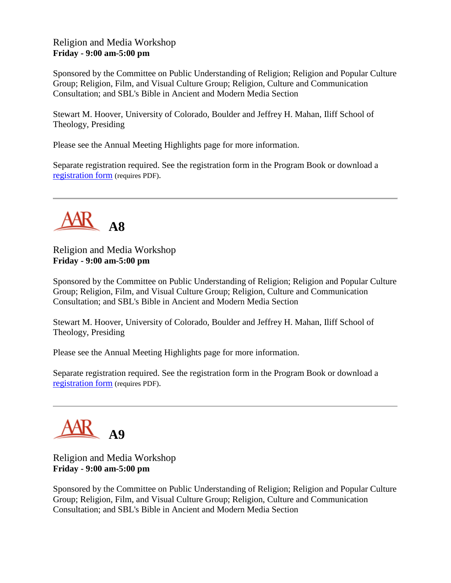#### Religion and Media Workshop **Friday - 9:00 am-5:00 pm**

Sponsored by the Committee on Public Understanding of Religion; Religion and Popular Culture Group; Religion, Film, and Visual Culture Group; Religion, Culture and Communication Consultation; and SBL's Bible in Ancient and Modern Media Section

Stewart M. Hoover, University of Colorado, Boulder and Jeffrey H. Mahan, Iliff School of Theology, Presiding

Please see the Annual Meeting Highlights page for more information.

Separate registration required. See the registration form in the Program Book or download a [registration form](http://www.aarweb.org/Meetings/Annual_Meeting/Past_Meetings/2001/Reg-A7-A11.PDF) (requires PDF).



Religion and Media Workshop **Friday - 9:00 am-5:00 pm**

Sponsored by the Committee on Public Understanding of Religion; Religion and Popular Culture Group; Religion, Film, and Visual Culture Group; Religion, Culture and Communication Consultation; and SBL's Bible in Ancient and Modern Media Section

Stewart M. Hoover, University of Colorado, Boulder and Jeffrey H. Mahan, Iliff School of Theology, Presiding

Please see the Annual Meeting Highlights page for more information.

Separate registration required. See the registration form in the Program Book or download a [registration form](http://www.aarweb.org/Meetings/Annual_Meeting/Past_Meetings/2001/Reg-A7-A11.PDF) (requires PDF).



Religion and Media Workshop **Friday - 9:00 am-5:00 pm**

Sponsored by the Committee on Public Understanding of Religion; Religion and Popular Culture Group; Religion, Film, and Visual Culture Group; Religion, Culture and Communication Consultation; and SBL's Bible in Ancient and Modern Media Section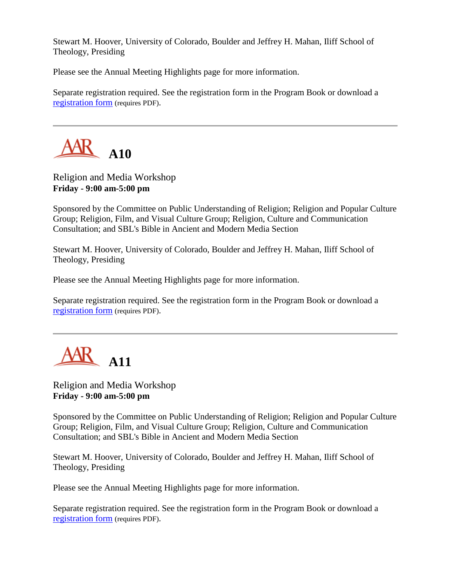Stewart M. Hoover, University of Colorado, Boulder and Jeffrey H. Mahan, Iliff School of Theology, Presiding

Please see the Annual Meeting Highlights page for more information.

Separate registration required. See the registration form in the Program Book or download a [registration form](http://www.aarweb.org/Meetings/Annual_Meeting/Past_Meetings/2001/Reg-A7-A11.PDF) (requires PDF).



#### Religion and Media Workshop **Friday - 9:00 am-5:00 pm**

Sponsored by the Committee on Public Understanding of Religion; Religion and Popular Culture Group; Religion, Film, and Visual Culture Group; Religion, Culture and Communication Consultation; and SBL's Bible in Ancient and Modern Media Section

Stewart M. Hoover, University of Colorado, Boulder and Jeffrey H. Mahan, Iliff School of Theology, Presiding

Please see the Annual Meeting Highlights page for more information.

Separate registration required. See the registration form in the Program Book or download a [registration form](http://www.aarweb.org/Meetings/Annual_Meeting/Past_Meetings/2001/Reg-A7-A11.PDF) (requires PDF).



#### Religion and Media Workshop **Friday - 9:00 am-5:00 pm**

Sponsored by the Committee on Public Understanding of Religion; Religion and Popular Culture Group; Religion, Film, and Visual Culture Group; Religion, Culture and Communication Consultation; and SBL's Bible in Ancient and Modern Media Section

Stewart M. Hoover, University of Colorado, Boulder and Jeffrey H. Mahan, Iliff School of Theology, Presiding

Please see the Annual Meeting Highlights page for more information.

Separate registration required. See the registration form in the Program Book or download a [registration form](http://www.aarweb.org/Meetings/Annual_Meeting/Past_Meetings/2001/Reg-A7-A11.PDF) (requires PDF).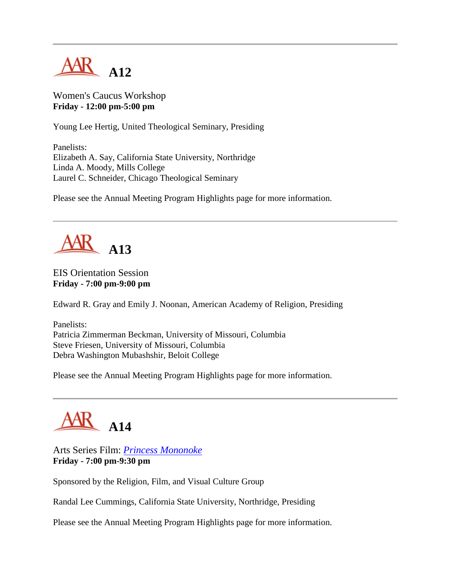

Women's Caucus Workshop **Friday - 12:00 pm-5:00 pm**

Young Lee Hertig, United Theological Seminary, Presiding

Panelists: Elizabeth A. Say, California State University, Northridge Linda A. Moody, Mills College Laurel C. Schneider, Chicago Theological Seminary

Please see the Annual Meeting Program Highlights page for more information.



#### EIS Orientation Session **Friday - 7:00 pm-9:00 pm**

Edward R. Gray and Emily J. Noonan, American Academy of Religion, Presiding

Panelists: Patricia Zimmerman Beckman, University of Missouri, Columbia Steve Friesen, University of Missouri, Columbia Debra Washington Mubashshir, Beloit College

Please see the Annual Meeting Program Highlights page for more information.



Arts Series Film: *[Princess Mononoke](http://www.princessmononoke.com/)* **Friday - 7:00 pm-9:30 pm**

Sponsored by the Religion, Film, and Visual Culture Group

Randal Lee Cummings, California State University, Northridge, Presiding

Please see the Annual Meeting Program Highlights page for more information.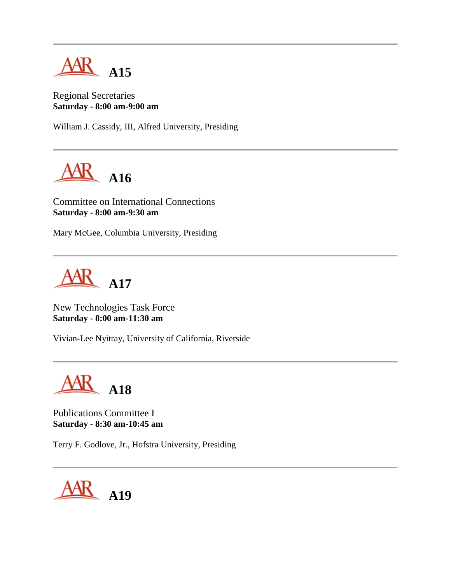

Regional Secretaries **Saturday - 8:00 am-9:00 am**

William J. Cassidy, III, Alfred University, Presiding



Committee on International Connections **Saturday - 8:00 am-9:30 am**

Mary McGee, Columbia University, Presiding



New Technologies Task Force **Saturday - 8:00 am-11:30 am**

Vivian-Lee Nyitray, University of California, Riverside



Publications Committee I **Saturday - 8:30 am-10:45 am**

Terry F. Godlove, Jr., Hofstra University, Presiding

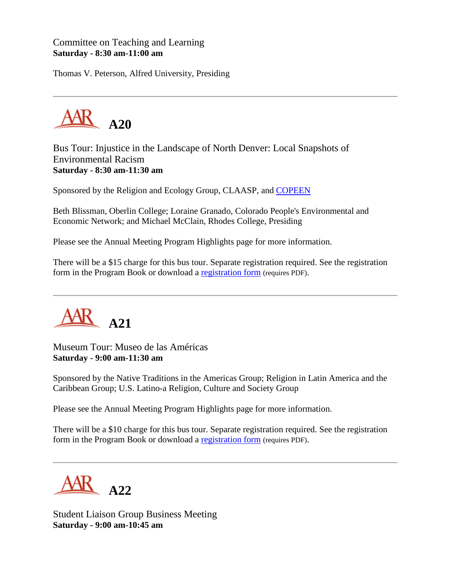#### Committee on Teaching and Learning **Saturday - 8:30 am-11:00 am**

Thomas V. Peterson, Alfred University, Presiding



Bus Tour: Injustice in the Landscape of North Denver: Local Snapshots of Environmental Racism **Saturday - 8:30 am-11:30 am**

Sponsored by the Religion and Ecology Group, CLAASP, and [COPEEN](http://www.copeen.org/)

Beth Blissman, Oberlin College; Loraine Granado, Colorado People's Environmental and Economic Network; and Michael McClain, Rhodes College, Presiding

Please see the Annual Meeting Program Highlights page for more information.

There will be a \$15 charge for this bus tour. Separate registration required. See the registration form in the Program Book or download a [registration form](http://www.aarweb.org/Meetings/Annual_Meeting/Past_Meetings/2001/Reg-A20.PDF) (requires PDF).



Museum Tour: Museo de las Américas **Saturday - 9:00 am-11:30 am**

Sponsored by the Native Traditions in the Americas Group; Religion in Latin America and the Caribbean Group; U.S. Latino-a Religion, Culture and Society Group

Please see the Annual Meeting Program Highlights page for more information.

There will be a \$10 charge for this bus tour. Separate registration required. See the registration form in the Program Book or download a [registration form](http://www.aarweb.org/Meetings/Annual_Meeting/Past_Meetings/2001/Reg-A21.PDF) (requires PDF).



Student Liaison Group Business Meeting **Saturday - 9:00 am-10:45 am**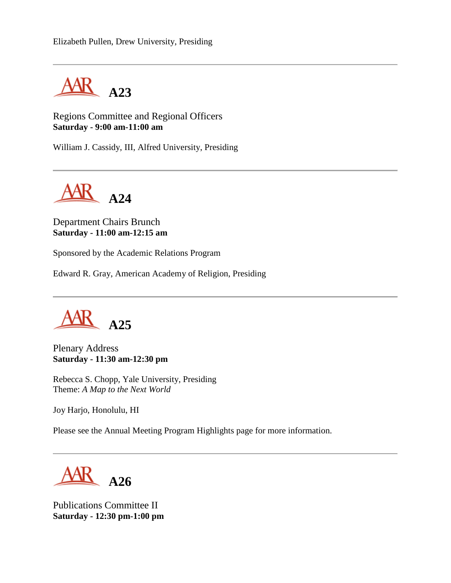

Regions Committee and Regional Officers **Saturday - 9:00 am-11:00 am**

William J. Cassidy, III, Alfred University, Presiding



Department Chairs Brunch **Saturday - 11:00 am-12:15 am**

Sponsored by the Academic Relations Program

Edward R. Gray, American Academy of Religion, Presiding



Plenary Address **Saturday - 11:30 am-12:30 pm**

Rebecca S. Chopp, Yale University, Presiding Theme: *A Map to the Next World*

Joy Harjo, Honolulu, HI

Please see the Annual Meeting Program Highlights page for more information.

**A26**

Publications Committee II **Saturday - 12:30 pm-1:00 pm**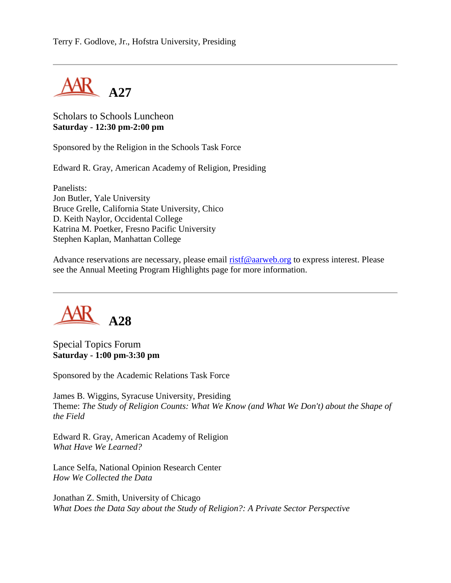

Scholars to Schools Luncheon **Saturday - 12:30 pm-2:00 pm**

Sponsored by the Religion in the Schools Task Force

Edward R. Gray, American Academy of Religion, Presiding

Panelists: Jon Butler, Yale University Bruce Grelle, California State University, Chico D. Keith Naylor, Occidental College Katrina M. Poetker, Fresno Pacific University Stephen Kaplan, Manhattan College

Advance reservations are necessary, please email [ristf@aarweb.org](mailto:ristf@aarweb.org) to express interest. Please see the Annual Meeting Program Highlights page for more information.



Special Topics Forum **Saturday - 1:00 pm-3:30 pm**

Sponsored by the Academic Relations Task Force

James B. Wiggins, Syracuse University, Presiding Theme: *The Study of Religion Counts: What We Know (and What We Don't) about the Shape of the Field*

Edward R. Gray, American Academy of Religion *What Have We Learned?*

Lance Selfa, National Opinion Research Center *How We Collected the Data*

Jonathan Z. Smith, University of Chicago *What Does the Data Say about the Study of Religion?: A Private Sector Perspective*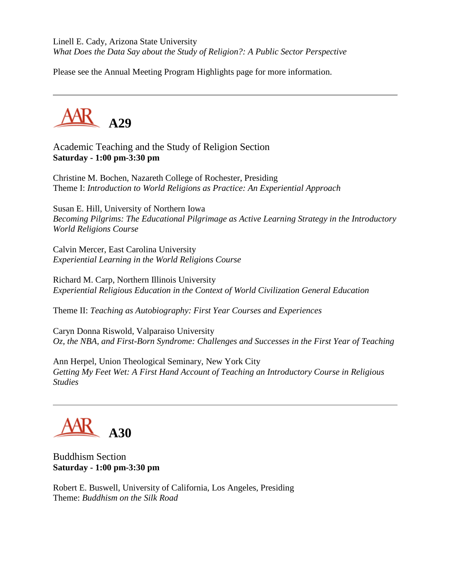Linell E. Cady, Arizona State University *What Does the Data Say about the Study of Religion?: A Public Sector Perspective*

Please see the Annual Meeting Program Highlights page for more information.



Academic Teaching and the Study of Religion Section **Saturday - 1:00 pm-3:30 pm**

Christine M. Bochen, Nazareth College of Rochester, Presiding Theme I: *Introduction to World Religions as Practice: An Experiential Approach*

Susan E. Hill, University of Northern Iowa *Becoming Pilgrims: The Educational Pilgrimage as Active Learning Strategy in the Introductory World Religions Course*

Calvin Mercer, East Carolina University *Experiential Learning in the World Religions Course*

Richard M. Carp, Northern Illinois University *Experiential Religious Education in the Context of World Civilization General Education*

Theme II: *Teaching as Autobiography: First Year Courses and Experiences*

Caryn Donna Riswold, Valparaiso University *Oz, the NBA, and First-Born Syndrome: Challenges and Successes in the First Year of Teaching*

Ann Herpel, Union Theological Seminary, New York City *Getting My Feet Wet: A First Hand Account of Teaching an Introductory Course in Religious Studies*

## **A30**

Buddhism Section **Saturday - 1:00 pm-3:30 pm**

Robert E. Buswell, University of California, Los Angeles, Presiding Theme: *Buddhism on the Silk Road*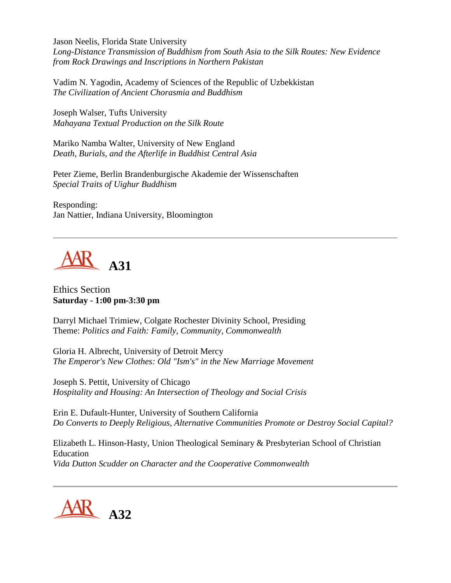Jason Neelis, Florida State University *Long-Distance Transmission of Buddhism from South Asia to the Silk Routes: New Evidence from Rock Drawings and Inscriptions in Northern Pakistan*

Vadim N. Yagodin, Academy of Sciences of the Republic of Uzbekkistan *The Civilization of Ancient Chorasmia and Buddhism*

Joseph Walser, Tufts University *Mahayana Textual Production on the Silk Route*

Mariko Namba Walter, University of New England *Death, Burials, and the Afterlife in Buddhist Central Asia*

Peter Zieme, Berlin Brandenburgische Akademie der Wissenschaften *Special Traits of Uighur Buddhism*

Responding: Jan Nattier, Indiana University, Bloomington



Ethics Section **Saturday - 1:00 pm-3:30 pm**

Darryl Michael Trimiew, Colgate Rochester Divinity School, Presiding Theme: *Politics and Faith: Family, Community, Commonwealth*

Gloria H. Albrecht, University of Detroit Mercy *The Emperor's New Clothes: Old "Ism's" in the New Marriage Movement*

Joseph S. Pettit, University of Chicago *Hospitality and Housing: An Intersection of Theology and Social Crisis*

Erin E. Dufault-Hunter, University of Southern California *Do Converts to Deeply Religious, Alternative Communities Promote or Destroy Social Capital?*

Elizabeth L. Hinson-Hasty, Union Theological Seminary & Presbyterian School of Christian Education *Vida Dutton Scudder on Character and the Cooperative Commonwealth*

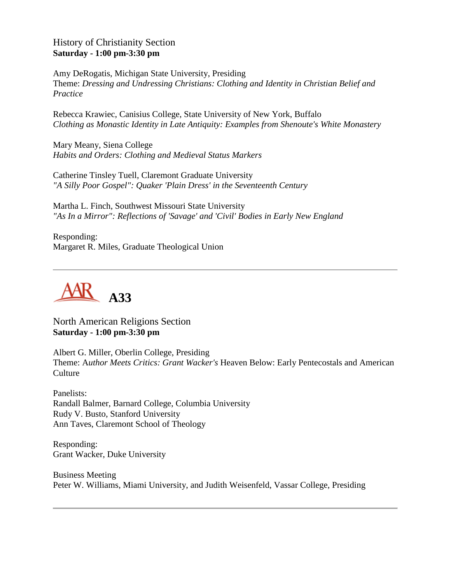#### History of Christianity Section **Saturday - 1:00 pm-3:30 pm**

Amy DeRogatis, Michigan State University, Presiding Theme: *Dressing and Undressing Christians: Clothing and Identity in Christian Belief and Practice*

Rebecca Krawiec, Canisius College, State University of New York, Buffalo *Clothing as Monastic Identity in Late Antiquity: Examples from Shenoute's White Monastery*

Mary Meany, Siena College *Habits and Orders: Clothing and Medieval Status Markers*

Catherine Tinsley Tuell, Claremont Graduate University *"A Silly Poor Gospel": Quaker 'Plain Dress' in the Seventeenth Century*

Martha L. Finch, Southwest Missouri State University *"As In a Mirror": Reflections of 'Savage' and 'Civil' Bodies in Early New England*

Responding: Margaret R. Miles, Graduate Theological Union



North American Religions Section **Saturday - 1:00 pm-3:30 pm**

Albert G. Miller, Oberlin College, Presiding Theme: A*uthor Meets Critics: Grant Wacker's* Heaven Below: Early Pentecostals and American **Culture** 

Panelists: Randall Balmer, Barnard College, Columbia University Rudy V. Busto, Stanford University Ann Taves, Claremont School of Theology

Responding: Grant Wacker, Duke University

Business Meeting Peter W. Williams, Miami University, and Judith Weisenfeld, Vassar College, Presiding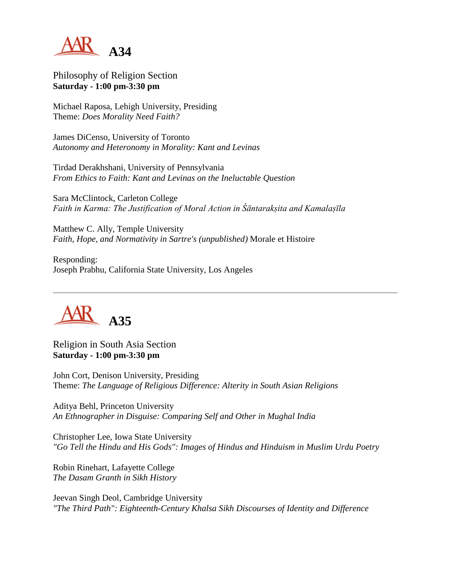

Philosophy of Religion Section **Saturday - 1:00 pm-3:30 pm**

Michael Raposa, Lehigh University, Presiding Theme: *Does Morality Need Faith?*

James DiCenso, University of Toronto *Autonomy and Heteronomy in Morality: Kant and Levinas*

Tirdad Derakhshani, University of Pennsylvania *From Ethics to Faith: Kant and Levinas on the Ineluctable Question*

Sara McClintock, Carleton College *Faith in Karma: The Justification of Moral Action in Śāntarakṣita and Kamalaṣīla*

Matthew C. Ally, Temple University *Faith, Hope, and Normativity in Sartre's (unpublished)* Morale et Histoire

Responding: Joseph Prabhu, California State University, Los Angeles



Religion in South Asia Section **Saturday - 1:00 pm-3:30 pm**

John Cort, Denison University, Presiding Theme: *The Language of Religious Difference: Alterity in South Asian Religions*

Aditya Behl, Princeton University *An Ethnographer in Disguise: Comparing Self and Other in Mughal India*

Christopher Lee, Iowa State University *"Go Tell the Hindu and His Gods": Images of Hindus and Hinduism in Muslim Urdu Poetry*

Robin Rinehart, Lafayette College *The Dasam Granth in Sikh History*

Jeevan Singh Deol, Cambridge University *"The Third Path": Eighteenth-Century Khalsa Sikh Discourses of Identity and Difference*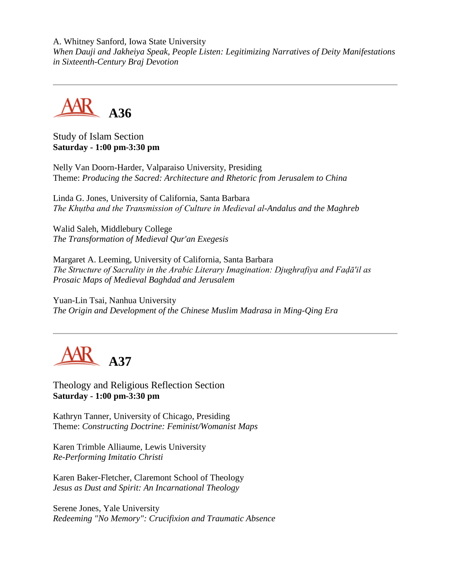A. Whitney Sanford, Iowa State University *When Dauji and Jakheiya Speak, People Listen: Legitimizing Narratives of Deity Manifestations in Sixteenth-Century Braj Devotion*



Study of Islam Section **Saturday - 1:00 pm-3:30 pm**

Nelly Van Doorn-Harder, Valparaiso University, Presiding Theme: *Producing the Sacred: Architecture and Rhetoric from Jerusalem to China*

Linda G. Jones, University of California, Santa Barbara *The Khụtba and the Transmission of Culture in Medieval al-Andalus and the Maghreb*

Walid Saleh, Middlebury College *The Transformation of Medieval Qur'an Exegesis*

Margaret A. Leeming, University of California, Santa Barbara *The Structure of Sacrality in the Arabic Literary Imagination: Djughrafiya and Faḍā'il as Prosaic Maps of Medieval Baghdad and Jerusalem*

Yuan-Lin Tsai, Nanhua University *The Origin and Development of the Chinese Muslim Madrasa in Ming-Qing Era*



Theology and Religious Reflection Section **Saturday - 1:00 pm-3:30 pm**

Kathryn Tanner, University of Chicago, Presiding Theme: *Constructing Doctrine: Feminist/Womanist Maps*

Karen Trimble Alliaume, Lewis University *Re-Performing Imitatio Christi*

Karen Baker-Fletcher, Claremont School of Theology *Jesus as Dust and Spirit: An Incarnational Theology*

Serene Jones, Yale University *Redeeming "No Memory": Crucifixion and Traumatic Absence*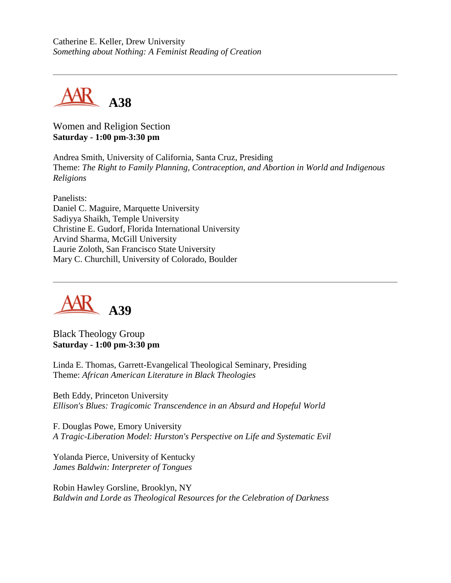Catherine E. Keller, Drew University *Something about Nothing: A Feminist Reading of Creation*



Women and Religion Section **Saturday - 1:00 pm-3:30 pm**

Andrea Smith, University of California, Santa Cruz, Presiding Theme: *The Right to Family Planning, Contraception, and Abortion in World and Indigenous Religions*

Panelists: Daniel C. Maguire, Marquette University Sadiyya Shaikh, Temple University Christine E. Gudorf, Florida International University Arvind Sharma, McGill University Laurie Zoloth, San Francisco State University Mary C. Churchill, University of Colorado, Boulder



Black Theology Group **Saturday - 1:00 pm-3:30 pm**

Linda E. Thomas, Garrett-Evangelical Theological Seminary, Presiding Theme: *African American Literature in Black Theologies*

Beth Eddy, Princeton University *Ellison's Blues: Tragicomic Transcendence in an Absurd and Hopeful World*

F. Douglas Powe, Emory University *A Tragic-Liberation Model: Hurston's Perspective on Life and Systematic Evil*

Yolanda Pierce, University of Kentucky *James Baldwin: Interpreter of Tongues*

Robin Hawley Gorsline, Brooklyn, NY *Baldwin and Lorde as Theological Resources for the Celebration of Darkness*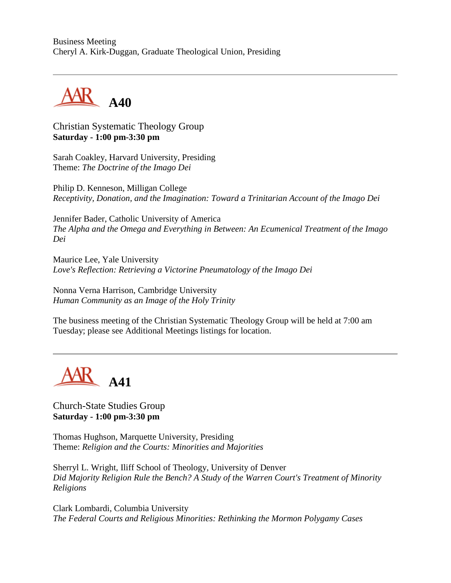Business Meeting Cheryl A. Kirk-Duggan, Graduate Theological Union, Presiding



Christian Systematic Theology Group **Saturday - 1:00 pm-3:30 pm**

Sarah Coakley, Harvard University, Presiding Theme: *The Doctrine of the Imago Dei*

Philip D. Kenneson, Milligan College *Receptivity, Donation, and the Imagination: Toward a Trinitarian Account of the Imago Dei*

Jennifer Bader, Catholic University of America *The Alpha and the Omega and Everything in Between: An Ecumenical Treatment of the Imago Dei*

Maurice Lee, Yale University *Love's Reflection: Retrieving a Victorine Pneumatology of the Imago Dei*

Nonna Verna Harrison, Cambridge University *Human Community as an Image of the Holy Trinity*

The business meeting of the Christian Systematic Theology Group will be held at 7:00 am Tuesday; please see Additional Meetings listings for location.



Church-State Studies Group **Saturday - 1:00 pm-3:30 pm**

Thomas Hughson, Marquette University, Presiding Theme: *Religion and the Courts: Minorities and Majorities*

Sherryl L. Wright, Iliff School of Theology, University of Denver *Did Majority Religion Rule the Bench? A Study of the Warren Court's Treatment of Minority Religions*

Clark Lombardi, Columbia University *The Federal Courts and Religious Minorities: Rethinking the Mormon Polygamy Cases*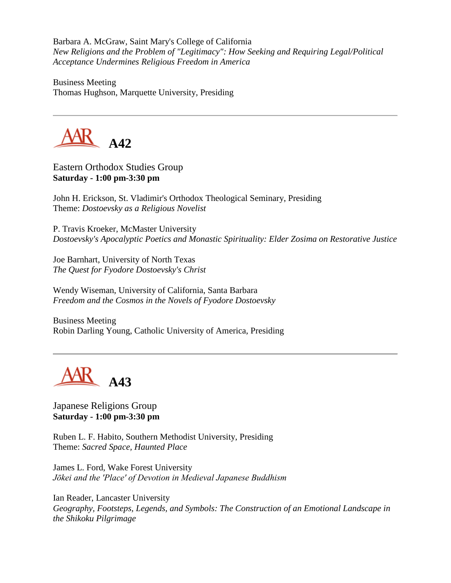Barbara A. McGraw, Saint Mary's College of California *New Religions and the Problem of "Legitimacy": How Seeking and Requiring Legal/Political Acceptance Undermines Religious Freedom in America*

Business Meeting Thomas Hughson, Marquette University, Presiding



Eastern Orthodox Studies Group **Saturday - 1:00 pm-3:30 pm**

John H. Erickson, St. Vladimir's Orthodox Theological Seminary, Presiding Theme: *Dostoevsky as a Religious Novelist*

P. Travis Kroeker, McMaster University *Dostoevsky's Apocalyptic Poetics and Monastic Spirituality: Elder Zosima on Restorative Justice*

Joe Barnhart, University of North Texas *The Quest for Fyodore Dostoevsky's Christ*

Wendy Wiseman, University of California, Santa Barbara *Freedom and the Cosmos in the Novels of Fyodore Dostoevsky*

Business Meeting Robin Darling Young, Catholic University of America, Presiding



Japanese Religions Group **Saturday - 1:00 pm-3:30 pm**

Ruben L. F. Habito, Southern Methodist University, Presiding Theme: *Sacred Space, Haunted Place*

James L. Ford, Wake Forest University *Jōkei and the 'Place' of Devotion in Medieval Japanese Buddhism*

Ian Reader, Lancaster University *Geography, Footsteps, Legends, and Symbols: The Construction of an Emotional Landscape in the Shikoku Pilgrimage*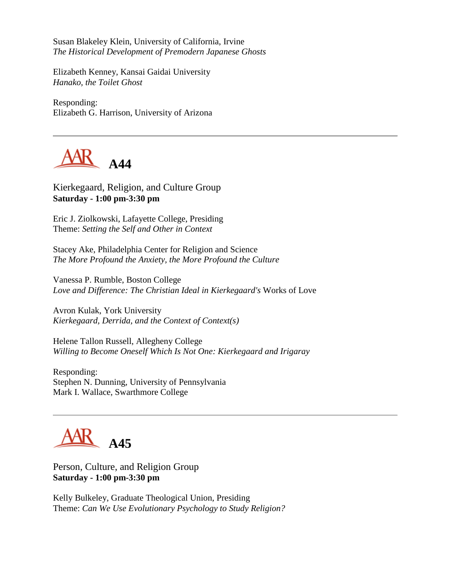Susan Blakeley Klein, University of California, Irvine *The Historical Development of Premodern Japanese Ghosts*

Elizabeth Kenney, Kansai Gaidai University *Hanako, the Toilet Ghost*

Responding: Elizabeth G. Harrison, University of Arizona



Kierkegaard, Religion, and Culture Group **Saturday - 1:00 pm-3:30 pm**

Eric J. Ziolkowski, Lafayette College, Presiding Theme: *Setting the Self and Other in Context*

Stacey Ake, Philadelphia Center for Religion and Science *The More Profound the Anxiety, the More Profound the Culture*

Vanessa P. Rumble, Boston College *Love and Difference: The Christian Ideal in Kierkegaard's* Works of Love

Avron Kulak, York University *Kierkegaard, Derrida, and the Context of Context(s)*

Helene Tallon Russell, Allegheny College *Willing to Become Oneself Which Is Not One: Kierkegaard and Irigaray*

Responding: Stephen N. Dunning, University of Pennsylvania Mark I. Wallace, Swarthmore College



Person, Culture, and Religion Group **Saturday - 1:00 pm-3:30 pm**

Kelly Bulkeley, Graduate Theological Union, Presiding Theme: *Can We Use Evolutionary Psychology to Study Religion?*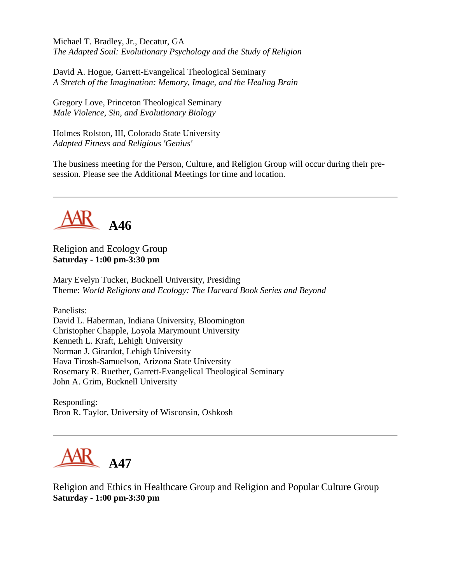Michael T. Bradley, Jr., Decatur, GA *The Adapted Soul: Evolutionary Psychology and the Study of Religion*

David A. Hogue, Garrett-Evangelical Theological Seminary *A Stretch of the Imagination: Memory, Image, and the Healing Brain*

Gregory Love, Princeton Theological Seminary *Male Violence, Sin, and Evolutionary Biology*

Holmes Rolston, III, Colorado State University *Adapted Fitness and Religious 'Genius'*

The business meeting for the Person, Culture, and Religion Group will occur during their presession. Please see the Additional Meetings for time and location.



Religion and Ecology Group **Saturday - 1:00 pm-3:30 pm**

Mary Evelyn Tucker, Bucknell University, Presiding Theme: *World Religions and Ecology: The Harvard Book Series and Beyond*

Panelists:

David L. Haberman, Indiana University, Bloomington Christopher Chapple, Loyola Marymount University Kenneth L. Kraft, Lehigh University Norman J. Girardot, Lehigh University Hava Tirosh-Samuelson, Arizona State University Rosemary R. Ruether, Garrett-Evangelical Theological Seminary John A. Grim, Bucknell University

Responding: Bron R. Taylor, University of Wisconsin, Oshkosh



Religion and Ethics in Healthcare Group and Religion and Popular Culture Group **Saturday - 1:00 pm-3:30 pm**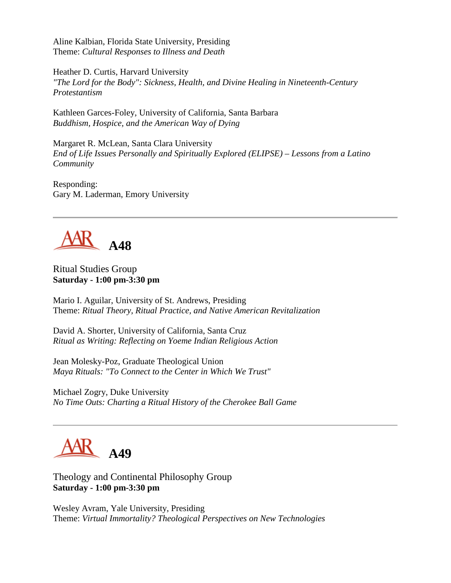Aline Kalbian, Florida State University, Presiding Theme: *Cultural Responses to Illness and Death*

Heather D. Curtis, Harvard University *"The Lord for the Body": Sickness, Health, and Divine Healing in Nineteenth-Century Protestantism*

Kathleen Garces-Foley, University of California, Santa Barbara *Buddhism, Hospice, and the American Way of Dying*

Margaret R. McLean, Santa Clara University *End of Life Issues Personally and Spiritually Explored (ELIPSE) – Lessons from a Latino Community*

Responding: Gary M. Laderman, Emory University



#### Ritual Studies Group **Saturday - 1:00 pm-3:30 pm**

Mario I. Aguilar, University of St. Andrews, Presiding Theme: *Ritual Theory, Ritual Practice, and Native American Revitalization*

David A. Shorter, University of California, Santa Cruz *Ritual as Writing: Reflecting on Yoeme Indian Religious Action*

Jean Molesky-Poz, Graduate Theological Union *Maya Rituals: "To Connect to the Center in Which We Trust"*

Michael Zogry, Duke University *No Time Outs: Charting a Ritual History of the Cherokee Ball Game*



Theology and Continental Philosophy Group **Saturday - 1:00 pm-3:30 pm**

Wesley Avram, Yale University, Presiding Theme: *Virtual Immortality? Theological Perspectives on New Technologies*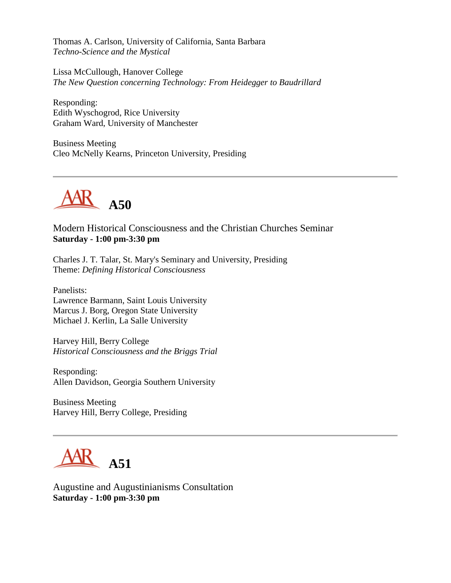Thomas A. Carlson, University of California, Santa Barbara *Techno-Science and the Mystical*

Lissa McCullough, Hanover College *The New Question concerning Technology: From Heidegger to Baudrillard*

Responding: Edith Wyschogrod, Rice University Graham Ward, University of Manchester

Business Meeting Cleo McNelly Kearns, Princeton University, Presiding



Modern Historical Consciousness and the Christian Churches Seminar **Saturday - 1:00 pm-3:30 pm**

Charles J. T. Talar, St. Mary's Seminary and University, Presiding Theme: *Defining Historical Consciousness*

Panelists: Lawrence Barmann, Saint Louis University Marcus J. Borg, Oregon State University Michael J. Kerlin, La Salle University

Harvey Hill, Berry College *Historical Consciousness and the Briggs Trial*

Responding: Allen Davidson, Georgia Southern University

Business Meeting Harvey Hill, Berry College, Presiding



Augustine and Augustinianisms Consultation **Saturday - 1:00 pm-3:30 pm**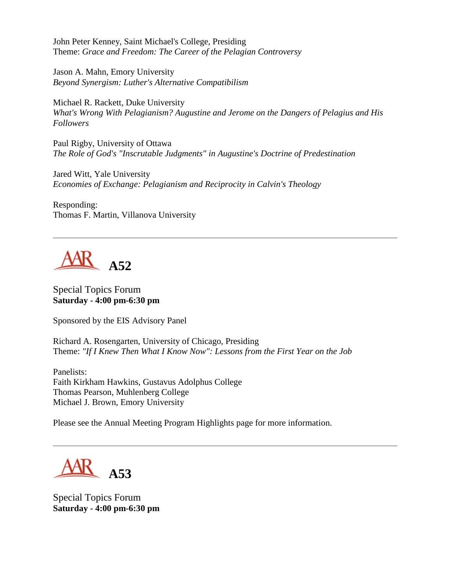John Peter Kenney, Saint Michael's College, Presiding Theme: *Grace and Freedom: The Career of the Pelagian Controversy*

Jason A. Mahn, Emory University *Beyond Synergism: Luther's Alternative Compatibilism*

Michael R. Rackett, Duke University *What's Wrong With Pelagianism? Augustine and Jerome on the Dangers of Pelagius and His Followers*

Paul Rigby, University of Ottawa *The Role of God's "Inscrutable Judgments" in Augustine's Doctrine of Predestination*

Jared Witt, Yale University *Economies of Exchange: Pelagianism and Reciprocity in Calvin's Theology*

Responding: Thomas F. Martin, Villanova University



Special Topics Forum **Saturday - 4:00 pm-6:30 pm**

Sponsored by the EIS Advisory Panel

Richard A. Rosengarten, University of Chicago, Presiding Theme: *"If I Knew Then What I Know Now": Lessons from the First Year on the Job*

Panelists: Faith Kirkham Hawkins, Gustavus Adolphus College Thomas Pearson, Muhlenberg College Michael J. Brown, Emory University

Please see the Annual Meeting Program Highlights page for more information.

**A53**

Special Topics Forum **Saturday - 4:00 pm-6:30 pm**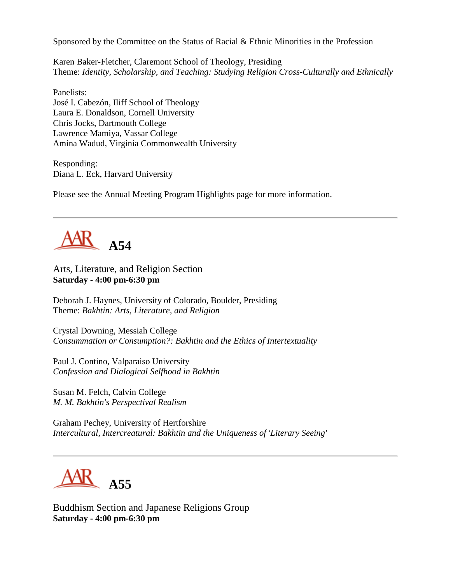Sponsored by the Committee on the Status of Racial & Ethnic Minorities in the Profession

Karen Baker-Fletcher, Claremont School of Theology, Presiding Theme: *Identity, Scholarship, and Teaching: Studying Religion Cross-Culturally and Ethnically*

Panelists: José I. Cabezón, Iliff School of Theology Laura E. Donaldson, Cornell University Chris Jocks, Dartmouth College Lawrence Mamiya, Vassar College Amina Wadud, Virginia Commonwealth University

Responding: Diana L. Eck, Harvard University

Please see the Annual Meeting Program Highlights page for more information.



Arts, Literature, and Religion Section **Saturday - 4:00 pm-6:30 pm**

Deborah J. Haynes, University of Colorado, Boulder, Presiding Theme: *Bakhtin: Arts, Literature, and Religion*

Crystal Downing, Messiah College *Consummation or Consumption?: Bakhtin and the Ethics of Intertextuality*

Paul J. Contino, Valparaiso University *Confession and Dialogical Selfhood in Bakhtin*

Susan M. Felch, Calvin College *M. M. Bakhtin's Perspectival Realism*

Graham Pechey, University of Hertforshire *Intercultural, Intercreatural: Bakhtin and the Uniqueness of 'Literary Seeing'*



Buddhism Section and Japanese Religions Group **Saturday - 4:00 pm-6:30 pm**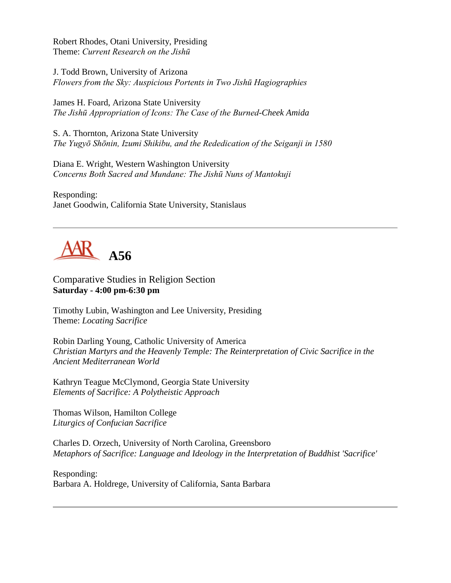Robert Rhodes, Otani University, Presiding Theme: *Current Research on the Jishū*

J. Todd Brown, University of Arizona *Flowers from the Sky: Auspicious Portents in Two Jishū Hagiographies*

James H. Foard, Arizona State University *The Jishū Appropriation of Icons: The Case of the Burned-Cheek Amida*

S. A. Thornton, Arizona State University *The Yugyō Shōnin, Izumi Shikibu, and the Rededication of the Seiganji in 1580*

Diana E. Wright, Western Washington University *Concerns Both Sacred and Mundane: The Jishū Nuns of Mantokuji*

Responding: Janet Goodwin, California State University, Stanislaus



Comparative Studies in Religion Section **Saturday - 4:00 pm-6:30 pm**

Timothy Lubin, Washington and Lee University, Presiding Theme: *Locating Sacrifice*

Robin Darling Young, Catholic University of America *Christian Martyrs and the Heavenly Temple: The Reinterpretation of Civic Sacrifice in the Ancient Mediterranean World*

Kathryn Teague McClymond, Georgia State University *Elements of Sacrifice: A Polytheistic Approach*

Thomas Wilson, Hamilton College *Liturgics of Confucian Sacrifice*

Charles D. Orzech, University of North Carolina, Greensboro *Metaphors of Sacrifice: Language and Ideology in the Interpretation of Buddhist 'Sacrifice'*

Responding: Barbara A. Holdrege, University of California, Santa Barbara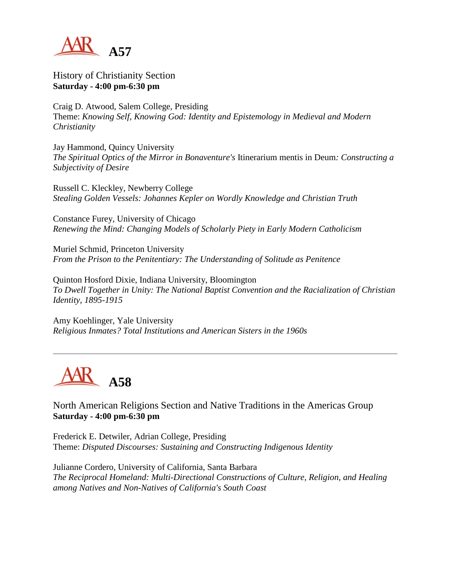

History of Christianity Section **Saturday - 4:00 pm-6:30 pm**

Craig D. Atwood, Salem College, Presiding Theme: *Knowing Self, Knowing God: Identity and Epistemology in Medieval and Modern Christianity*

Jay Hammond, Quincy University *The Spiritual Optics of the Mirror in Bonaventure's* Itinerarium mentis in Deum*: Constructing a Subjectivity of Desire*

Russell C. Kleckley, Newberry College *Stealing Golden Vessels: Johannes Kepler on Wordly Knowledge and Christian Truth*

Constance Furey, University of Chicago *Renewing the Mind: Changing Models of Scholarly Piety in Early Modern Catholicism*

Muriel Schmid, Princeton University *From the Prison to the Penitentiary: The Understanding of Solitude as Penitence*

Quinton Hosford Dixie, Indiana University, Bloomington *To Dwell Together in Unity: The National Baptist Convention and the Racialization of Christian Identity, 1895-1915*

Amy Koehlinger, Yale University *Religious Inmates? Total Institutions and American Sisters in the 1960s*



North American Religions Section and Native Traditions in the Americas Group **Saturday - 4:00 pm-6:30 pm**

Frederick E. Detwiler, Adrian College, Presiding Theme: *Disputed Discourses: Sustaining and Constructing Indigenous Identity*

Julianne Cordero, University of California, Santa Barbara *The Reciprocal Homeland: Multi-Directional Constructions of Culture, Religion, and Healing among Natives and Non-Natives of California's South Coast*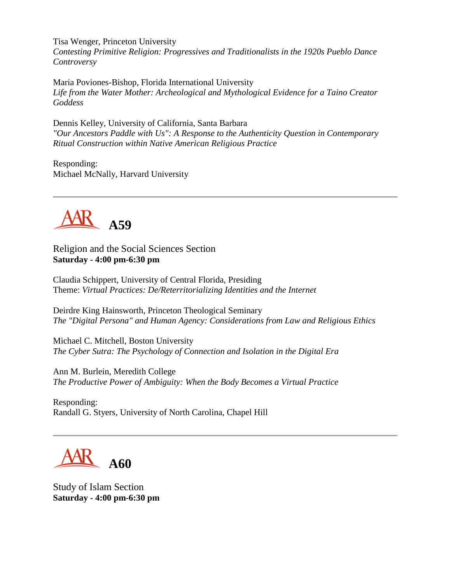Tisa Wenger, Princeton University

*Contesting Primitive Religion: Progressives and Traditionalists in the 1920s Pueblo Dance Controversy*

Maria Poviones-Bishop, Florida International University *Life from the Water Mother: Archeological and Mythological Evidence for a Taino Creator Goddess*

Dennis Kelley, University of California, Santa Barbara *"Our Ancestors Paddle with Us": A Response to the Authenticity Question in Contemporary Ritual Construction within Native American Religious Practice*

Responding: Michael McNally, Harvard University



Religion and the Social Sciences Section **Saturday - 4:00 pm-6:30 pm**

Claudia Schippert, University of Central Florida, Presiding Theme: *Virtual Practices: De/Reterritorializing Identities and the Internet*

Deirdre King Hainsworth, Princeton Theological Seminary *The "Digital Persona" and Human Agency: Considerations from Law and Religious Ethics*

Michael C. Mitchell, Boston University *The Cyber Sutra: The Psychology of Connection and Isolation in the Digital Era*

Ann M. Burlein, Meredith College *The Productive Power of Ambiguity: When the Body Becomes a Virtual Practice*

Responding: Randall G. Styers, University of North Carolina, Chapel Hill

**A60**

Study of Islam Section **Saturday - 4:00 pm-6:30 pm**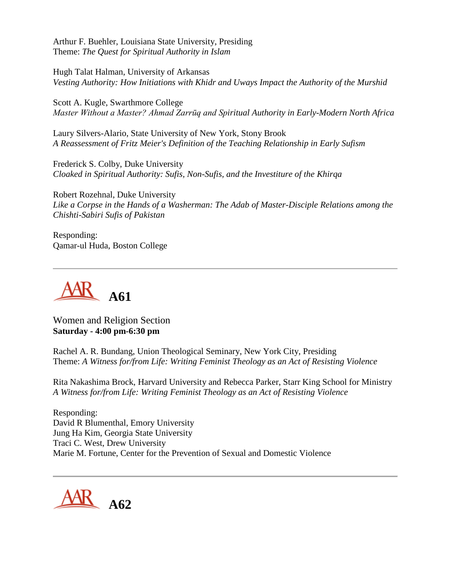Arthur F. Buehler, Louisiana State University, Presiding Theme: *The Quest for Spiritual Authority in Islam*

Hugh Talat Halman, University of Arkansas *Vesting Authority: How Initiations with Khidr and Uways Impact the Authority of the Murshid*

Scott A. Kugle, Swarthmore College *Master Without a Master? Ahmad Zarrūq and Spiritual Authority in Early-Modern North Africa*

Laury Silvers-Alario, State University of New York, Stony Brook *A Reassessment of Fritz Meier's Definition of the Teaching Relationship in Early Sufism*

Frederick S. Colby, Duke University *Cloaked in Spiritual Authority: Sufis, Non-Sufis, and the Investiture of the Khirqa*

Robert Rozehnal, Duke University *Like a Corpse in the Hands of a Washerman: The Adab of Master-Disciple Relations among the Chishti-Sabiri Sufis of Pakistan*

Responding: Qamar-ul Huda, Boston College



Women and Religion Section **Saturday - 4:00 pm-6:30 pm**

Rachel A. R. Bundang, Union Theological Seminary, New York City, Presiding Theme: *A Witness for/from Life: Writing Feminist Theology as an Act of Resisting Violence*

Rita Nakashima Brock, Harvard University and Rebecca Parker, Starr King School for Ministry *A Witness for/from Life: Writing Feminist Theology as an Act of Resisting Violence*

Responding: David R Blumenthal, Emory University Jung Ha Kim, Georgia State University Traci C. West, Drew University Marie M. Fortune, Center for the Prevention of Sexual and Domestic Violence

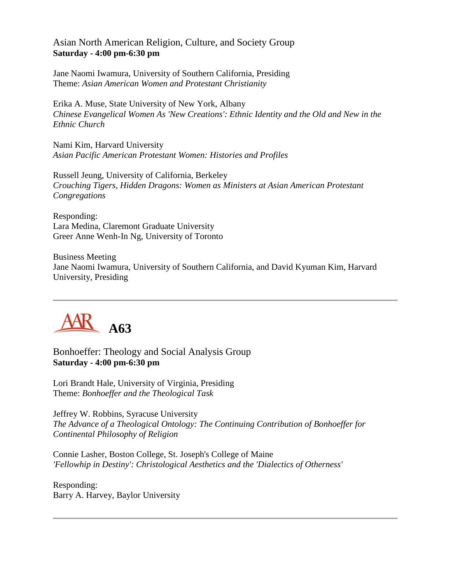#### Asian North American Religion, Culture, and Society Group **Saturday - 4:00 pm-6:30 pm**

Jane Naomi Iwamura, University of Southern California, Presiding Theme: *Asian American Women and Protestant Christianity*

Erika A. Muse, State University of New York, Albany *Chinese Evangelical Women As 'New Creations': Ethnic Identity and the Old and New in the Ethnic Church*

Nami Kim, Harvard University *Asian Pacific American Protestant Women: Histories and Profiles*

Russell Jeung, University of California, Berkeley *Crouching Tigers, Hidden Dragons: Women as Ministers at Asian American Protestant Congregations*

Responding: Lara Medina, Claremont Graduate University Greer Anne Wenh-In Ng, University of Toronto

Business Meeting Jane Naomi Iwamura, University of Southern California, and David Kyuman Kim, Harvard University, Presiding



Bonhoeffer: Theology and Social Analysis Group **Saturday - 4:00 pm-6:30 pm**

Lori Brandt Hale, University of Virginia, Presiding Theme: *Bonhoeffer and the Theological Task*

Jeffrey W. Robbins, Syracuse University *The Advance of a Theological Ontology: The Continuing Contribution of Bonhoeffer for Continental Philosophy of Religion*

Connie Lasher, Boston College, St. Joseph's College of Maine *'Fellowhip in Destiny': Christological Aesthetics and the 'Dialectics of Otherness'*

Responding: Barry A. Harvey, Baylor University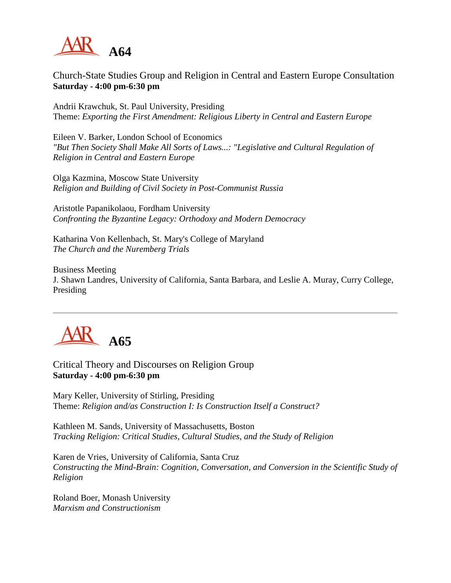

Church-State Studies Group and Religion in Central and Eastern Europe Consultation **Saturday - 4:00 pm-6:30 pm**

Andrii Krawchuk, St. Paul University, Presiding Theme: *Exporting the First Amendment: Religious Liberty in Central and Eastern Europe*

Eileen V. Barker, London School of Economics *"But Then Society Shall Make All Sorts of Laws...: "Legislative and Cultural Regulation of Religion in Central and Eastern Europe*

Olga Kazmina, Moscow State University *Religion and Building of Civil Society in Post-Communist Russia*

Aristotle Papanikolaou, Fordham University *Confronting the Byzantine Legacy: Orthodoxy and Modern Democracy*

Katharina Von Kellenbach, St. Mary's College of Maryland *The Church and the Nuremberg Trials*

Business Meeting J. Shawn Landres, University of California, Santa Barbara, and Leslie A. Muray, Curry College, Presiding



Critical Theory and Discourses on Religion Group **Saturday - 4:00 pm-6:30 pm**

Mary Keller, University of Stirling, Presiding Theme: *Religion and/as Construction I: Is Construction Itself a Construct?*

Kathleen M. Sands, University of Massachusetts, Boston *Tracking Religion: Critical Studies, Cultural Studies, and the Study of Religion*

Karen de Vries, University of California, Santa Cruz *Constructing the Mind-Brain: Cognition, Conversation, and Conversion in the Scientific Study of Religion*

Roland Boer, Monash University *Marxism and Constructionism*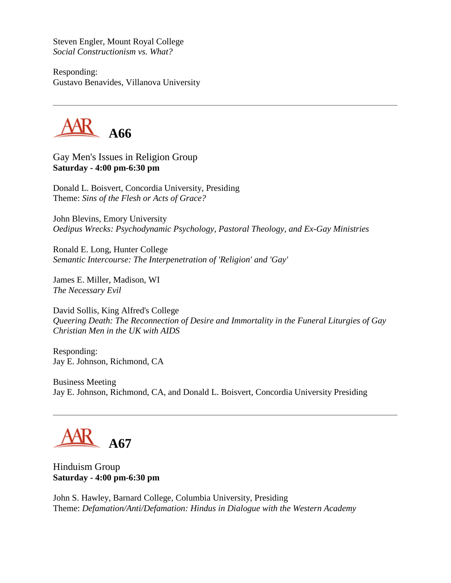Steven Engler, Mount Royal College *Social Constructionism vs. What?*

Responding: Gustavo Benavides, Villanova University



Gay Men's Issues in Religion Group **Saturday - 4:00 pm-6:30 pm**

Donald L. Boisvert, Concordia University, Presiding Theme: *Sins of the Flesh or Acts of Grace?*

John Blevins, Emory University *Oedipus Wrecks: Psychodynamic Psychology, Pastoral Theology, and Ex-Gay Ministries*

Ronald E. Long, Hunter College *Semantic Intercourse: The Interpenetration of 'Religion' and 'Gay'*

James E. Miller, Madison, WI *The Necessary Evil*

David Sollis, King Alfred's College *Queering Death: The Reconnection of Desire and Immortality in the Funeral Liturgies of Gay Christian Men in the UK with AIDS*

Responding: Jay E. Johnson, Richmond, CA

Business Meeting Jay E. Johnson, Richmond, CA, and Donald L. Boisvert, Concordia University Presiding

**A67**

Hinduism Group **Saturday - 4:00 pm-6:30 pm**

John S. Hawley, Barnard College, Columbia University, Presiding Theme: *Defamation/Anti/Defamation: Hindus in Dialogue with the Western Academy*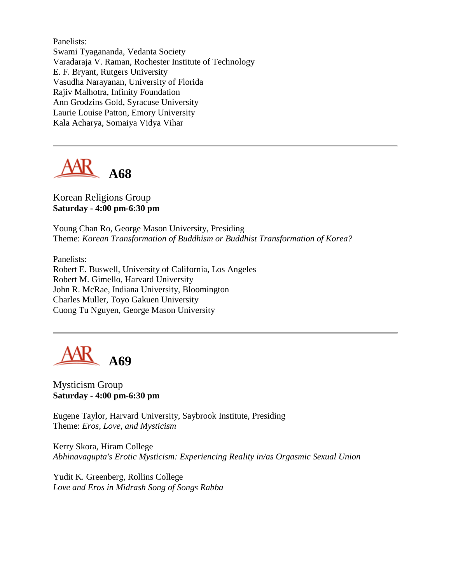Panelists: Swami Tyagananda, Vedanta Society Varadaraja V. Raman, Rochester Institute of Technology E. F. Bryant, Rutgers University Vasudha Narayanan, University of Florida Rajiv Malhotra, Infinity Foundation Ann Grodzins Gold, Syracuse University Laurie Louise Patton, Emory University Kala Acharya, Somaiya Vidya Vihar



#### Korean Religions Group **Saturday - 4:00 pm-6:30 pm**

Young Chan Ro, George Mason University, Presiding Theme: *Korean Transformation of Buddhism or Buddhist Transformation of Korea?*

Panelists: Robert E. Buswell, University of California, Los Angeles Robert M. Gimello, Harvard University John R. McRae, Indiana University, Bloomington Charles Muller, Toyo Gakuen University Cuong Tu Nguyen, George Mason University

**A69**

Mysticism Group **Saturday - 4:00 pm-6:30 pm**

Eugene Taylor, Harvard University, Saybrook Institute, Presiding Theme: *Eros, Love, and Mysticism*

Kerry Skora, Hiram College *Abhinavagupta's Erotic Mysticism: Experiencing Reality in/as Orgasmic Sexual Union*

Yudit K. Greenberg, Rollins College *Love and Eros in Midrash Song of Songs Rabba*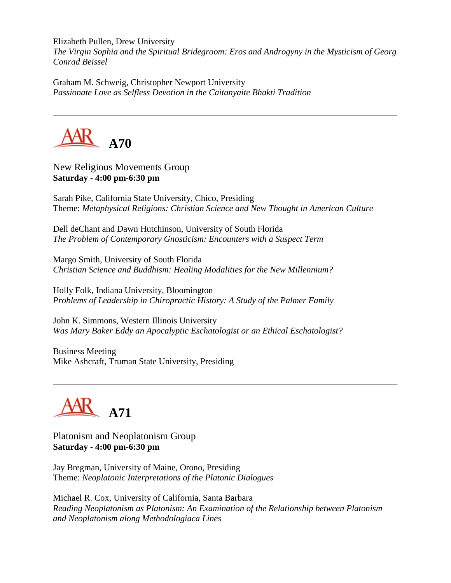Elizabeth Pullen, Drew University

*The Virgin Sophia and the Spiritual Bridegroom: Eros and Androgyny in the Mysticism of Georg Conrad Beissel*

Graham M. Schweig, Christopher Newport University *Passionate Love as Selfless Devotion in the Caitanyaite Bhakti Tradition*



New Religious Movements Group **Saturday - 4:00 pm-6:30 pm**

Sarah Pike, California State University, Chico, Presiding Theme: *Metaphysical Religions: Christian Science and New Thought in American Culture*

Dell deChant and Dawn Hutchinson, University of South Florida *The Problem of Contemporary Gnosticism: Encounters with a Suspect Term*

Margo Smith, University of South Florida *Christian Science and Buddhism: Healing Modalities for the New Millennium?*

Holly Folk, Indiana University, Bloomington *Problems of Leadership in Chiropractic History: A Study of the Palmer Family*

John K. Simmons, Western Illinois University *Was Mary Baker Eddy an Apocalyptic Eschatologist or an Ethical Eschatologist?*

Business Meeting Mike Ashcraft, Truman State University, Presiding

**A71**

Platonism and Neoplatonism Group **Saturday - 4:00 pm-6:30 pm**

Jay Bregman, University of Maine, Orono, Presiding Theme: *Neoplatonic Interpretations of the Platonic Dialogues*

Michael R. Cox, University of California, Santa Barbara *Reading Neoplatonism as Platonism: An Examination of the Relationship between Platonism and Neoplatonism along Methodologiaca Lines*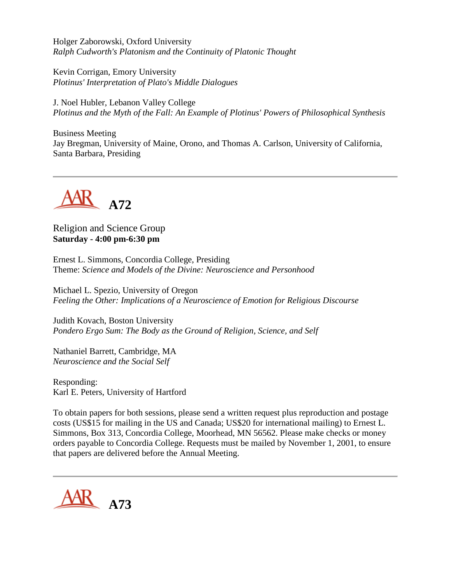Holger Zaborowski, Oxford University *Ralph Cudworth's Platonism and the Continuity of Platonic Thought*

Kevin Corrigan, Emory University *Plotinus' Interpretation of Plato's Middle Dialogues*

J. Noel Hubler, Lebanon Valley College *Plotinus and the Myth of the Fall: An Example of Plotinus' Powers of Philosophical Synthesis*

Business Meeting Jay Bregman, University of Maine, Orono, and Thomas A. Carlson, University of California, Santa Barbara, Presiding



Religion and Science Group **Saturday - 4:00 pm-6:30 pm**

Ernest L. Simmons, Concordia College, Presiding Theme: *Science and Models of the Divine: Neuroscience and Personhood*

Michael L. Spezio, University of Oregon *Feeling the Other: Implications of a Neuroscience of Emotion for Religious Discourse*

Judith Kovach, Boston University *Pondero Ergo Sum: The Body as the Ground of Religion, Science, and Self*

Nathaniel Barrett, Cambridge, MA *Neuroscience and the Social Self*

Responding: Karl E. Peters, University of Hartford

To obtain papers for both sessions, please send a written request plus reproduction and postage costs (US\$15 for mailing in the US and Canada; US\$20 for international mailing) to Ernest L. Simmons, Box 313, Concordia College, Moorhead, MN 56562. Please make checks or money orders payable to Concordia College. Requests must be mailed by November 1, 2001, to ensure that papers are delivered before the Annual Meeting.

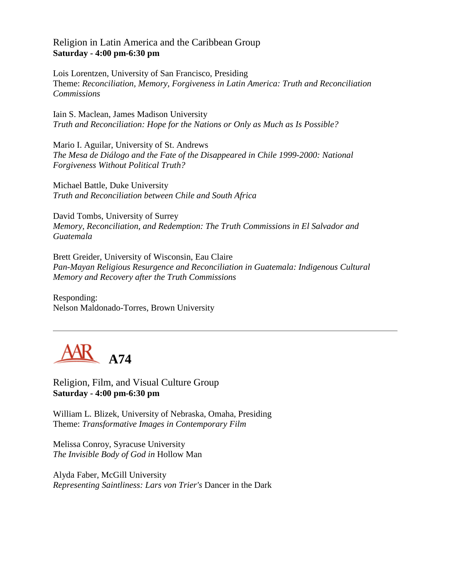#### Religion in Latin America and the Caribbean Group **Saturday - 4:00 pm-6:30 pm**

Lois Lorentzen, University of San Francisco, Presiding Theme: *Reconciliation, Memory, Forgiveness in Latin America: Truth and Reconciliation Commissions*

Iain S. Maclean, James Madison University *Truth and Reconciliation: Hope for the Nations or Only as Much as Is Possible?*

Mario I. Aguilar, University of St. Andrews *The Mesa de Diálogo and the Fate of the Disappeared in Chile 1999-2000: National Forgiveness Without Political Truth?*

Michael Battle, Duke University *Truth and Reconciliation between Chile and South Africa*

David Tombs, University of Surrey *Memory, Reconciliation, and Redemption: The Truth Commissions in El Salvador and Guatemala*

Brett Greider, University of Wisconsin, Eau Claire *Pan-Mayan Religious Resurgence and Reconciliation in Guatemala: Indigenous Cultural Memory and Recovery after the Truth Commissions*

Responding: Nelson Maldonado-Torres, Brown University



Religion, Film, and Visual Culture Group **Saturday - 4:00 pm-6:30 pm**

William L. Blizek, University of Nebraska, Omaha, Presiding Theme: *Transformative Images in Contemporary Film*

Melissa Conroy, Syracuse University *The Invisible Body of God in* Hollow Man

Alyda Faber, McGill University *Representing Saintliness: Lars von Trier's* Dancer in the Dark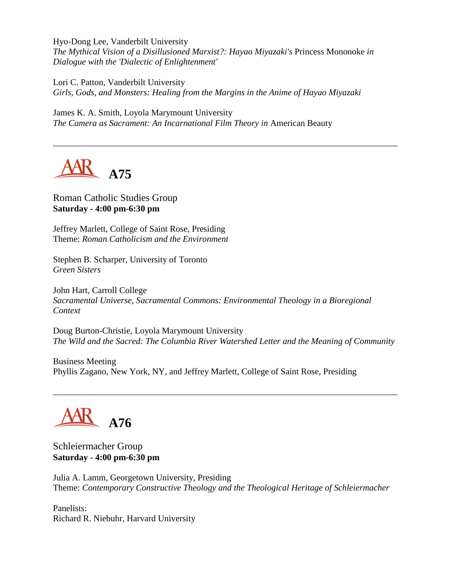Hyo-Dong Lee, Vanderbilt University *The Mythical Vision of a Disillusioned Marxist?: Hayao Miyazaki's* Princess Mononoke *in Dialogue with the 'Dialectic of Enlightenment'*

Lori C. Patton, Vanderbilt University *Girls, Gods, and Monsters: Healing from the Margins in the Anime of Hayao Miyazaki*

James K. A. Smith, Loyola Marymount University *The Camera as Sacrament: An Incarnational Film Theory in American Beauty* 



Roman Catholic Studies Group **Saturday - 4:00 pm-6:30 pm**

Jeffrey Marlett, College of Saint Rose, Presiding Theme: *Roman Catholicism and the Environment*

Stephen B. Scharper, University of Toronto *Green Sisters*

John Hart, Carroll College *Sacramental Universe, Sacramental Commons: Environmental Theology in a Bioregional Context*

Doug Burton-Christie, Loyola Marymount University *The Wild and the Sacred: The Columbia River Watershed Letter and the Meaning of Community*

Business Meeting Phyllis Zagano, New York, NY, and Jeffrey Marlett, College of Saint Rose, Presiding

# **A76**

Schleiermacher Group **Saturday - 4:00 pm-6:30 pm**

Julia A. Lamm, Georgetown University, Presiding Theme: *Contemporary Constructive Theology and the Theological Heritage of Schleiermacher*

Panelists: Richard R. Niebuhr, Harvard University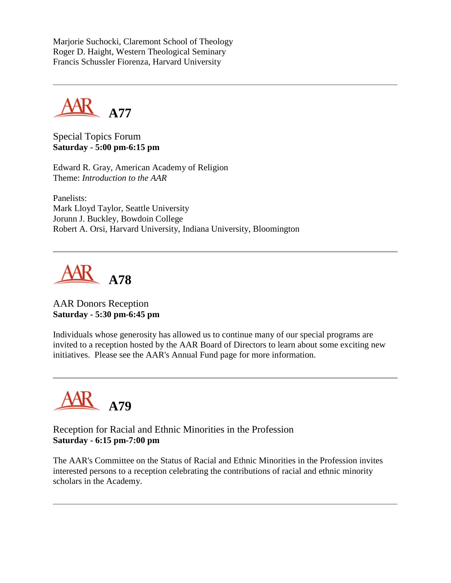Marjorie Suchocki, Claremont School of Theology Roger D. Haight, Western Theological Seminary Francis Schussler Fiorenza, Harvard University



Special Topics Forum **Saturday - 5:00 pm-6:15 pm**

Edward R. Gray, American Academy of Religion Theme: *Introduction to the AAR*

Panelists: Mark Lloyd Taylor, Seattle University Jorunn J. Buckley, Bowdoin College Robert A. Orsi, Harvard University, Indiana University, Bloomington



AAR Donors Reception **Saturday - 5:30 pm-6:45 pm**

Individuals whose generosity has allowed us to continue many of our special programs are invited to a reception hosted by the AAR Board of Directors to learn about some exciting new initiatives. Please see the AAR's Annual Fund page for more information.



Reception for Racial and Ethnic Minorities in the Profession **Saturday - 6:15 pm-7:00 pm**

The AAR's Committee on the Status of Racial and Ethnic Minorities in the Profession invites interested persons to a reception celebrating the contributions of racial and ethnic minority scholars in the Academy.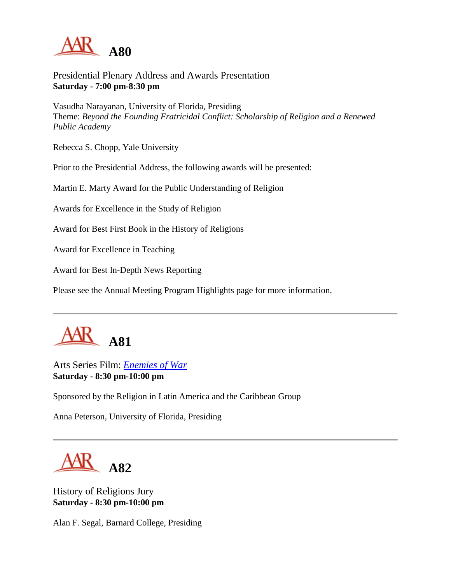

Presidential Plenary Address and Awards Presentation **Saturday - 7:00 pm-8:30 pm**

Vasudha Narayanan, University of Florida, Presiding Theme: *Beyond the Founding Fratricidal Conflict: Scholarship of Religion and a Renewed Public Academy*

Rebecca S. Chopp, Yale University

Prior to the Presidential Address, the following awards will be presented:

Martin E. Marty Award for the Public Understanding of Religion

Awards for Excellence in the Study of Religion

Award for Best First Book in the History of Religions

Award for Excellence in Teaching

Award for Best In-Depth News Reporting

Please see the Annual Meeting Program Highlights page for more information.



Arts Series Film: *[Enemies of War](http://www.newday.com/films/Enemiesofwar.html)* **Saturday - 8:30 pm-10:00 pm**

Sponsored by the Religion in Latin America and the Caribbean Group

Anna Peterson, University of Florida, Presiding



History of Religions Jury **Saturday - 8:30 pm-10:00 pm**

Alan F. Segal, Barnard College, Presiding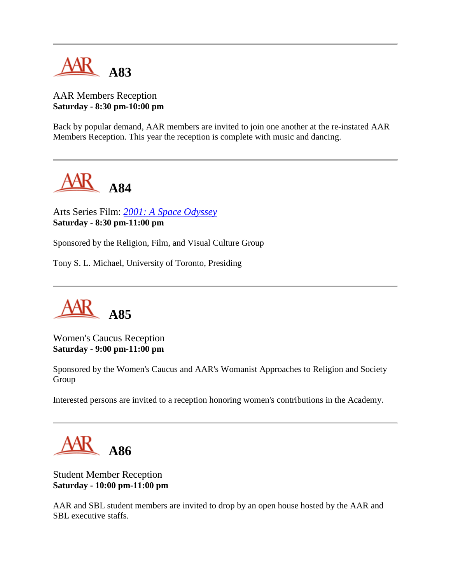

## AAR Members Reception **Saturday - 8:30 pm-10:00 pm**

Back by popular demand, AAR members are invited to join one another at the re-instated AAR Members Reception. This year the reception is complete with music and dancing.



Arts Series Film: *[2001: A Space Odyssey](http://www.palantir.net/2001/)* **Saturday - 8:30 pm-11:00 pm**

Sponsored by the Religion, Film, and Visual Culture Group

Tony S. L. Michael, University of Toronto, Presiding



Women's Caucus Reception **Saturday - 9:00 pm-11:00 pm**

Sponsored by the Women's Caucus and AAR's Womanist Approaches to Religion and Society Group

Interested persons are invited to a reception honoring women's contributions in the Academy.



Student Member Reception **Saturday - 10:00 pm-11:00 pm**

AAR and SBL student members are invited to drop by an open house hosted by the AAR and SBL executive staffs.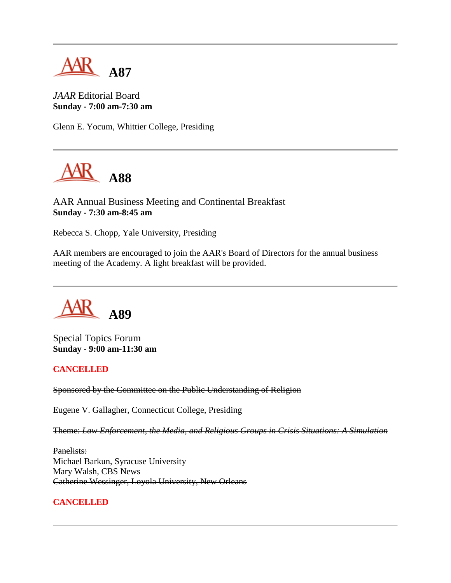

*JAAR* Editorial Board **Sunday - 7:00 am-7:30 am**

Glenn E. Yocum, Whittier College, Presiding



AAR Annual Business Meeting and Continental Breakfast **Sunday - 7:30 am-8:45 am**

Rebecca S. Chopp, Yale University, Presiding

AAR members are encouraged to join the AAR's Board of Directors for the annual business meeting of the Academy. A light breakfast will be provided.

**A89**

Special Topics Forum **Sunday - 9:00 am-11:30 am**

#### **CANCELLED**

Sponsored by the Committee on the Public Understanding of Religion

Eugene V. Gallagher, Connecticut College, Presiding

Theme: *Law Enforcement, the Media, and Religious Groups in Crisis Situations: A Simulation*

Panelists: Michael Barkun, Syracuse University Mary Walsh, CBS News Catherine Wessinger, Loyola University, New Orleans

#### **CANCELLED**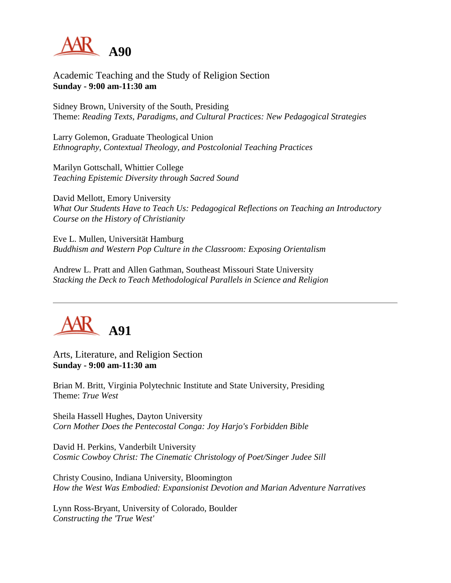

Academic Teaching and the Study of Religion Section **Sunday - 9:00 am-11:30 am**

Sidney Brown, University of the South, Presiding Theme: *Reading Texts, Paradigms, and Cultural Practices: New Pedagogical Strategies*

Larry Golemon, Graduate Theological Union *Ethnography, Contextual Theology, and Postcolonial Teaching Practices*

Marilyn Gottschall, Whittier College *Teaching Epistemic Diversity through Sacred Sound*

David Mellott, Emory University *What Our Students Have to Teach Us: Pedagogical Reflections on Teaching an Introductory Course on the History of Christianity*

Eve L. Mullen, Universität Hamburg *Buddhism and Western Pop Culture in the Classroom: Exposing Orientalism*

Andrew L. Pratt and Allen Gathman, Southeast Missouri State University *Stacking the Deck to Teach Methodological Parallels in Science and Religion*



Arts, Literature, and Religion Section **Sunday - 9:00 am-11:30 am**

Brian M. Britt, Virginia Polytechnic Institute and State University, Presiding Theme: *True West*

Sheila Hassell Hughes, Dayton University *Corn Mother Does the Pentecostal Conga: Joy Harjo's Forbidden Bible*

David H. Perkins, Vanderbilt University *Cosmic Cowboy Christ: The Cinematic Christology of Poet/Singer Judee Sill*

Christy Cousino, Indiana University, Bloomington *How the West Was Embodied: Expansionist Devotion and Marian Adventure Narratives*

Lynn Ross-Bryant, University of Colorado, Boulder *Constructing the 'True West'*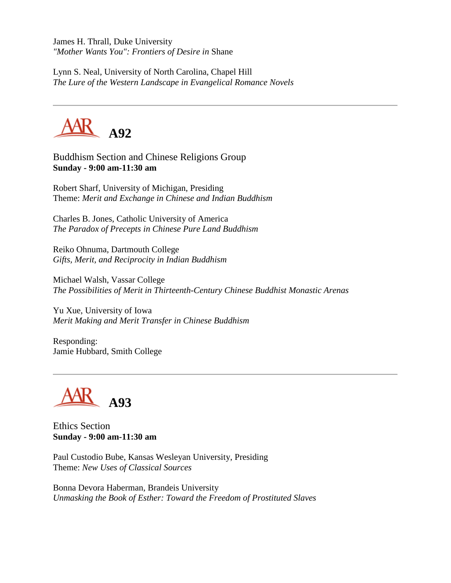James H. Thrall, Duke University *"Mother Wants You": Frontiers of Desire in* Shane

Lynn S. Neal, University of North Carolina, Chapel Hill *The Lure of the Western Landscape in Evangelical Romance Novels*



Buddhism Section and Chinese Religions Group **Sunday - 9:00 am-11:30 am**

Robert Sharf, University of Michigan, Presiding Theme: *Merit and Exchange in Chinese and Indian Buddhism*

Charles B. Jones, Catholic University of America *The Paradox of Precepts in Chinese Pure Land Buddhism*

Reiko Ohnuma, Dartmouth College *Gifts, Merit, and Reciprocity in Indian Buddhism*

Michael Walsh, Vassar College *The Possibilities of Merit in Thirteenth-Century Chinese Buddhist Monastic Arenas*

Yu Xue, University of Iowa *Merit Making and Merit Transfer in Chinese Buddhism*

Responding: Jamie Hubbard, Smith College



Ethics Section **Sunday - 9:00 am-11:30 am**

Paul Custodio Bube, Kansas Wesleyan University, Presiding Theme: *New Uses of Classical Sources*

Bonna Devora Haberman, Brandeis University *Unmasking the Book of Esther: Toward the Freedom of Prostituted Slaves*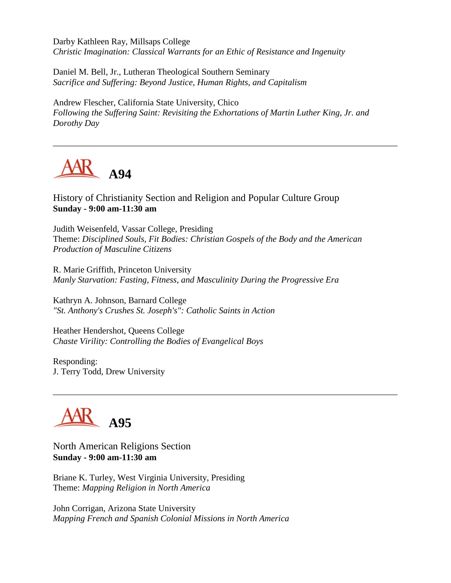Darby Kathleen Ray, Millsaps College *Christic Imagination: Classical Warrants for an Ethic of Resistance and Ingenuity*

Daniel M. Bell, Jr., Lutheran Theological Southern Seminary *Sacrifice and Suffering: Beyond Justice, Human Rights, and Capitalism*

Andrew Flescher, California State University, Chico *Following the Suffering Saint: Revisiting the Exhortations of Martin Luther King, Jr. and Dorothy Day*



History of Christianity Section and Religion and Popular Culture Group **Sunday - 9:00 am-11:30 am**

Judith Weisenfeld, Vassar College, Presiding Theme: *Disciplined Souls, Fit Bodies: Christian Gospels of the Body and the American Production of Masculine Citizens*

R. Marie Griffith, Princeton University *Manly Starvation: Fasting, Fitness, and Masculinity During the Progressive Era*

Kathryn A. Johnson, Barnard College *"St. Anthony's Crushes St. Joseph's": Catholic Saints in Action*

Heather Hendershot, Queens College *Chaste Virility: Controlling the Bodies of Evangelical Boys*

Responding: J. Terry Todd, Drew University



North American Religions Section **Sunday - 9:00 am-11:30 am**

Briane K. Turley, West Virginia University, Presiding Theme: *Mapping Religion in North America*

John Corrigan, Arizona State University *Mapping French and Spanish Colonial Missions in North America*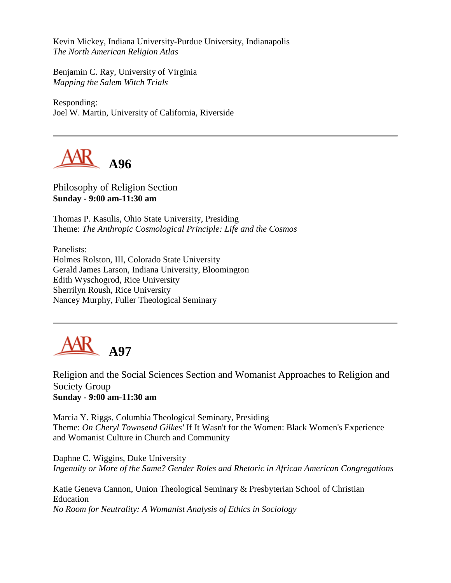Kevin Mickey, Indiana University-Purdue University, Indianapolis *The North American Religion Atlas*

Benjamin C. Ray, University of Virginia *Mapping the Salem Witch Trials*

Responding: Joel W. Martin, University of California, Riverside



Philosophy of Religion Section **Sunday - 9:00 am-11:30 am**

Thomas P. Kasulis, Ohio State University, Presiding Theme: *The Anthropic Cosmological Principle: Life and the Cosmos*

Panelists: Holmes Rolston, III, Colorado State University Gerald James Larson, Indiana University, Bloomington Edith Wyschogrod, Rice University Sherrilyn Roush, Rice University Nancey Murphy, Fuller Theological Seminary



Religion and the Social Sciences Section and Womanist Approaches to Religion and Society Group **Sunday - 9:00 am-11:30 am**

Marcia Y. Riggs, Columbia Theological Seminary, Presiding Theme: *On Cheryl Townsend Gilkes'* If It Wasn't for the Women: Black Women's Experience and Womanist Culture in Church and Community

Daphne C. Wiggins, Duke University *Ingenuity or More of the Same? Gender Roles and Rhetoric in African American Congregations*

Katie Geneva Cannon, Union Theological Seminary & Presbyterian School of Christian Education *No Room for Neutrality: A Womanist Analysis of Ethics in Sociology*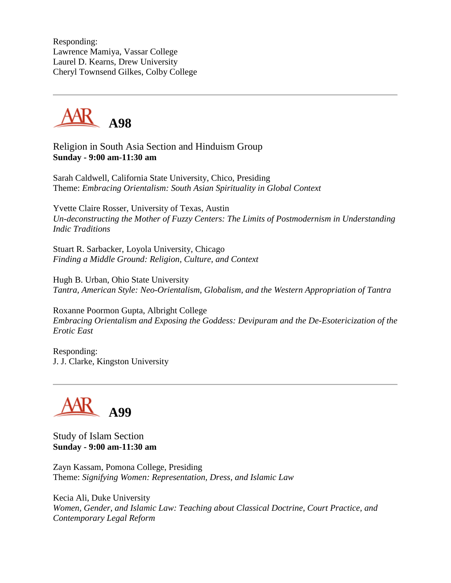Responding: Lawrence Mamiya, Vassar College Laurel D. Kearns, Drew University Cheryl Townsend Gilkes, Colby College



Religion in South Asia Section and Hinduism Group **Sunday - 9:00 am-11:30 am**

Sarah Caldwell, California State University, Chico, Presiding Theme: *Embracing Orientalism: South Asian Spirituality in Global Context*

Yvette Claire Rosser, University of Texas, Austin *Un-deconstructing the Mother of Fuzzy Centers: The Limits of Postmodernism in Understanding Indic Traditions*

Stuart R. Sarbacker, Loyola University, Chicago *Finding a Middle Ground: Religion, Culture, and Context*

Hugh B. Urban, Ohio State University *Tantra, American Style: Neo-Orientalism, Globalism, and the Western Appropriation of Tantra*

Roxanne Poormon Gupta, Albright College *Embracing Orientalism and Exposing the Goddess: Devipuram and the De-Esotericization of the Erotic East*

Responding: J. J. Clarke, Kingston University



Study of Islam Section **Sunday - 9:00 am-11:30 am**

Zayn Kassam, Pomona College, Presiding Theme: *Signifying Women: Representation, Dress, and Islamic Law*

Kecia Ali, Duke University *Women, Gender, and Islamic Law: Teaching about Classical Doctrine, Court Practice, and Contemporary Legal Reform*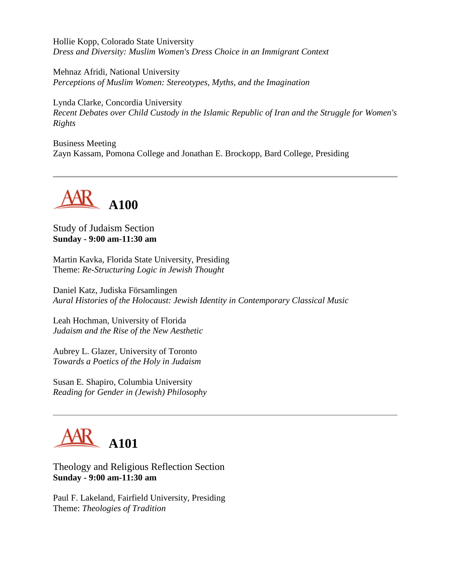Hollie Kopp, Colorado State University *Dress and Diversity: Muslim Women's Dress Choice in an Immigrant Context*

Mehnaz Afridi, National University *Perceptions of Muslim Women: Stereotypes, Myths, and the Imagination*

Lynda Clarke, Concordia University *Recent Debates over Child Custody in the Islamic Republic of Iran and the Struggle for Women's Rights*

Business Meeting Zayn Kassam, Pomona College and Jonathan E. Brockopp, Bard College, Presiding



Study of Judaism Section **Sunday - 9:00 am-11:30 am**

Martin Kavka, Florida State University, Presiding Theme: *Re-Structuring Logic in Jewish Thought*

Daniel Katz, Judiska Församlingen *Aural Histories of the Holocaust: Jewish Identity in Contemporary Classical Music*

Leah Hochman, University of Florida *Judaism and the Rise of the New Aesthetic*

Aubrey L. Glazer, University of Toronto *Towards a Poetics of the Holy in Judaism*

Susan E. Shapiro, Columbia University *Reading for Gender in (Jewish) Philosophy*



# Theology and Religious Reflection Section **Sunday - 9:00 am-11:30 am**

Paul F. Lakeland, Fairfield University, Presiding Theme: *Theologies of Tradition*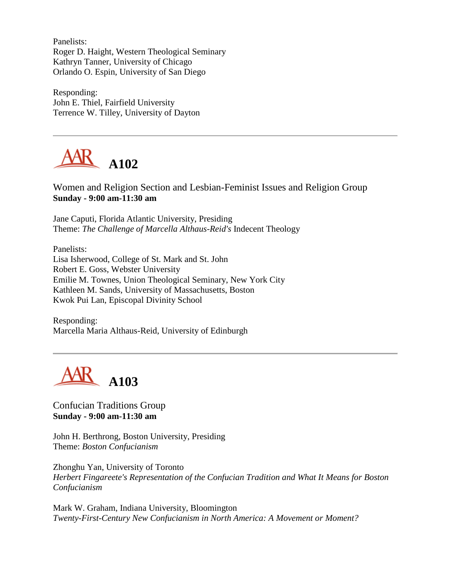Panelists: Roger D. Haight, Western Theological Seminary Kathryn Tanner, University of Chicago Orlando O. Espin, University of San Diego

Responding: John E. Thiel, Fairfield University Terrence W. Tilley, University of Dayton



Women and Religion Section and Lesbian-Feminist Issues and Religion Group **Sunday - 9:00 am-11:30 am**

Jane Caputi, Florida Atlantic University, Presiding Theme: *The Challenge of Marcella Althaus-Reid's* Indecent Theology

Panelists: Lisa Isherwood, College of St. Mark and St. John Robert E. Goss, Webster University Emilie M. Townes, Union Theological Seminary, New York City Kathleen M. Sands, University of Massachusetts, Boston Kwok Pui Lan, Episcopal Divinity School

Responding: Marcella Maria Althaus-Reid, University of Edinburgh



Confucian Traditions Group **Sunday - 9:00 am-11:30 am**

John H. Berthrong, Boston University, Presiding Theme: *Boston Confucianism*

Zhonghu Yan, University of Toronto *Herbert Fingareete's Representation of the Confucian Tradition and What It Means for Boston Confucianism*

Mark W. Graham, Indiana University, Bloomington *Twenty-First-Century New Confucianism in North America: A Movement or Moment?*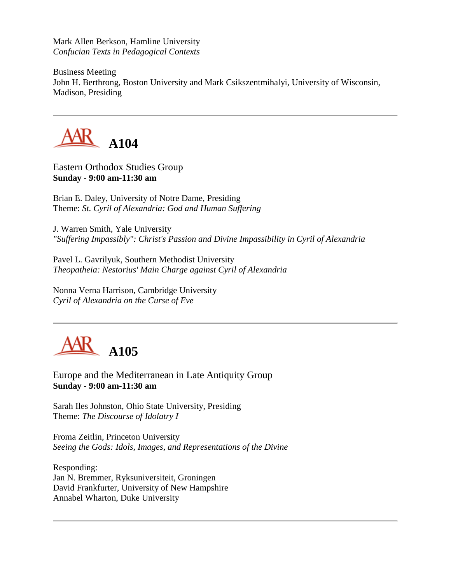Mark Allen Berkson, Hamline University *Confucian Texts in Pedagogical Contexts*

Business Meeting John H. Berthrong, Boston University and Mark Csikszentmihalyi, University of Wisconsin, Madison, Presiding



Eastern Orthodox Studies Group **Sunday - 9:00 am-11:30 am**

Brian E. Daley, University of Notre Dame, Presiding Theme: *St. Cyril of Alexandria: God and Human Suffering*

J. Warren Smith, Yale University *"Suffering Impassibly": Christ's Passion and Divine Impassibility in Cyril of Alexandria*

Pavel L. Gavrilyuk, Southern Methodist University *Theopatheia: Nestorius' Main Charge against Cyril of Alexandria*

Nonna Verna Harrison, Cambridge University *Cyril of Alexandria on the Curse of Eve*



Europe and the Mediterranean in Late Antiquity Group **Sunday - 9:00 am-11:30 am**

Sarah Iles Johnston, Ohio State University, Presiding Theme: *The Discourse of Idolatry I*

Froma Zeitlin, Princeton University *Seeing the Gods: Idols, Images, and Representations of the Divine*

Responding: Jan N. Bremmer, Ryksuniversiteit, Groningen David Frankfurter, University of New Hampshire Annabel Wharton, Duke University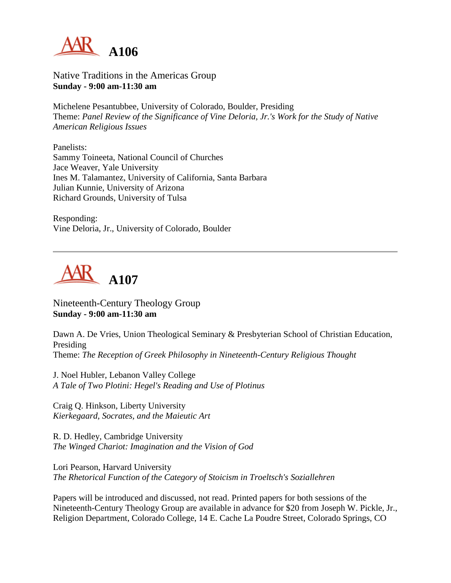

Native Traditions in the Americas Group **Sunday - 9:00 am-11:30 am**

Michelene Pesantubbee, University of Colorado, Boulder, Presiding Theme: *Panel Review of the Significance of Vine Deloria, Jr.'s Work for the Study of Native American Religious Issues*

Panelists: Sammy Toineeta, National Council of Churches Jace Weaver, Yale University Ines M. Talamantez, University of California, Santa Barbara Julian Kunnie, University of Arizona Richard Grounds, University of Tulsa

Responding: Vine Deloria, Jr., University of Colorado, Boulder



Nineteenth-Century Theology Group **Sunday - 9:00 am-11:30 am**

Dawn A. De Vries, Union Theological Seminary & Presbyterian School of Christian Education, Presiding Theme: *The Reception of Greek Philosophy in Nineteenth-Century Religious Thought*

J. Noel Hubler, Lebanon Valley College *A Tale of Two Plotini: Hegel's Reading and Use of Plotinus*

Craig Q. Hinkson, Liberty University *Kierkegaard, Socrates, and the Maieutic Art*

R. D. Hedley, Cambridge University *The Winged Chariot: Imagination and the Vision of God*

Lori Pearson, Harvard University *The Rhetorical Function of the Category of Stoicism in Troeltsch's Soziallehren*

Papers will be introduced and discussed, not read. Printed papers for both sessions of the Nineteenth-Century Theology Group are available in advance for \$20 from Joseph W. Pickle, Jr., Religion Department, Colorado College, 14 E. Cache La Poudre Street, Colorado Springs, CO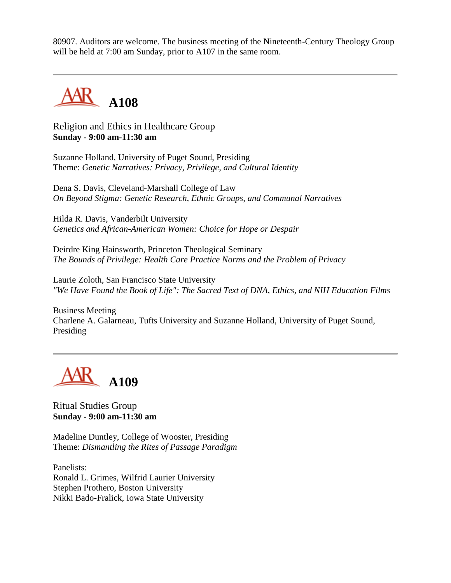80907. Auditors are welcome. The business meeting of the Nineteenth-Century Theology Group will be held at 7:00 am Sunday, prior to A107 in the same room.



Religion and Ethics in Healthcare Group **Sunday - 9:00 am-11:30 am**

Suzanne Holland, University of Puget Sound, Presiding Theme: *Genetic Narratives: Privacy, Privilege, and Cultural Identity*

Dena S. Davis, Cleveland-Marshall College of Law *On Beyond Stigma: Genetic Research, Ethnic Groups, and Communal Narratives*

Hilda R. Davis, Vanderbilt University *Genetics and African-American Women: Choice for Hope or Despair*

Deirdre King Hainsworth, Princeton Theological Seminary *The Bounds of Privilege: Health Care Practice Norms and the Problem of Privacy*

Laurie Zoloth, San Francisco State University *"We Have Found the Book of Life": The Sacred Text of DNA, Ethics, and NIH Education Films*

Business Meeting Charlene A. Galarneau, Tufts University and Suzanne Holland, University of Puget Sound, Presiding



Ritual Studies Group **Sunday - 9:00 am-11:30 am**

Madeline Duntley, College of Wooster, Presiding Theme: *Dismantling the Rites of Passage Paradigm*

Panelists: Ronald L. Grimes, Wilfrid Laurier University Stephen Prothero, Boston University Nikki Bado-Fralick, Iowa State University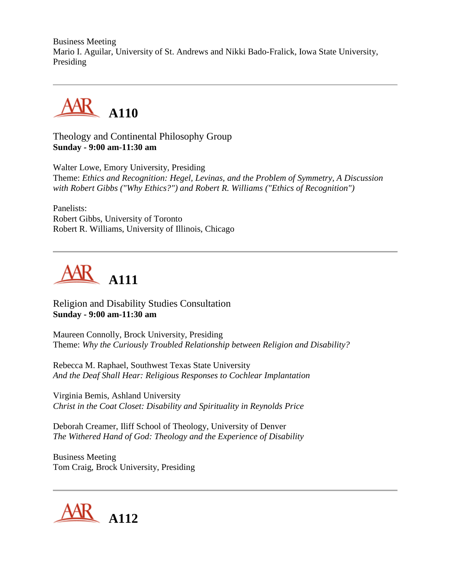Business Meeting Mario I. Aguilar, University of St. Andrews and Nikki Bado-Fralick, Iowa State University, Presiding



Theology and Continental Philosophy Group **Sunday - 9:00 am-11:30 am**

Walter Lowe, Emory University, Presiding Theme: *Ethics and Recognition: Hegel, Levinas, and the Problem of Symmetry, A Discussion with Robert Gibbs ("Why Ethics?") and Robert R. Williams ("Ethics of Recognition")*

Panelists: Robert Gibbs, University of Toronto Robert R. Williams, University of Illinois, Chicago



Religion and Disability Studies Consultation **Sunday - 9:00 am-11:30 am**

Maureen Connolly, Brock University, Presiding Theme: *Why the Curiously Troubled Relationship between Religion and Disability?*

Rebecca M. Raphael, Southwest Texas State University *And the Deaf Shall Hear: Religious Responses to Cochlear Implantation*

Virginia Bemis, Ashland University *Christ in the Coat Closet: Disability and Spirituality in Reynolds Price*

Deborah Creamer, Iliff School of Theology, University of Denver *The Withered Hand of God: Theology and the Experience of Disability*

Business Meeting Tom Craig, Brock University, Presiding

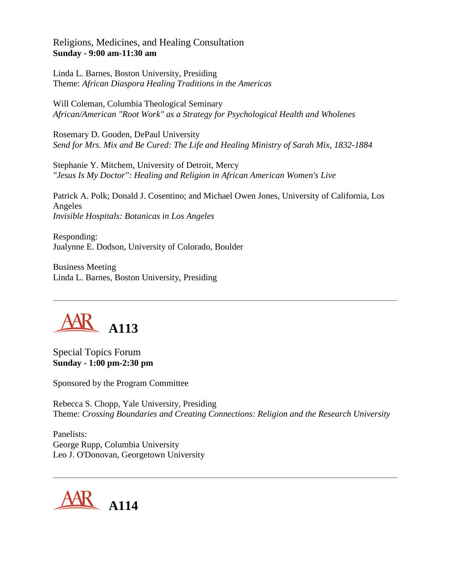## Religions, Medicines, and Healing Consultation **Sunday - 9:00 am-11:30 am**

Linda L. Barnes, Boston University, Presiding Theme: *African Diaspora Healing Traditions in the Americas*

Will Coleman, Columbia Theological Seminary *African/American "Root Work" as a Strategy for Psychological Health and Wholenes*

Rosemary D. Gooden, DePaul University *Send for Mrs. Mix and Be Cured: The Life and Healing Ministry of Sarah Mix, 1832-1884*

Stephanie Y. Mitchem, University of Detroit, Mercy *"Jesus Is My Doctor": Healing and Religion in African American Women's Live*

Patrick A. Polk; Donald J. Cosentino; and Michael Owen Jones, University of California, Los Angeles *Invisible Hospitals: Botanicas in Los Angeles*

Responding: Jualynne E. Dodson, University of Colorado, Boulder

Business Meeting Linda L. Barnes, Boston University, Presiding



Special Topics Forum **Sunday - 1:00 pm-2:30 pm**

Sponsored by the Program Committee

Rebecca S. Chopp, Yale University, Presiding Theme: *Crossing Boundaries and Creating Connections: Religion and the Research University*

Panelists: George Rupp, Columbia University Leo J. O'Donovan, Georgetown University

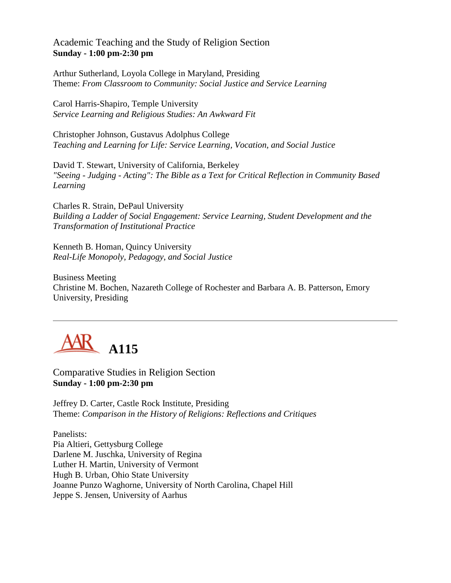## Academic Teaching and the Study of Religion Section **Sunday - 1:00 pm-2:30 pm**

Arthur Sutherland, Loyola College in Maryland, Presiding Theme: *From Classroom to Community: Social Justice and Service Learning*

Carol Harris-Shapiro, Temple University *Service Learning and Religious Studies: An Awkward Fit*

Christopher Johnson, Gustavus Adolphus College *Teaching and Learning for Life: Service Learning, Vocation, and Social Justice*

David T. Stewart, University of California, Berkeley *"Seeing - Judging - Acting": The Bible as a Text for Critical Reflection in Community Based Learning*

Charles R. Strain, DePaul University *Building a Ladder of Social Engagement: Service Learning, Student Development and the Transformation of Institutional Practice*

Kenneth B. Homan, Quincy University *Real-Life Monopoly, Pedagogy, and Social Justice*

Business Meeting Christine M. Bochen, Nazareth College of Rochester and Barbara A. B. Patterson, Emory University, Presiding



Comparative Studies in Religion Section **Sunday - 1:00 pm-2:30 pm**

Jeffrey D. Carter, Castle Rock Institute, Presiding Theme: *Comparison in the History of Religions: Reflections and Critiques*

Panelists: Pia Altieri, Gettysburg College Darlene M. Juschka, University of Regina Luther H. Martin, University of Vermont Hugh B. Urban, Ohio State University Joanne Punzo Waghorne, University of North Carolina, Chapel Hill Jeppe S. Jensen, University of Aarhus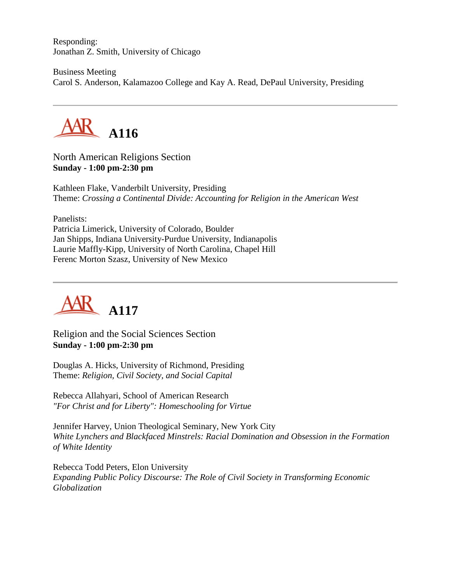Responding: Jonathan Z. Smith, University of Chicago

Business Meeting Carol S. Anderson, Kalamazoo College and Kay A. Read, DePaul University, Presiding



North American Religions Section **Sunday - 1:00 pm-2:30 pm**

Kathleen Flake, Vanderbilt University, Presiding Theme: *Crossing a Continental Divide: Accounting for Religion in the American West*

Panelists:

Patricia Limerick, University of Colorado, Boulder Jan Shipps, Indiana University-Purdue University, Indianapolis Laurie Maffly-Kipp, University of North Carolina, Chapel Hill Ferenc Morton Szasz, University of New Mexico



Religion and the Social Sciences Section **Sunday - 1:00 pm-2:30 pm**

Douglas A. Hicks, University of Richmond, Presiding Theme: *Religion, Civil Society, and Social Capital*

Rebecca Allahyari, School of American Research *"For Christ and for Liberty": Homeschooling for Virtue*

Jennifer Harvey, Union Theological Seminary, New York City *White Lynchers and Blackfaced Minstrels: Racial Domination and Obsession in the Formation of White Identity*

Rebecca Todd Peters, Elon University *Expanding Public Policy Discourse: The Role of Civil Society in Transforming Economic Globalization*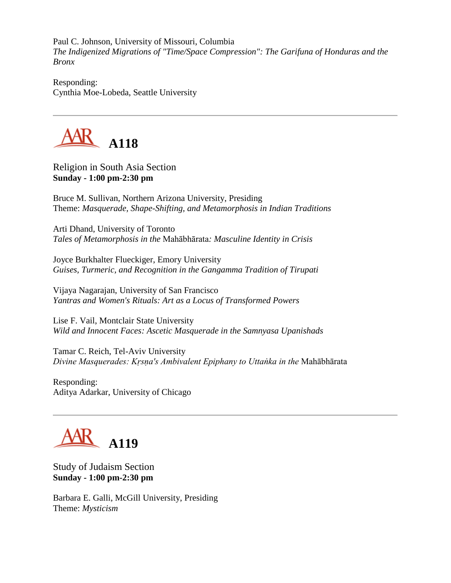Paul C. Johnson, University of Missouri, Columbia *The Indigenized Migrations of "Time/Space Compression": The Garifuna of Honduras and the Bronx*

Responding: Cynthia Moe-Lobeda, Seattle University



Religion in South Asia Section **Sunday - 1:00 pm-2:30 pm**

Bruce M. Sullivan, Northern Arizona University, Presiding Theme: *Masquerade, Shape-Shifting, and Metamorphosis in Indian Traditions*

Arti Dhand, University of Toronto *Tales of Metamorphosis in the* Mahābhārata*: Masculine Identity in Crisis*

Joyce Burkhalter Flueckiger, Emory University *Guises, Turmeric, and Recognition in the Gangamma Tradition of Tirupati*

Vijaya Nagarajan, University of San Francisco *Yantras and Women's Rituals: Art as a Locus of Transformed Powers*

Lise F. Vail, Montclair State University *Wild and Innocent Faces: Ascetic Masquerade in the Samnyasa Upanishads*

Tamar C. Reich, Tel-Aviv University *Divine Masquerades: Kṛsṇa's Ambivalent Epiphany to Uttaṅka in the* Mahābhārata

Responding: Aditya Adarkar, University of Chicago



Study of Judaism Section **Sunday - 1:00 pm-2:30 pm**

Barbara E. Galli, McGill University, Presiding Theme: *Mysticism*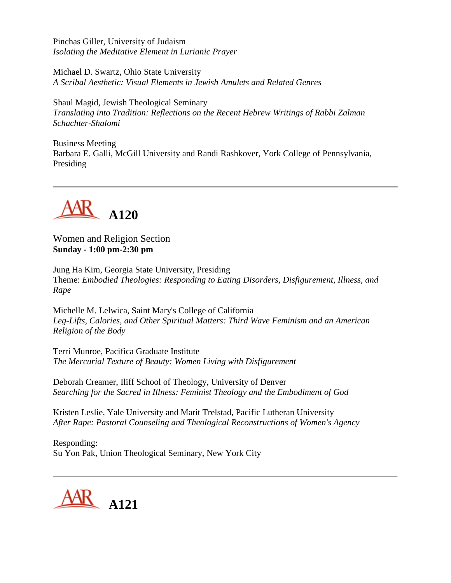Pinchas Giller, University of Judaism *Isolating the Meditative Element in Lurianic Prayer*

Michael D. Swartz, Ohio State University *A Scribal Aesthetic: Visual Elements in Jewish Amulets and Related Genres*

Shaul Magid, Jewish Theological Seminary *Translating into Tradition: Reflections on the Recent Hebrew Writings of Rabbi Zalman Schachter-Shalomi*

Business Meeting Barbara E. Galli, McGill University and Randi Rashkover, York College of Pennsylvania, Presiding



Women and Religion Section **Sunday - 1:00 pm-2:30 pm**

Jung Ha Kim, Georgia State University, Presiding Theme: *Embodied Theologies: Responding to Eating Disorders, Disfigurement, Illness, and Rape*

Michelle M. Lelwica, Saint Mary's College of California *Leg-Lifts, Calories, and Other Spiritual Matters: Third Wave Feminism and an American Religion of the Body*

Terri Munroe, Pacifica Graduate Institute *The Mercurial Texture of Beauty: Women Living with Disfigurement*

Deborah Creamer, Iliff School of Theology, University of Denver *Searching for the Sacred in Illness: Feminist Theology and the Embodiment of God*

Kristen Leslie, Yale University and Marit Trelstad, Pacific Lutheran University *After Rape: Pastoral Counseling and Theological Reconstructions of Women's Agency*

Responding: Su Yon Pak, Union Theological Seminary, New York City

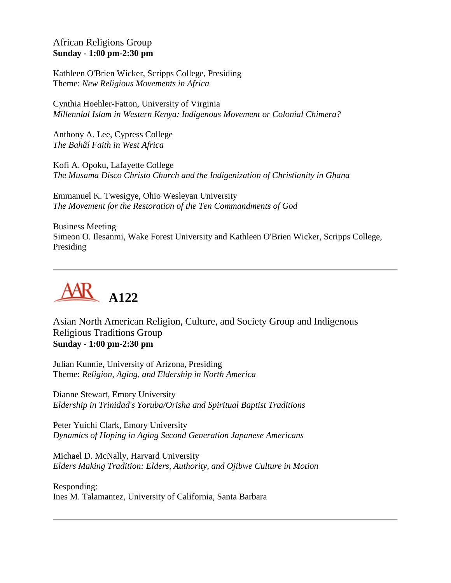## African Religions Group **Sunday - 1:00 pm-2:30 pm**

Kathleen O'Brien Wicker, Scripps College, Presiding Theme: *New Religious Movements in Africa*

Cynthia Hoehler-Fatton, University of Virginia *Millennial Islam in Western Kenya: Indigenous Movement or Colonial Chimera?*

Anthony A. Lee, Cypress College *The Bahâí Faith in West Africa*

Kofi A. Opoku, Lafayette College *The Musama Disco Christo Church and the Indigenization of Christianity in Ghana*

Emmanuel K. Twesigye, Ohio Wesleyan University *The Movement for the Restoration of the Ten Commandments of God*

Business Meeting Simeon O. Ilesanmi, Wake Forest University and Kathleen O'Brien Wicker, Scripps College, Presiding



Asian North American Religion, Culture, and Society Group and Indigenous Religious Traditions Group **Sunday - 1:00 pm-2:30 pm**

Julian Kunnie, University of Arizona, Presiding Theme: *Religion, Aging, and Eldership in North America*

Dianne Stewart, Emory University *Eldership in Trinidad's Yoruba/Orisha and Spiritual Baptist Traditions*

Peter Yuichi Clark, Emory University *Dynamics of Hoping in Aging Second Generation Japanese Americans*

Michael D. McNally, Harvard University *Elders Making Tradition: Elders, Authority, and Ojibwe Culture in Motion*

Responding: Ines M. Talamantez, University of California, Santa Barbara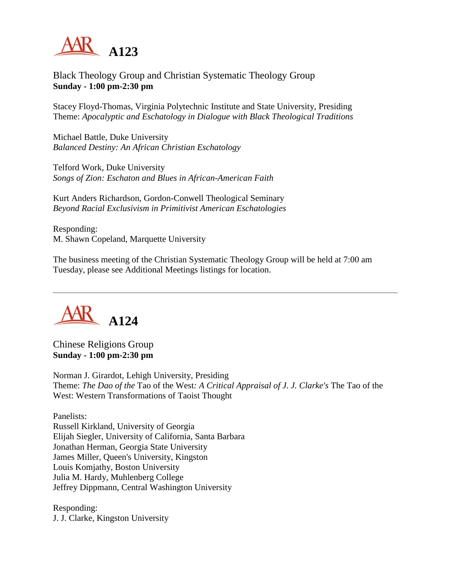

Black Theology Group and Christian Systematic Theology Group **Sunday - 1:00 pm-2:30 pm**

Stacey Floyd-Thomas, Virginia Polytechnic Institute and State University, Presiding Theme: *Apocalyptic and Eschatology in Dialogue with Black Theological Traditions*

Michael Battle, Duke University *Balanced Destiny: An African Christian Eschatology*

Telford Work, Duke University *Songs of Zion: Eschaton and Blues in African-American Faith*

Kurt Anders Richardson, Gordon-Conwell Theological Seminary *Beyond Racial Exclusivism in Primitivist American Eschatologies*

Responding: M. Shawn Copeland, Marquette University

The business meeting of the Christian Systematic Theology Group will be held at 7:00 am Tuesday, please see Additional Meetings listings for location.



Chinese Religions Group **Sunday - 1:00 pm-2:30 pm**

Norman J. Girardot, Lehigh University, Presiding Theme: *The Dao of the* Tao of the West*: A Critical Appraisal of J. J. Clarke's* The Tao of the West: Western Transformations of Taoist Thought

Panelists:

Russell Kirkland, University of Georgia Elijah Siegler, University of California, Santa Barbara Jonathan Herman, Georgia State University James Miller, Queen's University, Kingston Louis Komjathy, Boston University Julia M. Hardy, Muhlenberg College Jeffrey Dippmann, Central Washington University

Responding: J. J. Clarke, Kingston University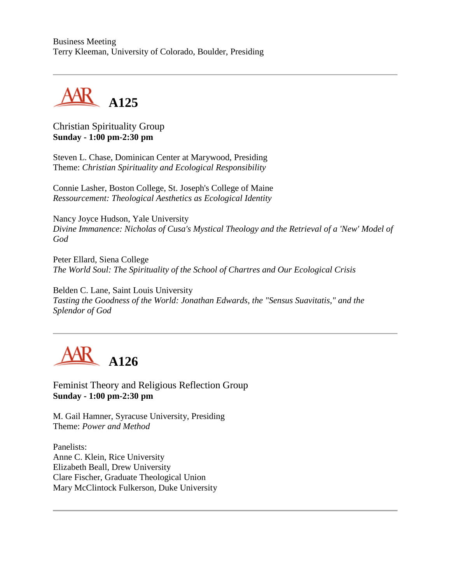Business Meeting Terry Kleeman, University of Colorado, Boulder, Presiding



## Christian Spirituality Group **Sunday - 1:00 pm-2:30 pm**

Steven L. Chase, Dominican Center at Marywood, Presiding Theme: *Christian Spirituality and Ecological Responsibility*

Connie Lasher, Boston College, St. Joseph's College of Maine *Ressourcement: Theological Aesthetics as Ecological Identity*

Nancy Joyce Hudson, Yale University *Divine Immanence: Nicholas of Cusa's Mystical Theology and the Retrieval of a 'New' Model of God*

Peter Ellard, Siena College *The World Soul: The Spirituality of the School of Chartres and Our Ecological Crisis*

Belden C. Lane, Saint Louis University *Tasting the Goodness of the World: Jonathan Edwards, the "Sensus Suavitatis," and the Splendor of God*



Feminist Theory and Religious Reflection Group **Sunday - 1:00 pm-2:30 pm**

M. Gail Hamner, Syracuse University, Presiding Theme: *Power and Method*

Panelists: Anne C. Klein, Rice University Elizabeth Beall, Drew University Clare Fischer, Graduate Theological Union Mary McClintock Fulkerson, Duke University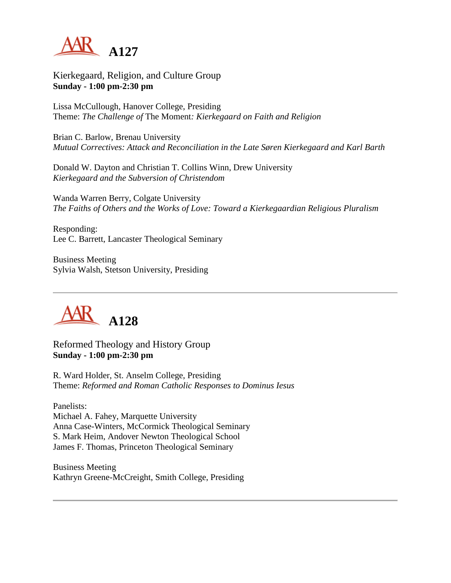

Kierkegaard, Religion, and Culture Group **Sunday - 1:00 pm-2:30 pm**

Lissa McCullough, Hanover College, Presiding Theme: *The Challenge of* The Moment*: Kierkegaard on Faith and Religion*

Brian C. Barlow, Brenau University *Mutual Correctives: Attack and Reconciliation in the Late Søren Kierkegaard and Karl Barth*

Donald W. Dayton and Christian T. Collins Winn, Drew University *Kierkegaard and the Subversion of Christendom*

Wanda Warren Berry, Colgate University *The Faiths of Others and the Works of Love: Toward a Kierkegaardian Religious Pluralism*

Responding: Lee C. Barrett, Lancaster Theological Seminary

Business Meeting Sylvia Walsh, Stetson University, Presiding



Reformed Theology and History Group **Sunday - 1:00 pm-2:30 pm**

R. Ward Holder, St. Anselm College, Presiding Theme: *Reformed and Roman Catholic Responses to Dominus Iesus*

Panelists: Michael A. Fahey, Marquette University Anna Case-Winters, McCormick Theological Seminary S. Mark Heim, Andover Newton Theological School James F. Thomas, Princeton Theological Seminary

Business Meeting Kathryn Greene-McCreight, Smith College, Presiding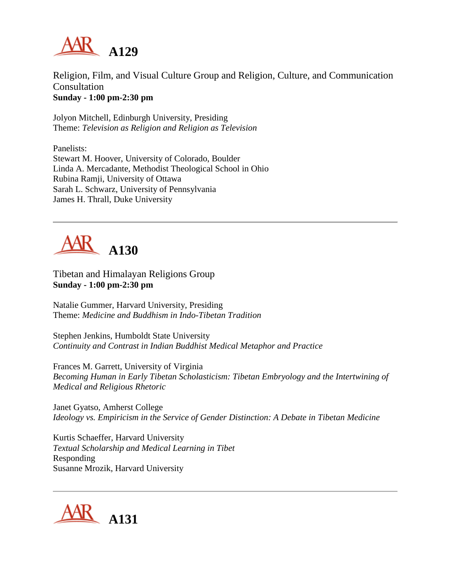

Religion, Film, and Visual Culture Group and Religion, Culture, and Communication Consultation **Sunday - 1:00 pm-2:30 pm**

Jolyon Mitchell, Edinburgh University, Presiding Theme: *Television as Religion and Religion as Television*

Panelists: Stewart M. Hoover, University of Colorado, Boulder Linda A. Mercadante, Methodist Theological School in Ohio Rubina Ramji, University of Ottawa Sarah L. Schwarz, University of Pennsylvania James H. Thrall, Duke University



Tibetan and Himalayan Religions Group **Sunday - 1:00 pm-2:30 pm**

Natalie Gummer, Harvard University, Presiding Theme: *Medicine and Buddhism in Indo-Tibetan Tradition*

Stephen Jenkins, Humboldt State University *Continuity and Contrast in Indian Buddhist Medical Metaphor and Practice*

Frances M. Garrett, University of Virginia *Becoming Human in Early Tibetan Scholasticism: Tibetan Embryology and the Intertwining of Medical and Religious Rhetoric*

Janet Gyatso, Amherst College *Ideology vs. Empiricism in the Service of Gender Distinction: A Debate in Tibetan Medicine*

Kurtis Schaeffer, Harvard University *Textual Scholarship and Medical Learning in Tibet* Responding Susanne Mrozik, Harvard University

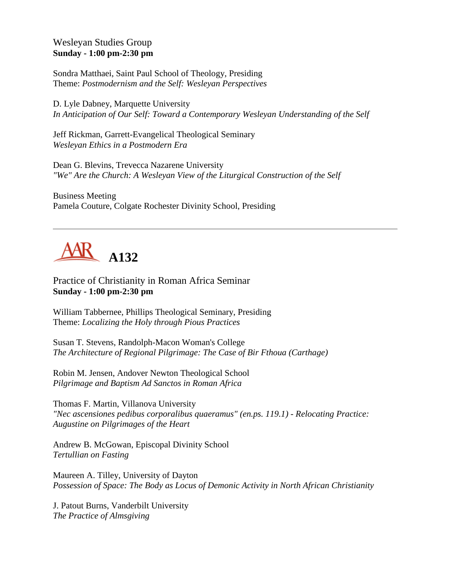## Wesleyan Studies Group **Sunday - 1:00 pm-2:30 pm**

Sondra Matthaei, Saint Paul School of Theology, Presiding Theme: *Postmodernism and the Self: Wesleyan Perspectives*

D. Lyle Dabney, Marquette University *In Anticipation of Our Self: Toward a Contemporary Wesleyan Understanding of the Self*

Jeff Rickman, Garrett-Evangelical Theological Seminary *Wesleyan Ethics in a Postmodern Era*

Dean G. Blevins, Trevecca Nazarene University *"We" Are the Church: A Wesleyan View of the Liturgical Construction of the Self*

Business Meeting Pamela Couture, Colgate Rochester Divinity School, Presiding



Practice of Christianity in Roman Africa Seminar **Sunday - 1:00 pm-2:30 pm**

William Tabbernee, Phillips Theological Seminary, Presiding Theme: *Localizing the Holy through Pious Practices*

Susan T. Stevens, Randolph-Macon Woman's College *The Architecture of Regional Pilgrimage: The Case of Bir Fthoua (Carthage)*

Robin M. Jensen, Andover Newton Theological School *Pilgrimage and Baptism Ad Sanctos in Roman Africa*

Thomas F. Martin, Villanova University *"Nec ascensiones pedibus corporalibus quaeramus" (en.ps. 119.1) - Relocating Practice: Augustine on Pilgrimages of the Heart*

Andrew B. McGowan, Episcopal Divinity School *Tertullian on Fasting*

Maureen A. Tilley, University of Dayton *Possession of Space: The Body as Locus of Demonic Activity in North African Christianity*

J. Patout Burns, Vanderbilt University *The Practice of Almsgiving*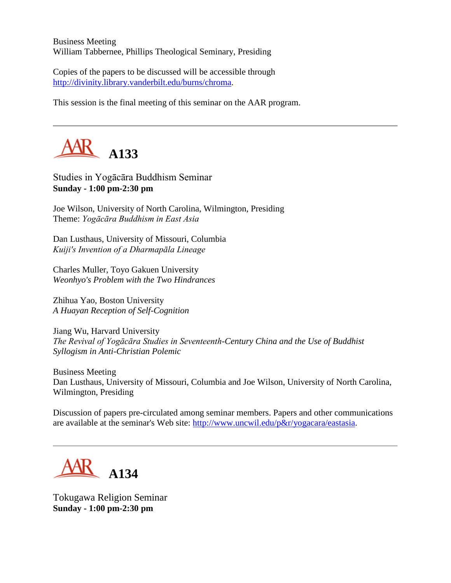Business Meeting William Tabbernee, Phillips Theological Seminary, Presiding

Copies of the papers to be discussed will be accessible through [http://divinity.library.vanderbilt.edu/burns/chroma.](http://divinity.library.vanderbilt.edu/burns/chroma)

This session is the final meeting of this seminar on the AAR program.



Studies in Yogācāra Buddhism Seminar **Sunday - 1:00 pm-2:30 pm**

Joe Wilson, University of North Carolina, Wilmington, Presiding Theme: *Yogācāra Buddhism in East Asia*

Dan Lusthaus, University of Missouri, Columbia *Kuiji's Invention of a Dharmapāla Lineage*

Charles Muller, Toyo Gakuen University *Weonhyo's Problem with the Two Hindrances*

Zhihua Yao, Boston University *A Huayan Reception of Self-Cognition*

Jiang Wu, Harvard University *The Revival of Yogācāra Studies in Seventeenth-Century China and the Use of Buddhist Syllogism in Anti-Christian Polemic*

Business Meeting Dan Lusthaus, University of Missouri, Columbia and Joe Wilson, University of North Carolina, Wilmington, Presiding

Discussion of papers pre-circulated among seminar members. Papers and other communications are available at the seminar's Web site: [http://www.uncwil.edu/p&r/yogacara/eastasia.](http://www.uncwil.edu/p&r/yogacara/eastasia)



Tokugawa Religion Seminar **Sunday - 1:00 pm-2:30 pm**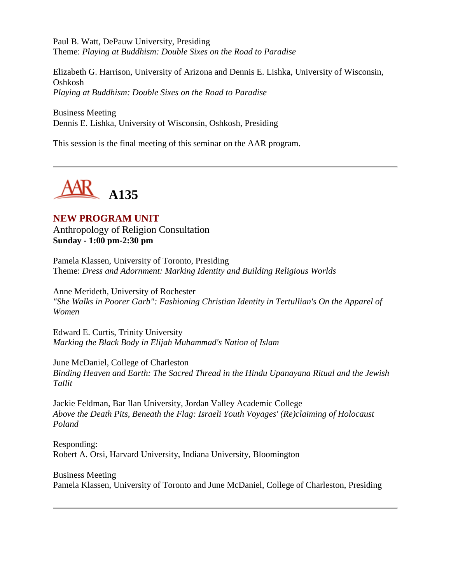Paul B. Watt, DePauw University, Presiding Theme: *Playing at Buddhism: Double Sixes on the Road to Paradise*

Elizabeth G. Harrison, University of Arizona and Dennis E. Lishka, University of Wisconsin, Oshkosh *Playing at Buddhism: Double Sixes on the Road to Paradise*

Business Meeting Dennis E. Lishka, University of Wisconsin, Oshkosh, Presiding

This session is the final meeting of this seminar on the AAR program.



# **NEW PROGRAM UNIT**

Anthropology of Religion Consultation **Sunday - 1:00 pm-2:30 pm**

Pamela Klassen, University of Toronto, Presiding Theme: *Dress and Adornment: Marking Identity and Building Religious Worlds*

Anne Merideth, University of Rochester *"She Walks in Poorer Garb": Fashioning Christian Identity in Tertullian's On the Apparel of Women*

Edward E. Curtis, Trinity University *Marking the Black Body in Elijah Muhammad's Nation of Islam*

June McDaniel, College of Charleston *Binding Heaven and Earth: The Sacred Thread in the Hindu Upanayana Ritual and the Jewish Tallit*

Jackie Feldman, Bar Ilan University, Jordan Valley Academic College *Above the Death Pits, Beneath the Flag: Israeli Youth Voyages' (Re)claiming of Holocaust Poland*

Responding: Robert A. Orsi, Harvard University, Indiana University, Bloomington

Business Meeting Pamela Klassen, University of Toronto and June McDaniel, College of Charleston, Presiding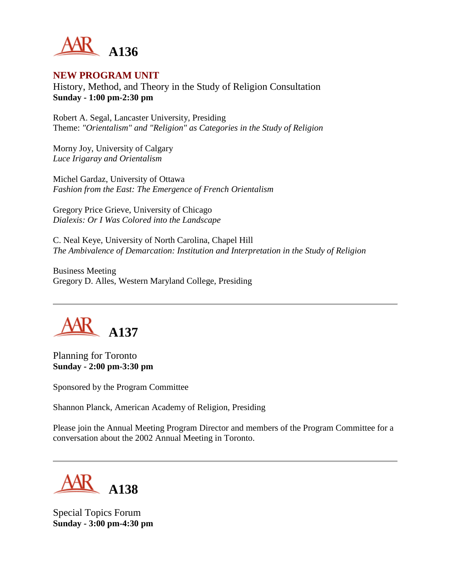

#### **NEW PROGRAM UNIT**

History, Method, and Theory in the Study of Religion Consultation **Sunday - 1:00 pm-2:30 pm**

Robert A. Segal, Lancaster University, Presiding Theme: *"Orientalism" and "Religion" as Categories in the Study of Religion*

Morny Joy, University of Calgary *Luce Irigaray and Orientalism*

Michel Gardaz, University of Ottawa *Fashion from the East: The Emergence of French Orientalism*

Gregory Price Grieve, University of Chicago *Dialexis: Or I Was Colored into the Landscape*

C. Neal Keye, University of North Carolina, Chapel Hill *The Ambivalence of Demarcation: Institution and Interpretation in the Study of Religion*

Business Meeting Gregory D. Alles, Western Maryland College, Presiding



Planning for Toronto **Sunday - 2:00 pm-3:30 pm**

Sponsored by the Program Committee

Shannon Planck, American Academy of Religion, Presiding

Please join the Annual Meeting Program Director and members of the Program Committee for a conversation about the 2002 Annual Meeting in Toronto.



Special Topics Forum **Sunday - 3:00 pm-4:30 pm**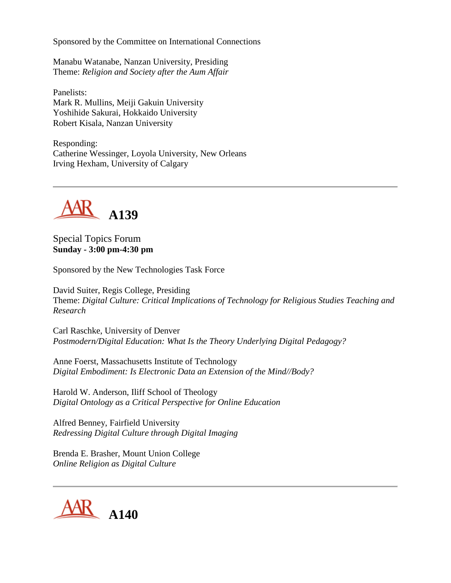Sponsored by the Committee on International Connections

Manabu Watanabe, Nanzan University, Presiding Theme: *Religion and Society after the Aum Affair*

Panelists: Mark R. Mullins, Meiji Gakuin University Yoshihide Sakurai, Hokkaido University Robert Kisala, Nanzan University

Responding: Catherine Wessinger, Loyola University, New Orleans Irving Hexham, University of Calgary



Special Topics Forum **Sunday - 3:00 pm-4:30 pm**

Sponsored by the New Technologies Task Force

David Suiter, Regis College, Presiding Theme: *Digital Culture: Critical Implications of Technology for Religious Studies Teaching and Research*

Carl Raschke, University of Denver *Postmodern/Digital Education: What Is the Theory Underlying Digital Pedagogy?*

Anne Foerst, Massachusetts Institute of Technology *Digital Embodiment: Is Electronic Data an Extension of the Mind//Body?*

Harold W. Anderson, Iliff School of Theology *Digital Ontology as a Critical Perspective for Online Education*

Alfred Benney, Fairfield University *Redressing Digital Culture through Digital Imaging*

Brenda E. Brasher, Mount Union College *Online Religion as Digital Culture*

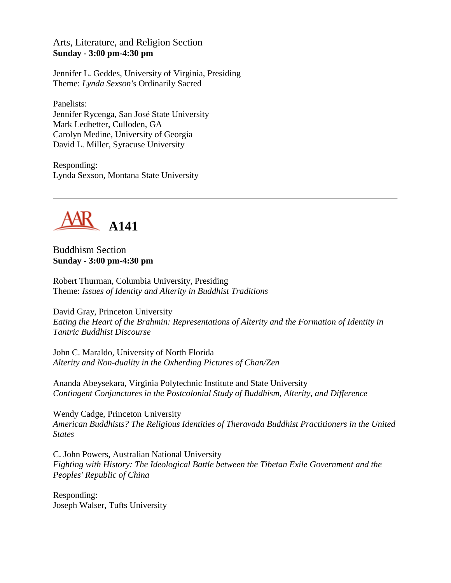#### Arts, Literature, and Religion Section **Sunday - 3:00 pm-4:30 pm**

Jennifer L. Geddes, University of Virginia, Presiding Theme: *Lynda Sexson's* Ordinarily Sacred

Panelists: Jennifer Rycenga, San José State University Mark Ledbetter, Culloden, GA Carolyn Medine, University of Georgia David L. Miller, Syracuse University

Responding: Lynda Sexson, Montana State University



Buddhism Section **Sunday - 3:00 pm-4:30 pm**

Robert Thurman, Columbia University, Presiding Theme: *Issues of Identity and Alterity in Buddhist Traditions*

David Gray, Princeton University *Eating the Heart of the Brahmin: Representations of Alterity and the Formation of Identity in Tantric Buddhist Discourse*

John C. Maraldo, University of North Florida *Alterity and Non-duality in the Oxherding Pictures of Chan/Zen*

Ananda Abeysekara, Virginia Polytechnic Institute and State University *Contingent Conjunctures in the Postcolonial Study of Buddhism, Alterity, and Difference*

Wendy Cadge, Princeton University *American Buddhists? The Religious Identities of Theravada Buddhist Practitioners in the United States*

C. John Powers, Australian National University *Fighting with History: The Ideological Battle between the Tibetan Exile Government and the Peoples' Republic of China*

Responding: Joseph Walser, Tufts University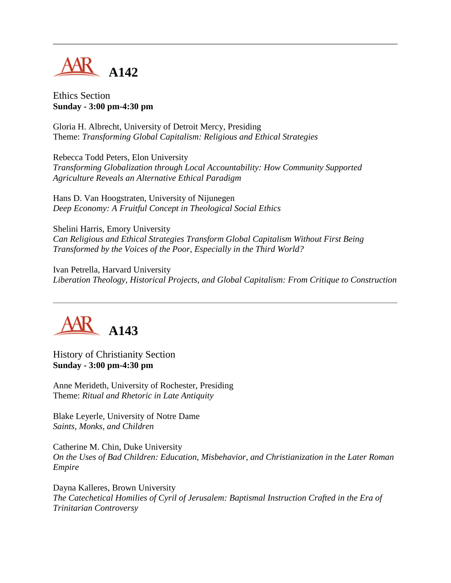

Ethics Section **Sunday - 3:00 pm-4:30 pm**

Gloria H. Albrecht, University of Detroit Mercy, Presiding Theme: *Transforming Global Capitalism: Religious and Ethical Strategies*

Rebecca Todd Peters, Elon University *Transforming Globalization through Local Accountability: How Community Supported Agriculture Reveals an Alternative Ethical Paradigm*

Hans D. Van Hoogstraten, University of Nijunegen *Deep Economy: A Fruitful Concept in Theological Social Ethics*

Shelini Harris, Emory University *Can Religious and Ethical Strategies Transform Global Capitalism Without First Being Transformed by the Voices of the Poor, Especially in the Third World?*

Ivan Petrella, Harvard University *Liberation Theology, Historical Projects, and Global Capitalism: From Critique to Construction*



History of Christianity Section **Sunday - 3:00 pm-4:30 pm**

Anne Merideth, University of Rochester, Presiding Theme: *Ritual and Rhetoric in Late Antiquity*

Blake Leyerle, University of Notre Dame *Saints, Monks, and Children*

Catherine M. Chin, Duke University *On the Uses of Bad Children: Education, Misbehavior, and Christianization in the Later Roman Empire*

Dayna Kalleres, Brown University *The Catechetical Homilies of Cyril of Jerusalem: Baptismal Instruction Crafted in the Era of Trinitarian Controversy*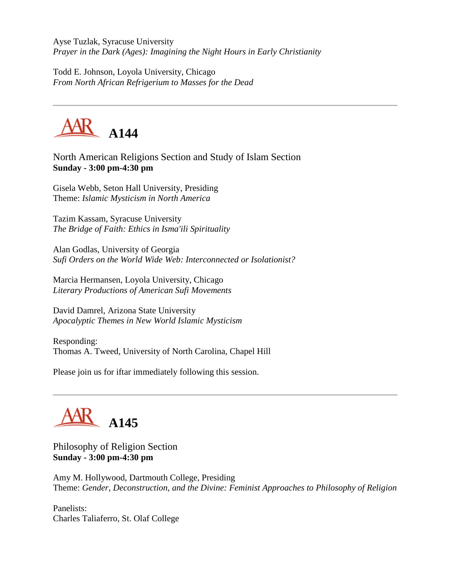Ayse Tuzlak, Syracuse University *Prayer in the Dark (Ages): Imagining the Night Hours in Early Christianity*

Todd E. Johnson, Loyola University, Chicago *From North African Refrigerium to Masses for the Dead*



North American Religions Section and Study of Islam Section **Sunday - 3:00 pm-4:30 pm**

Gisela Webb, Seton Hall University, Presiding Theme: *Islamic Mysticism in North America*

Tazim Kassam, Syracuse University *The Bridge of Faith: Ethics in Isma'ili Spirituality*

Alan Godlas, University of Georgia *Sufi Orders on the World Wide Web: Interconnected or Isolationist?*

Marcia Hermansen, Loyola University, Chicago *Literary Productions of American Sufi Movements*

David Damrel, Arizona State University *Apocalyptic Themes in New World Islamic Mysticism*

Responding: Thomas A. Tweed, University of North Carolina, Chapel Hill

Please join us for iftar immediately following this session.

# **A145**

Philosophy of Religion Section **Sunday - 3:00 pm-4:30 pm**

Amy M. Hollywood, Dartmouth College, Presiding Theme: *Gender, Deconstruction, and the Divine: Feminist Approaches to Philosophy of Religion*

Panelists: Charles Taliaferro, St. Olaf College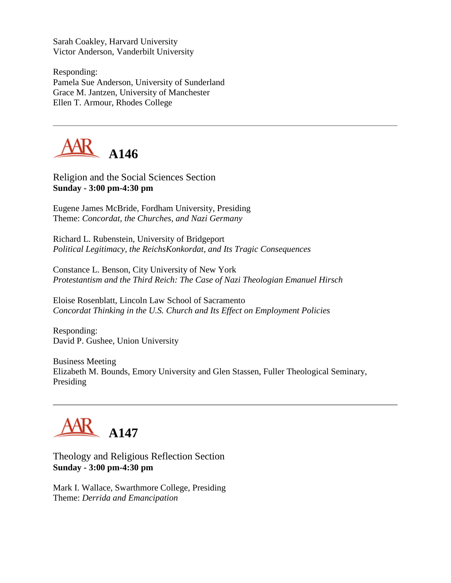Sarah Coakley, Harvard University Victor Anderson, Vanderbilt University

Responding: Pamela Sue Anderson, University of Sunderland Grace M. Jantzen, University of Manchester Ellen T. Armour, Rhodes College



Religion and the Social Sciences Section **Sunday - 3:00 pm-4:30 pm**

Eugene James McBride, Fordham University, Presiding Theme: *Concordat, the Churches, and Nazi Germany*

Richard L. Rubenstein, University of Bridgeport *Political Legitimacy, the ReichsKonkordat, and Its Tragic Consequences*

Constance L. Benson, City University of New York *Protestantism and the Third Reich: The Case of Nazi Theologian Emanuel Hirsch*

Eloise Rosenblatt, Lincoln Law School of Sacramento *Concordat Thinking in the U.S. Church and Its Effect on Employment Policies*

Responding: David P. Gushee, Union University

Business Meeting Elizabeth M. Bounds, Emory University and Glen Stassen, Fuller Theological Seminary, Presiding

# $\mathbf{K}$  A147

#### Theology and Religious Reflection Section **Sunday - 3:00 pm-4:30 pm**

Mark I. Wallace, Swarthmore College, Presiding Theme: *Derrida and Emancipation*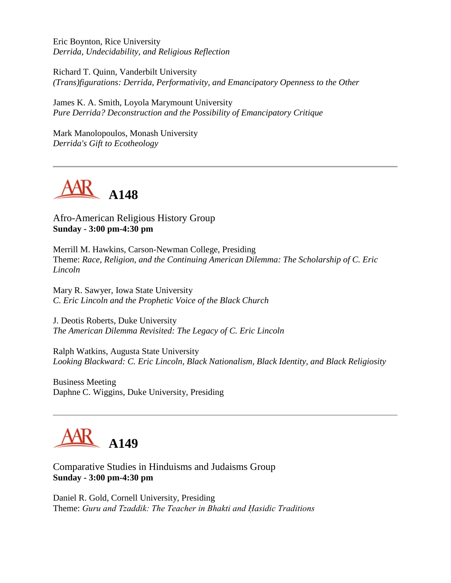Eric Boynton, Rice University *Derrida, Undecidability, and Religious Reflection*

Richard T. Quinn, Vanderbilt University *(Trans)figurations: Derrida, Performativity, and Emancipatory Openness to the Other*

James K. A. Smith, Loyola Marymount University *Pure Derrida? Deconstruction and the Possibility of Emancipatory Critique*

Mark Manolopoulos, Monash University *Derrida's Gift to Ecotheology*



Afro-American Religious History Group **Sunday - 3:00 pm-4:30 pm**

Merrill M. Hawkins, Carson-Newman College, Presiding Theme: *Race, Religion, and the Continuing American Dilemma: The Scholarship of C. Eric Lincoln*

Mary R. Sawyer, Iowa State University *C. Eric Lincoln and the Prophetic Voice of the Black Church*

J. Deotis Roberts, Duke University *The American Dilemma Revisited: The Legacy of C. Eric Lincoln*

Ralph Watkins, Augusta State University *Looking Blackward: C. Eric Lincoln, Black Nationalism, Black Identity, and Black Religiosity*

Business Meeting Daphne C. Wiggins, Duke University, Presiding



Comparative Studies in Hinduisms and Judaisms Group **Sunday - 3:00 pm-4:30 pm**

Daniel R. Gold, Cornell University, Presiding Theme: *Guru and Tzaddik: The Teacher in Bhakti and Ḥasidic Traditions*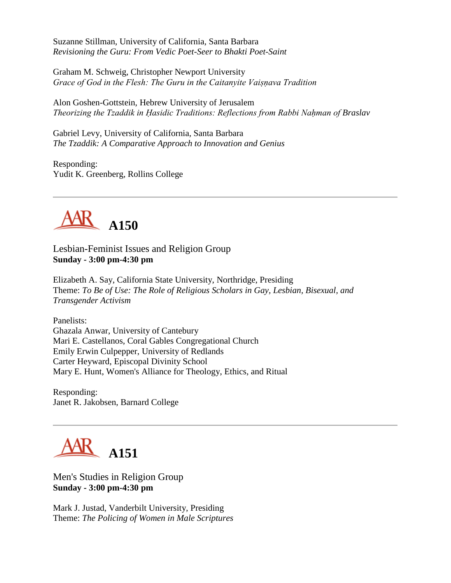Suzanne Stillman, University of California, Santa Barbara *Revisioning the Guru: From Vedic Poet-Seer to Bhakti Poet-Saint*

Graham M. Schweig, Christopher Newport University *Grace of God in the Flesh: The Guru in the Caitanyite Vaiṣṇava Tradition*

Alon Goshen-Gottstein, Hebrew University of Jerusalem *Theorizing the Tzaddik in Ḥasidic Traditions: Reflections from Rabbi Naḥman of Braslav*

Gabriel Levy, University of California, Santa Barbara *The Tzaddik: A Comparative Approach to Innovation and Genius*

Responding: Yudit K. Greenberg, Rollins College



Lesbian-Feminist Issues and Religion Group **Sunday - 3:00 pm-4:30 pm**

Elizabeth A. Say, California State University, Northridge, Presiding Theme: *To Be of Use: The Role of Religious Scholars in Gay, Lesbian, Bisexual, and Transgender Activism*

Panelists: Ghazala Anwar, University of Cantebury Mari E. Castellanos, Coral Gables Congregational Church Emily Erwin Culpepper, University of Redlands Carter Heyward, Episcopal Divinity School Mary E. Hunt, Women's Alliance for Theology, Ethics, and Ritual

Responding: Janet R. Jakobsen, Barnard College



Men's Studies in Religion Group **Sunday - 3:00 pm-4:30 pm**

Mark J. Justad, Vanderbilt University, Presiding Theme: *The Policing of Women in Male Scriptures*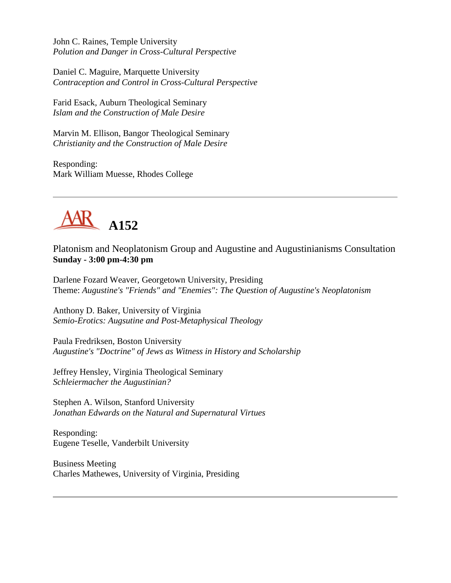John C. Raines, Temple University *Polution and Danger in Cross-Cultural Perspective*

Daniel C. Maguire, Marquette University *Contraception and Control in Cross-Cultural Perspective*

Farid Esack, Auburn Theological Seminary *Islam and the Construction of Male Desire*

Marvin M. Ellison, Bangor Theological Seminary *Christianity and the Construction of Male Desire*

Responding: Mark William Muesse, Rhodes College



Platonism and Neoplatonism Group and Augustine and Augustinianisms Consultation **Sunday - 3:00 pm-4:30 pm**

Darlene Fozard Weaver, Georgetown University, Presiding Theme: *Augustine's "Friends" and "Enemies": The Question of Augustine's Neoplatonism*

Anthony D. Baker, University of Virginia *Semio-Erotics: Augsutine and Post-Metaphysical Theology*

Paula Fredriksen, Boston University *Augustine's "Doctrine" of Jews as Witness in History and Scholarship*

Jeffrey Hensley, Virginia Theological Seminary *Schleiermacher the Augustinian?*

Stephen A. Wilson, Stanford University *Jonathan Edwards on the Natural and Supernatural Virtues*

Responding: Eugene Teselle, Vanderbilt University

Business Meeting Charles Mathewes, University of Virginia, Presiding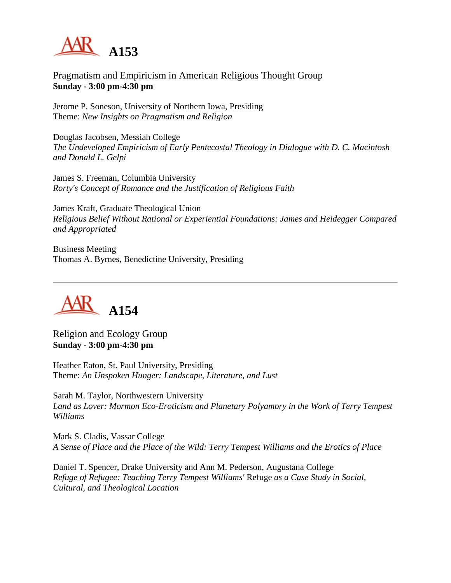

Pragmatism and Empiricism in American Religious Thought Group **Sunday - 3:00 pm-4:30 pm**

Jerome P. Soneson, University of Northern Iowa, Presiding Theme: *New Insights on Pragmatism and Religion*

Douglas Jacobsen, Messiah College *The Undeveloped Empiricism of Early Pentecostal Theology in Dialogue with D. C. Macintosh and Donald L. Gelpi*

James S. Freeman, Columbia University *Rorty's Concept of Romance and the Justification of Religious Faith*

James Kraft, Graduate Theological Union *Religious Belief Without Rational or Experiential Foundations: James and Heidegger Compared and Appropriated*

Business Meeting Thomas A. Byrnes, Benedictine University, Presiding



Religion and Ecology Group **Sunday - 3:00 pm-4:30 pm**

Heather Eaton, St. Paul University, Presiding Theme: *An Unspoken Hunger: Landscape, Literature, and Lust*

Sarah M. Taylor, Northwestern University *Land as Lover: Mormon Eco-Eroticism and Planetary Polyamory in the Work of Terry Tempest Williams*

Mark S. Cladis, Vassar College *A Sense of Place and the Place of the Wild: Terry Tempest Williams and the Erotics of Place*

Daniel T. Spencer, Drake University and Ann M. Pederson, Augustana College *Refuge of Refugee: Teaching Terry Tempest Williams'* Refuge *as a Case Study in Social, Cultural, and Theological Location*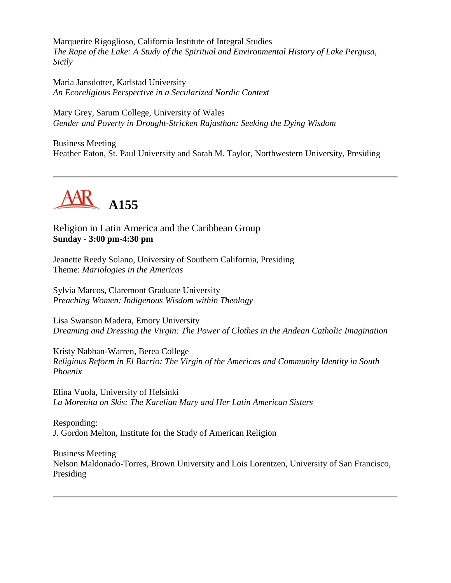Marquerite Rigoglioso, California Institute of Integral Studies *The Rape of the Lake: A Study of the Spiritual and Environmental History of Lake Pergusa, Sicily*

Maria Jansdotter, Karlstad University *An Ecoreligious Perspective in a Secularized Nordic Context*

Mary Grey, Sarum College, University of Wales *Gender and Poverty in Drought-Stricken Rajasthan: Seeking the Dying Wisdom*

Business Meeting Heather Eaton, St. Paul University and Sarah M. Taylor, Northwestern University, Presiding



Religion in Latin America and the Caribbean Group **Sunday - 3:00 pm-4:30 pm**

Jeanette Reedy Solano, University of Southern California, Presiding Theme: *Mariologies in the Americas*

Sylvia Marcos, Claremont Graduate University *Preaching Women: Indigenous Wisdom within Theology*

Lisa Swanson Madera, Emory University *Dreaming and Dressing the Virgin: The Power of Clothes in the Andean Catholic Imagination*

Kristy Nabhan-Warren, Berea College *Religious Reform in El Barrio: The Virgin of the Americas and Community Identity in South Phoenix*

Elina Vuola, University of Helsinki *La Morenita on Skis: The Karelian Mary and Her Latin American Sisters*

Responding: J. Gordon Melton, Institute for the Study of American Religion

Business Meeting Nelson Maldonado-Torres, Brown University and Lois Lorentzen, University of San Francisco, Presiding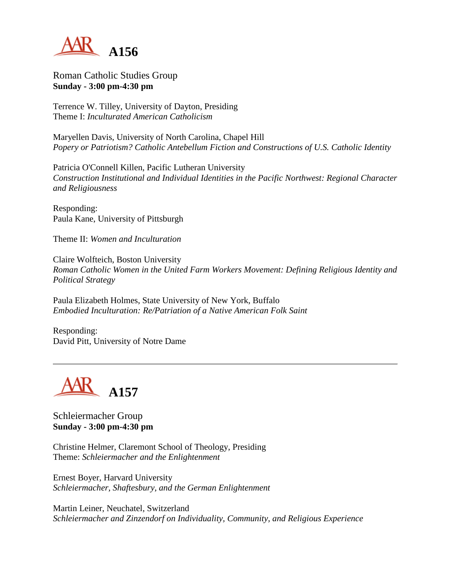

Roman Catholic Studies Group **Sunday - 3:00 pm-4:30 pm**

Terrence W. Tilley, University of Dayton, Presiding Theme I: *Inculturated American Catholicism*

Maryellen Davis, University of North Carolina, Chapel Hill *Popery or Patriotism? Catholic Antebellum Fiction and Constructions of U.S. Catholic Identity*

Patricia O'Connell Killen, Pacific Lutheran University *Construction Institutional and Individual Identities in the Pacific Northwest: Regional Character and Religiousness*

Responding: Paula Kane, University of Pittsburgh

Theme II: *Women and Inculturation*

Claire Wolfteich, Boston University *Roman Catholic Women in the United Farm Workers Movement: Defining Religious Identity and Political Strategy*

Paula Elizabeth Holmes, State University of New York, Buffalo *Embodied Inculturation: Re/Patriation of a Native American Folk Saint*

Responding: David Pitt, University of Notre Dame



Schleiermacher Group **Sunday - 3:00 pm-4:30 pm**

Christine Helmer, Claremont School of Theology, Presiding Theme: *Schleiermacher and the Enlightenment*

Ernest Boyer, Harvard University *Schleiermacher, Shaftesbury, and the German Enlightenment*

Martin Leiner, Neuchatel, Switzerland *Schleiermacher and Zinzendorf on Individuality, Community, and Religious Experience*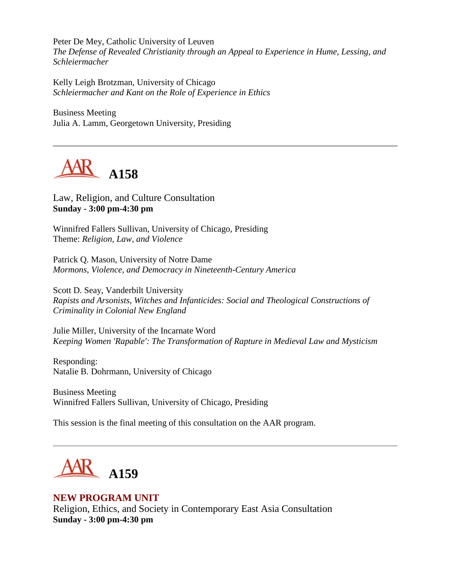Peter De Mey, Catholic University of Leuven *The Defense of Revealed Christianity through an Appeal to Experience in Hume, Lessing, and Schleiermacher*

Kelly Leigh Brotzman, University of Chicago *Schleiermacher and Kant on the Role of Experience in Ethics*

Business Meeting Julia A. Lamm, Georgetown University, Presiding



Law, Religion, and Culture Consultation **Sunday - 3:00 pm-4:30 pm**

Winnifred Fallers Sullivan, University of Chicago, Presiding Theme: *Religion, Law, and Violence*

Patrick Q. Mason, University of Notre Dame *Mormons, Violence, and Democracy in Nineteenth-Century America*

Scott D. Seay, Vanderbilt University *Rapists and Arsonists, Witches and Infanticides: Social and Theological Constructions of Criminality in Colonial New England*

Julie Miller, University of the Incarnate Word *Keeping Women 'Rapable': The Transformation of Rapture in Medieval Law and Mysticism*

Responding: Natalie B. Dohrmann, University of Chicago

Business Meeting Winnifred Fallers Sullivan, University of Chicago, Presiding

This session is the final meeting of this consultation on the AAR program.



# **NEW PROGRAM UNIT**

Religion, Ethics, and Society in Contemporary East Asia Consultation **Sunday - 3:00 pm-4:30 pm**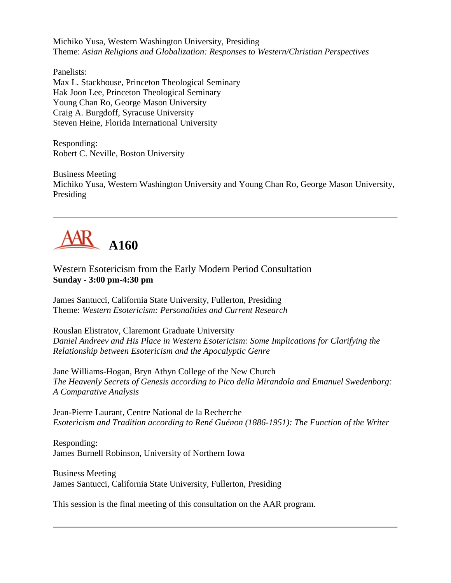Michiko Yusa, Western Washington University, Presiding Theme: *Asian Religions and Globalization: Responses to Western/Christian Perspectives*

Panelists: Max L. Stackhouse, Princeton Theological Seminary Hak Joon Lee, Princeton Theological Seminary Young Chan Ro, George Mason University Craig A. Burgdoff, Syracuse University Steven Heine, Florida International University

Responding: Robert C. Neville, Boston University

Business Meeting Michiko Yusa, Western Washington University and Young Chan Ro, George Mason University, Presiding



Western Esotericism from the Early Modern Period Consultation **Sunday - 3:00 pm-4:30 pm**

James Santucci, California State University, Fullerton, Presiding Theme: *Western Esotericism: Personalities and Current Research*

Rouslan Elistratov, Claremont Graduate University *Daniel Andreev and His Place in Western Esotericism: Some Implications for Clarifying the Relationship between Esotericism and the Apocalyptic Genre*

Jane Williams-Hogan, Bryn Athyn College of the New Church *The Heavenly Secrets of Genesis according to Pico della Mirandola and Emanuel Swedenborg: A Comparative Analysis*

Jean-Pierre Laurant, Centre National de la Recherche *Esotericism and Tradition according to René Guénon (1886-1951): The Function of the Writer*

Responding: James Burnell Robinson, University of Northern Iowa

Business Meeting James Santucci, California State University, Fullerton, Presiding

This session is the final meeting of this consultation on the AAR program.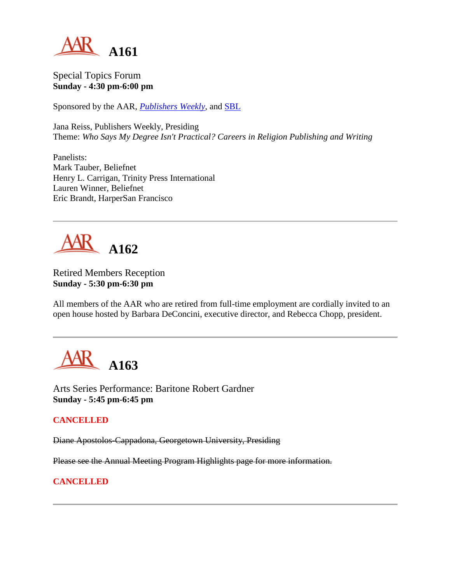

Special Topics Forum **Sunday - 4:30 pm-6:00 pm**

Sponsored by the AAR, *[Publishers Weekly](http://www.publishersweekly.com/)*, and [SBL](http://www.sbl-site.org/)

Jana Reiss, Publishers Weekly, Presiding Theme: *Who Says My Degree Isn't Practical? Careers in Religion Publishing and Writing*

Panelists: Mark Tauber, Beliefnet Henry L. Carrigan, Trinity Press International Lauren Winner, Beliefnet Eric Brandt, HarperSan Francisco



Retired Members Reception **Sunday - 5:30 pm-6:30 pm**

All members of the AAR who are retired from full-time employment are cordially invited to an open house hosted by Barbara DeConcini, executive director, and Rebecca Chopp, president.



Arts Series Performance: Baritone Robert Gardner **Sunday - 5:45 pm-6:45 pm**

#### **CANCELLED**

Diane Apostolos-Cappadona, Georgetown University, Presiding

Please see the Annual Meeting Program Highlights page for more information.

#### **CANCELLED**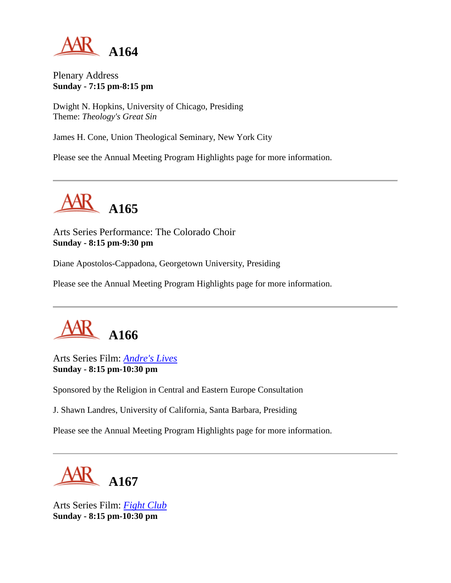

Plenary Address **Sunday - 7:15 pm-8:15 pm**

Dwight N. Hopkins, University of Chicago, Presiding Theme: *Theology's Great Sin*

James H. Cone, Union Theological Seminary, New York City

Please see the Annual Meeting Program Highlights page for more information.



Arts Series Performance: The Colorado Choir **Sunday - 8:15 pm-9:30 pm**

Diane Apostolos-Cappadona, Georgetown University, Presiding

Please see the Annual Meeting Program Highlights page for more information.



Arts Series Film: *[Andre's Lives](http://www.jewishculture.org/film/andre.htm)* **Sunday - 8:15 pm-10:30 pm**

Sponsored by the Religion in Central and Eastern Europe Consultation

J. Shawn Landres, University of California, Santa Barbara, Presiding

Please see the Annual Meeting Program Highlights page for more information.



Arts Series Film: *[Fight Club](http://www.foxmovies.com/fightclub/)* **Sunday - 8:15 pm-10:30 pm**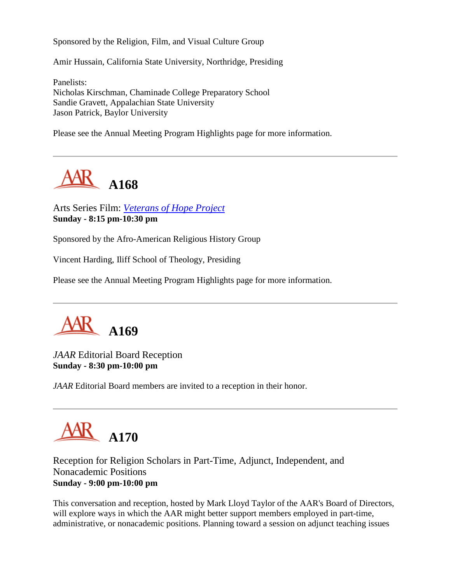Sponsored by the Religion, Film, and Visual Culture Group

Amir Hussain, California State University, Northridge, Presiding

Panelists: Nicholas Kirschman, Chaminade College Preparatory School Sandie Gravett, Appalachian State University Jason Patrick, Baylor University

Please see the Annual Meeting Program Highlights page for more information.



Arts Series Film: *[Veterans of Hope Project](http://www.iliff.edu/about_iliff/special_veterans.htm)* **Sunday - 8:15 pm-10:30 pm**

Sponsored by the Afro-American Religious History Group

Vincent Harding, Iliff School of Theology, Presiding

Please see the Annual Meeting Program Highlights page for more information.



*JAAR* Editorial Board Reception **Sunday - 8:30 pm-10:00 pm**

*JAAR* Editorial Board members are invited to a reception in their honor.



Reception for Religion Scholars in Part-Time, Adjunct, Independent, and Nonacademic Positions **Sunday - 9:00 pm-10:00 pm**

This conversation and reception, hosted by Mark Lloyd Taylor of the AAR's Board of Directors, will explore ways in which the AAR might better support members employed in part-time, administrative, or nonacademic positions. Planning toward a session on adjunct teaching issues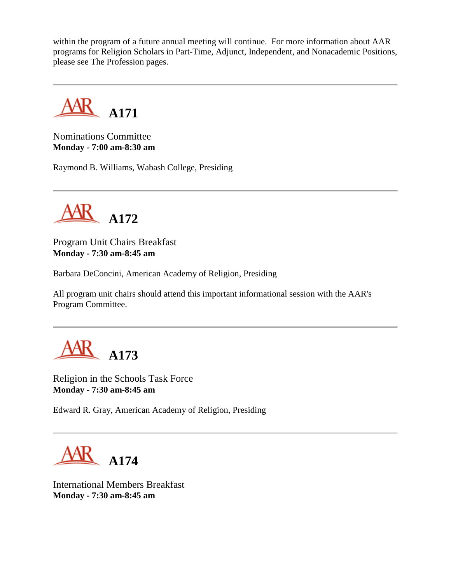within the program of a future annual meeting will continue. For more information about AAR programs for Religion Scholars in Part-Time, Adjunct, Independent, and Nonacademic Positions, please see The Profession pages.



Nominations Committee **Monday - 7:00 am-8:30 am**

Raymond B. Williams, Wabash College, Presiding



Program Unit Chairs Breakfast **Monday - 7:30 am-8:45 am**

Barbara DeConcini, American Academy of Religion, Presiding

All program unit chairs should attend this important informational session with the AAR's Program Committee.



Religion in the Schools Task Force **Monday - 7:30 am-8:45 am**

Edward R. Gray, American Academy of Religion, Presiding



International Members Breakfast **Monday - 7:30 am-8:45 am**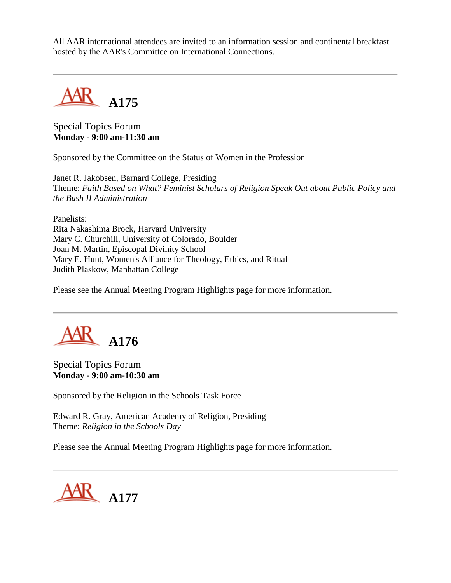All AAR international attendees are invited to an information session and continental breakfast hosted by the AAR's Committee on International Connections.



Special Topics Forum **Monday - 9:00 am-11:30 am**

Sponsored by the Committee on the Status of Women in the Profession

Janet R. Jakobsen, Barnard College, Presiding Theme: *Faith Based on What? Feminist Scholars of Religion Speak Out about Public Policy and the Bush II Administration*

Panelists: Rita Nakashima Brock, Harvard University Mary C. Churchill, University of Colorado, Boulder Joan M. Martin, Episcopal Divinity School Mary E. Hunt, Women's Alliance for Theology, Ethics, and Ritual Judith Plaskow, Manhattan College

Please see the Annual Meeting Program Highlights page for more information.



Special Topics Forum **Monday - 9:00 am-10:30 am**

Sponsored by the Religion in the Schools Task Force

Edward R. Gray, American Academy of Religion, Presiding Theme: *Religion in the Schools Day*

Please see the Annual Meeting Program Highlights page for more information.

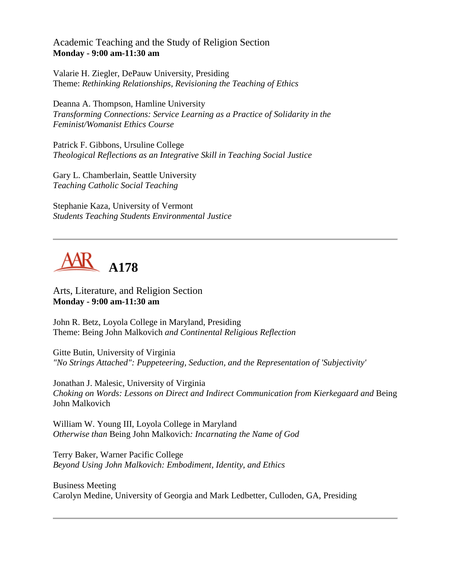Academic Teaching and the Study of Religion Section **Monday - 9:00 am-11:30 am**

Valarie H. Ziegler, DePauw University, Presiding Theme: *Rethinking Relationships, Revisioning the Teaching of Ethics*

Deanna A. Thompson, Hamline University *Transforming Connections: Service Learning as a Practice of Solidarity in the Feminist/Womanist Ethics Course*

Patrick F. Gibbons, Ursuline College *Theological Reflections as an Integrative Skill in Teaching Social Justice*

Gary L. Chamberlain, Seattle University *Teaching Catholic Social Teaching*

Stephanie Kaza, University of Vermont *Students Teaching Students Environmental Justice*

# **A178**

Arts, Literature, and Religion Section **Monday - 9:00 am-11:30 am**

John R. Betz, Loyola College in Maryland, Presiding Theme: Being John Malkovich *and Continental Religious Reflection*

Gitte Butin, University of Virginia *"No Strings Attached": Puppeteering, Seduction, and the Representation of 'Subjectivity'*

Jonathan J. Malesic, University of Virginia *Choking on Words: Lessons on Direct and Indirect Communication from Kierkegaard and* Being John Malkovich

William W. Young III, Loyola College in Maryland *Otherwise than* Being John Malkovich*: Incarnating the Name of God*

Terry Baker, Warner Pacific College *Beyond Using John Malkovich: Embodiment, Identity, and Ethics*

Business Meeting Carolyn Medine, University of Georgia and Mark Ledbetter, Culloden, GA, Presiding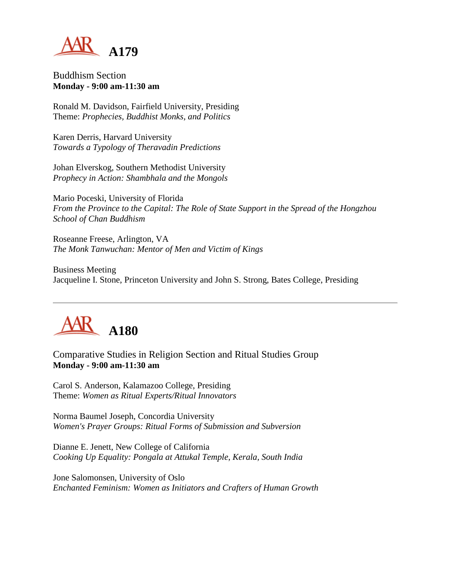

Buddhism Section **Monday - 9:00 am-11:30 am**

Ronald M. Davidson, Fairfield University, Presiding Theme: *Prophecies, Buddhist Monks, and Politics*

Karen Derris, Harvard University *Towards a Typology of Theravadin Predictions*

Johan Elverskog, Southern Methodist University *Prophecy in Action: Shambhala and the Mongols*

Mario Poceski, University of Florida *From the Province to the Capital: The Role of State Support in the Spread of the Hongzhou School of Chan Buddhism*

Roseanne Freese, Arlington, VA *The Monk Tanwuchan: Mentor of Men and Victim of Kings*

Business Meeting Jacqueline I. Stone, Princeton University and John S. Strong, Bates College, Presiding



Comparative Studies in Religion Section and Ritual Studies Group **Monday - 9:00 am-11:30 am**

Carol S. Anderson, Kalamazoo College, Presiding Theme: *Women as Ritual Experts/Ritual Innovators*

Norma Baumel Joseph, Concordia University *Women's Prayer Groups: Ritual Forms of Submission and Subversion*

Dianne E. Jenett, New College of California *Cooking Up Equality: Pongala at Attukal Temple, Kerala, South India*

Jone Salomonsen, University of Oslo *Enchanted Feminism: Women as Initiators and Crafters of Human Growth*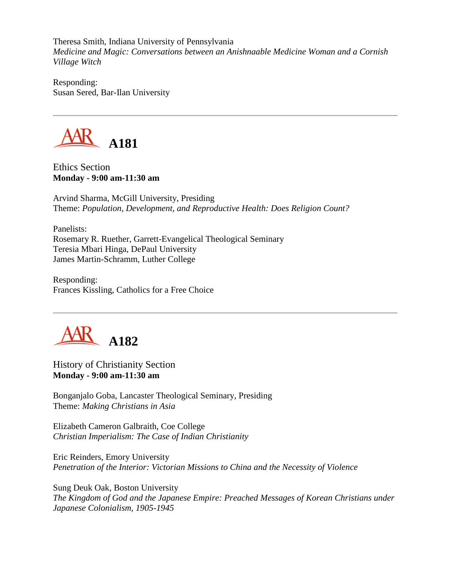Theresa Smith, Indiana University of Pennsylvania *Medicine and Magic: Conversations between an Anishnaable Medicine Woman and a Cornish Village Witch*

Responding: Susan Sered, Bar-Ilan University



Ethics Section **Monday - 9:00 am-11:30 am**

Arvind Sharma, McGill University, Presiding Theme: *Population, Development, and Reproductive Health: Does Religion Count?*

Panelists: Rosemary R. Ruether, Garrett-Evangelical Theological Seminary Teresia Mbari Hinga, DePaul University James Martin-Schramm, Luther College

Responding: Frances Kissling, Catholics for a Free Choice



History of Christianity Section **Monday - 9:00 am-11:30 am**

Bonganjalo Goba, Lancaster Theological Seminary, Presiding Theme: *Making Christians in Asia*

Elizabeth Cameron Galbraith, Coe College *Christian Imperialism: The Case of Indian Christianity*

Eric Reinders, Emory University *Penetration of the Interior: Victorian Missions to China and the Necessity of Violence*

Sung Deuk Oak, Boston University *The Kingdom of God and the Japanese Empire: Preached Messages of Korean Christians under Japanese Colonialism, 1905-1945*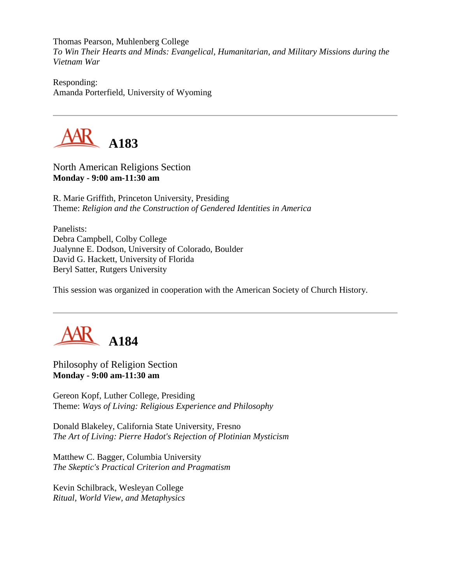Thomas Pearson, Muhlenberg College *To Win Their Hearts and Minds: Evangelical, Humanitarian, and Military Missions during the Vietnam War*

Responding: Amanda Porterfield, University of Wyoming



North American Religions Section **Monday - 9:00 am-11:30 am**

R. Marie Griffith, Princeton University, Presiding Theme: *Religion and the Construction of Gendered Identities in America*

Panelists: Debra Campbell, Colby College Jualynne E. Dodson, University of Colorado, Boulder David G. Hackett, University of Florida Beryl Satter, Rutgers University

This session was organized in cooperation with the American Society of Church History.



Philosophy of Religion Section **Monday - 9:00 am-11:30 am**

Gereon Kopf, Luther College, Presiding Theme: *Ways of Living: Religious Experience and Philosophy*

Donald Blakeley, California State University, Fresno *The Art of Living: Pierre Hadot's Rejection of Plotinian Mysticism*

Matthew C. Bagger, Columbia University *The Skeptic's Practical Criterion and Pragmatism*

Kevin Schilbrack, Wesleyan College *Ritual, World View, and Metaphysics*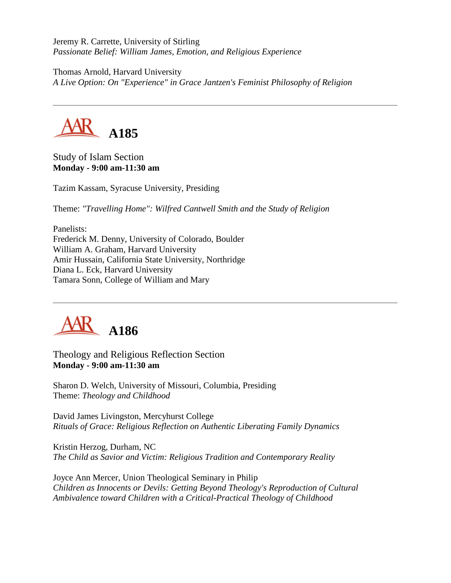Jeremy R. Carrette, University of Stirling *Passionate Belief: William James, Emotion, and Religious Experience*

Thomas Arnold, Harvard University *A Live Option: On "Experience" in Grace Jantzen's Feminist Philosophy of Religion*



Study of Islam Section **Monday - 9:00 am-11:30 am**

Tazim Kassam, Syracuse University, Presiding

Theme: *"Travelling Home": Wilfred Cantwell Smith and the Study of Religion*

Panelists: Frederick M. Denny, University of Colorado, Boulder William A. Graham, Harvard University Amir Hussain, California State University, Northridge Diana L. Eck, Harvard University Tamara Sonn, College of William and Mary



Theology and Religious Reflection Section **Monday - 9:00 am-11:30 am**

Sharon D. Welch, University of Missouri, Columbia, Presiding Theme: *Theology and Childhood*

David James Livingston, Mercyhurst College *Rituals of Grace: Religious Reflection on Authentic Liberating Family Dynamics*

Kristin Herzog, Durham, NC *The Child as Savior and Victim: Religious Tradition and Contemporary Reality*

Joyce Ann Mercer, Union Theological Seminary in Philip *Children as Innocents or Devils: Getting Beyond Theology's Reproduction of Cultural Ambivalence toward Children with a Critical-Practical Theology of Childhood*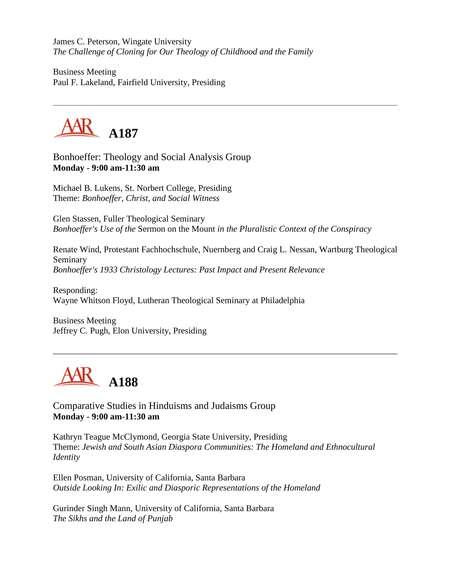James C. Peterson, Wingate University *The Challenge of Cloning for Our Theology of Childhood and the Family*

Business Meeting Paul F. Lakeland, Fairfield University, Presiding



Bonhoeffer: Theology and Social Analysis Group **Monday - 9:00 am-11:30 am**

Michael B. Lukens, St. Norbert College, Presiding Theme: *Bonhoeffer, Christ, and Social Witness*

Glen Stassen, Fuller Theological Seminary *Bonhoeffer's Use of the* Sermon on the Mount *in the Pluralistic Context of the Conspiracy*

Renate Wind, Protestant Fachhochschule, Nuernberg and Craig L. Nessan, Wartburg Theological Seminary *Bonhoeffer's 1933 Christology Lectures: Past Impact and Present Relevance*

Responding: Wayne Whitson Floyd, Lutheran Theological Seminary at Philadelphia

Business Meeting Jeffrey C. Pugh, Elon University, Presiding



Comparative Studies in Hinduisms and Judaisms Group **Monday - 9:00 am-11:30 am**

Kathryn Teague McClymond, Georgia State University, Presiding Theme: *Jewish and South Asian Diaspora Communities: The Homeland and Ethnocultural Identity*

Ellen Posman, University of California, Santa Barbara *Outside Looking In: Exilic and Diasporic Representations of the Homeland*

Gurinder Singh Mann, University of California, Santa Barbara *The Sikhs and the Land of Punjab*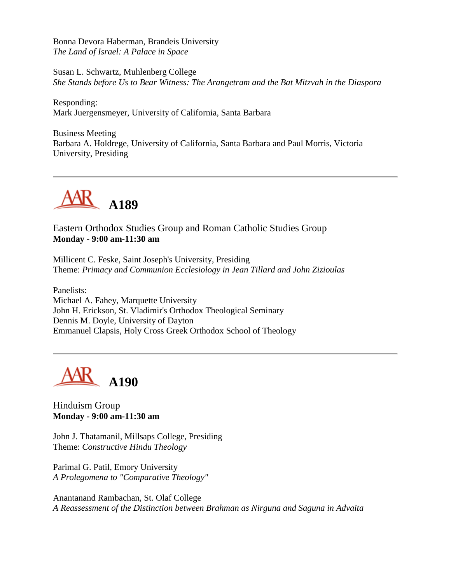Bonna Devora Haberman, Brandeis University *The Land of Israel: A Palace in Space*

Susan L. Schwartz, Muhlenberg College *She Stands before Us to Bear Witness: The Arangetram and the Bat Mitzvah in the Diaspora*

Responding: Mark Juergensmeyer, University of California, Santa Barbara

Business Meeting Barbara A. Holdrege, University of California, Santa Barbara and Paul Morris, Victoria University, Presiding



Eastern Orthodox Studies Group and Roman Catholic Studies Group **Monday - 9:00 am-11:30 am**

Millicent C. Feske, Saint Joseph's University, Presiding Theme: *Primacy and Communion Ecclesiology in Jean Tillard and John Zizioulas*

Panelists: Michael A. Fahey, Marquette University John H. Erickson, St. Vladimir's Orthodox Theological Seminary Dennis M. Doyle, University of Dayton Emmanuel Clapsis, Holy Cross Greek Orthodox School of Theology



Hinduism Group **Monday - 9:00 am-11:30 am**

John J. Thatamanil, Millsaps College, Presiding Theme: *Constructive Hindu Theology*

Parimal G. Patil, Emory University *A Prolegomena to "Comparative Theology"*

Anantanand Rambachan, St. Olaf College *A Reassessment of the Distinction between Brahman as Nirguna and Saguna in Advaita*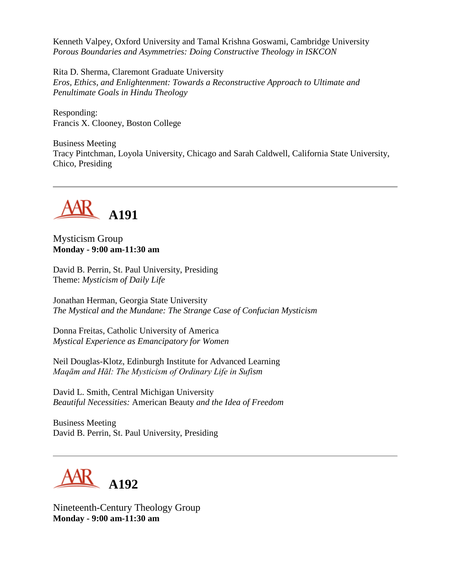Kenneth Valpey, Oxford University and Tamal Krishna Goswami, Cambridge University *Porous Boundaries and Asymmetries: Doing Constructive Theology in ISKCON*

Rita D. Sherma, Claremont Graduate University *Eros, Ethics, and Enlightenment: Towards a Reconstructive Approach to Ultimate and Penultimate Goals in Hindu Theology*

Responding: Francis X. Clooney, Boston College

Business Meeting Tracy Pintchman, Loyola University, Chicago and Sarah Caldwell, California State University, Chico, Presiding



Mysticism Group **Monday - 9:00 am-11:30 am**

David B. Perrin, St. Paul University, Presiding Theme: *Mysticism of Daily Life*

Jonathan Herman, Georgia State University *The Mystical and the Mundane: The Strange Case of Confucian Mysticism*

Donna Freitas, Catholic University of America *Mystical Experience as Emancipatory for Women*

Neil Douglas-Klotz, Edinburgh Institute for Advanced Learning *Maqām and Hāl: The Mysticism of Ordinary Life in Sufism*

David L. Smith, Central Michigan University *Beautiful Necessities:* American Beauty *and the Idea of Freedom*

Business Meeting David B. Perrin, St. Paul University, Presiding



Nineteenth-Century Theology Group **Monday - 9:00 am-11:30 am**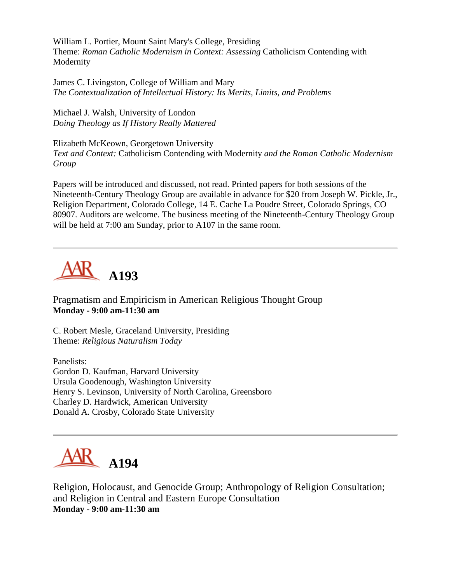William L. Portier, Mount Saint Mary's College, Presiding Theme: *Roman Catholic Modernism in Context: Assessing* Catholicism Contending with Modernity

James C. Livingston, College of William and Mary *The Contextualization of Intellectual History: Its Merits, Limits, and Problems*

Michael J. Walsh, University of London *Doing Theology as If History Really Mattered*

Elizabeth McKeown, Georgetown University *Text and Context:* Catholicism Contending with Modernity *and the Roman Catholic Modernism Group*

Papers will be introduced and discussed, not read. Printed papers for both sessions of the Nineteenth-Century Theology Group are available in advance for \$20 from Joseph W. Pickle, Jr., Religion Department, Colorado College, 14 E. Cache La Poudre Street, Colorado Springs, CO 80907. Auditors are welcome. The business meeting of the Nineteenth-Century Theology Group will be held at 7:00 am Sunday, prior to A107 in the same room.



Pragmatism and Empiricism in American Religious Thought Group **Monday - 9:00 am-11:30 am**

C. Robert Mesle, Graceland University, Presiding Theme: *Religious Naturalism Today*

Panelists: Gordon D. Kaufman, Harvard University Ursula Goodenough, Washington University Henry S. Levinson, University of North Carolina, Greensboro Charley D. Hardwick, American University Donald A. Crosby, Colorado State University



Religion, Holocaust, and Genocide Group; Anthropology of Religion Consultation; and Religion in Central and Eastern Europe Consultation **Monday - 9:00 am-11:30 am**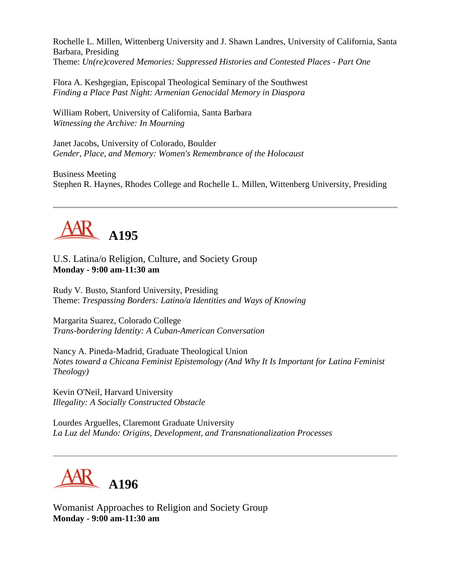Rochelle L. Millen, Wittenberg University and J. Shawn Landres, University of California, Santa Barbara, Presiding Theme: *Un(re)covered Memories: Suppressed Histories and Contested Places - Part One*

Flora A. Keshgegian, Episcopal Theological Seminary of the Southwest *Finding a Place Past Night: Armenian Genocidal Memory in Diaspora*

William Robert, University of California, Santa Barbara *Witnessing the Archive: In Mourning*

Janet Jacobs, University of Colorado, Boulder *Gender, Place, and Memory: Women's Remembrance of the Holocaust*

Business Meeting Stephen R. Haynes, Rhodes College and Rochelle L. Millen, Wittenberg University, Presiding



U.S. Latina/o Religion, Culture, and Society Group **Monday - 9:00 am-11:30 am**

Rudy V. Busto, Stanford University, Presiding Theme: *Trespassing Borders: Latino/a Identities and Ways of Knowing*

Margarita Suarez, Colorado College *Trans-bordering Identity: A Cuban-American Conversation*

Nancy A. Pineda-Madrid, Graduate Theological Union *Notes toward a Chicana Feminist Epistemology (And Why It Is Important for Latina Feminist Theology)*

Kevin O'Neil, Harvard University *Illegality: A Socially Constructed Obstacle*

Lourdes Arguelles, Claremont Graduate University *La Luz del Mundo: Origins, Development, and Transnationalization Processes*



Womanist Approaches to Religion and Society Group **Monday - 9:00 am-11:30 am**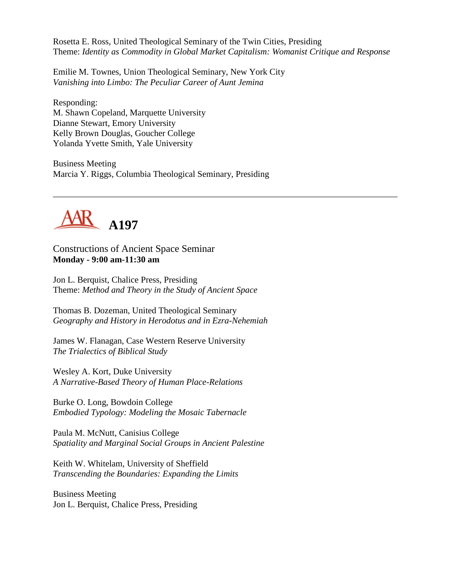Rosetta E. Ross, United Theological Seminary of the Twin Cities, Presiding Theme: *Identity as Commodity in Global Market Capitalism: Womanist Critique and Response*

Emilie M. Townes, Union Theological Seminary, New York City *Vanishing into Limbo: The Peculiar Career of Aunt Jemina*

Responding: M. Shawn Copeland, Marquette University Dianne Stewart, Emory University Kelly Brown Douglas, Goucher College Yolanda Yvette Smith, Yale University

Business Meeting Marcia Y. Riggs, Columbia Theological Seminary, Presiding



Constructions of Ancient Space Seminar **Monday - 9:00 am-11:30 am**

Jon L. Berquist, Chalice Press, Presiding Theme: *Method and Theory in the Study of Ancient Space*

Thomas B. Dozeman, United Theological Seminary *Geography and History in Herodotus and in Ezra-Nehemiah*

James W. Flanagan, Case Western Reserve University *The Trialectics of Biblical Study*

Wesley A. Kort, Duke University *A Narrative-Based Theory of Human Place-Relations*

Burke O. Long, Bowdoin College *Embodied Typology: Modeling the Mosaic Tabernacle*

Paula M. McNutt, Canisius College *Spatiality and Marginal Social Groups in Ancient Palestine*

Keith W. Whitelam, University of Sheffield *Transcending the Boundaries: Expanding the Limits*

Business Meeting Jon L. Berquist, Chalice Press, Presiding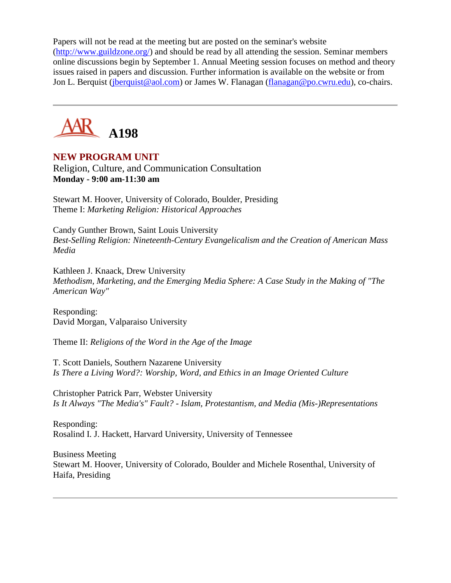Papers will not be read at the meeting but are posted on the seminar's website [\(http://www.guildzone.org/\)](http://www.guildzone.org/) and should be read by all attending the session. Seminar members online discussions begin by September 1. Annual Meeting session focuses on method and theory issues raised in papers and discussion. Further information is available on the website or from Jon L. Berquist [\(jberquist@aol.com\)](mailto:jberquist@aol.com) or James W. Flanagan [\(flanagan@po.cwru.edu\)](mailto:flanagan@po.cwru.edu), co-chairs.



# **NEW PROGRAM UNIT**

Religion, Culture, and Communication Consultation **Monday - 9:00 am-11:30 am**

Stewart M. Hoover, University of Colorado, Boulder, Presiding Theme I: *Marketing Religion: Historical Approaches*

Candy Gunther Brown, Saint Louis University *Best-Selling Religion: Nineteenth-Century Evangelicalism and the Creation of American Mass Media*

Kathleen J. Knaack, Drew University *Methodism, Marketing, and the Emerging Media Sphere: A Case Study in the Making of "The American Way"*

Responding: David Morgan, Valparaiso University

Theme II: *Religions of the Word in the Age of the Image*

T. Scott Daniels, Southern Nazarene University *Is There a Living Word?: Worship, Word, and Ethics in an Image Oriented Culture*

Christopher Patrick Parr, Webster University *Is It Always "The Media's" Fault? - Islam, Protestantism, and Media (Mis-)Representations*

Responding: Rosalind I. J. Hackett, Harvard University, University of Tennessee

Business Meeting Stewart M. Hoover, University of Colorado, Boulder and Michele Rosenthal, University of Haifa, Presiding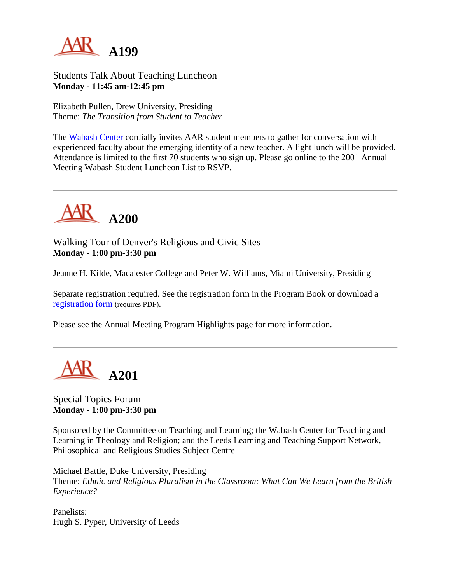

Students Talk About Teaching Luncheon **Monday - 11:45 am-12:45 pm**

Elizabeth Pullen, Drew University, Presiding Theme: *The Transition from Student to Teacher*

The [Wabash Center](http://www.wabashcenter.wabash.edu/) cordially invites AAR student members to gather for conversation with experienced faculty about the emerging identity of a new teacher. A light lunch will be provided. Attendance is limited to the first 70 students who sign up. Please go online to the 2001 Annual Meeting Wabash Student Luncheon List to RSVP.



Walking Tour of Denver's Religious and Civic Sites **Monday - 1:00 pm-3:30 pm**

Jeanne H. Kilde, Macalester College and Peter W. Williams, Miami University, Presiding

Separate registration required. See the registration form in the Program Book or download a [registration form](http://www.aarweb.org/Meetings/Annual_Meeting/Past_Meetings/2001/Reg-A200.PDF) (requires PDF).

Please see the Annual Meeting Program Highlights page for more information.



Special Topics Forum **Monday - 1:00 pm-3:30 pm**

Sponsored by the Committee on Teaching and Learning; the Wabash Center for Teaching and Learning in Theology and Religion; and the Leeds Learning and Teaching Support Network, Philosophical and Religious Studies Subject Centre

Michael Battle, Duke University, Presiding Theme: *Ethnic and Religious Pluralism in the Classroom: What Can We Learn from the British Experience?*

Panelists: Hugh S. Pyper, University of Leeds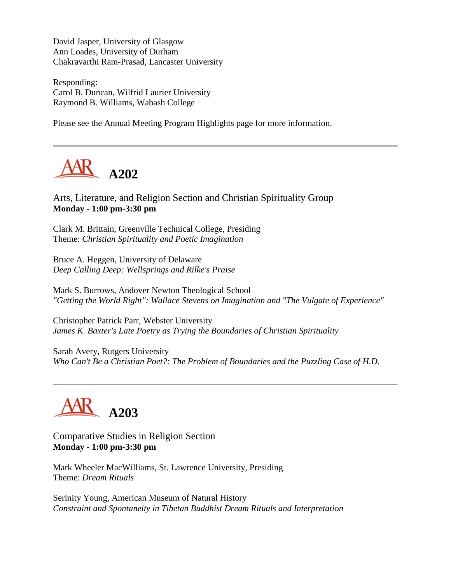David Jasper, University of Glasgow Ann Loades, University of Durham Chakravarthi Ram-Prasad, Lancaster University

Responding: Carol B. Duncan, Wilfrid Laurier University Raymond B. Williams, Wabash College

Please see the Annual Meeting Program Highlights page for more information.



Arts, Literature, and Religion Section and Christian Spirituality Group **Monday - 1:00 pm-3:30 pm**

Clark M. Brittain, Greenville Technical College, Presiding Theme: *Christian Spirituality and Poetic Imagination*

Bruce A. Heggen, University of Delaware *Deep Calling Deep: Wellsprings and Rilke's Praise*

Mark S. Burrows, Andover Newton Theological School *"Getting the World Right": Wallace Stevens on Imagination and "The Vulgate of Experience"*

Christopher Patrick Parr, Webster University *James K. Baxter's Late Poetry as Trying the Boundaries of Christian Spirituality*

Sarah Avery, Rutgers University *Who Can't Be a Christian Poet?: The Problem of Boundaries and the Puzzling Case of H.D.*



Comparative Studies in Religion Section **Monday - 1:00 pm-3:30 pm**

Mark Wheeler MacWilliams, St. Lawrence University, Presiding Theme: *Dream Rituals*

Serinity Young, American Museum of Natural History *Constraint and Spontaneity in Tibetan Buddhist Dream Rituals and Interpretation*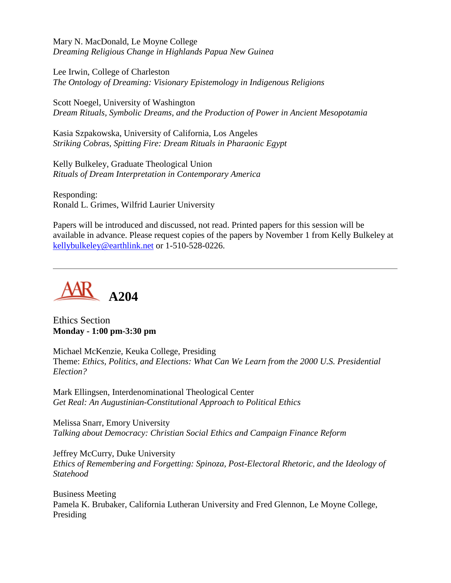Mary N. MacDonald, Le Moyne College *Dreaming Religious Change in Highlands Papua New Guinea*

Lee Irwin, College of Charleston *The Ontology of Dreaming: Visionary Epistemology in Indigenous Religions*

Scott Noegel, University of Washington *Dream Rituals, Symbolic Dreams, and the Production of Power in Ancient Mesopotamia*

Kasia Szpakowska, University of California, Los Angeles *Striking Cobras, Spitting Fire: Dream Rituals in Pharaonic Egypt*

Kelly Bulkeley, Graduate Theological Union *Rituals of Dream Interpretation in Contemporary America*

Responding: Ronald L. Grimes, Wilfrid Laurier University

Papers will be introduced and discussed, not read. Printed papers for this session will be available in advance. Please request copies of the papers by November 1 from Kelly Bulkeley at [kellybulkeley@earthlink.net](mailto:kellybulkeley@earthlink.net) or 1-510-528-0226.



Ethics Section **Monday - 1:00 pm-3:30 pm**

Michael McKenzie, Keuka College, Presiding Theme: *Ethics, Politics, and Elections: What Can We Learn from the 2000 U.S. Presidential Election?*

Mark Ellingsen, Interdenominational Theological Center *Get Real: An Augustinian-Constitutional Approach to Political Ethics*

Melissa Snarr, Emory University *Talking about Democracy: Christian Social Ethics and Campaign Finance Reform*

Jeffrey McCurry, Duke University *Ethics of Remembering and Forgetting: Spinoza, Post-Electoral Rhetoric, and the Ideology of Statehood*

Business Meeting Pamela K. Brubaker, California Lutheran University and Fred Glennon, Le Moyne College, Presiding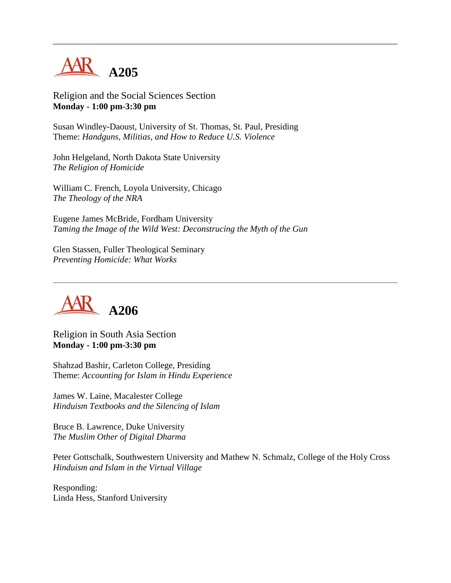

Religion and the Social Sciences Section **Monday - 1:00 pm-3:30 pm**

Susan Windley-Daoust, University of St. Thomas, St. Paul, Presiding Theme: *Handguns, Militias, and How to Reduce U.S. Violence*

John Helgeland, North Dakota State University *The Religion of Homicide*

William C. French, Loyola University, Chicago *The Theology of the NRA*

Eugene James McBride, Fordham University *Taming the Image of the Wild West: Deconstrucing the Myth of the Gun*

Glen Stassen, Fuller Theological Seminary *Preventing Homicide: What Works*



Religion in South Asia Section **Monday - 1:00 pm-3:30 pm**

Shahzad Bashir, Carleton College, Presiding Theme: *Accounting for Islam in Hindu Experience*

James W. Laine, Macalester College *Hinduism Textbooks and the Silencing of Islam*

Bruce B. Lawrence, Duke University *The Muslim Other of Digital Dharma*

Peter Gottschalk, Southwestern University and Mathew N. Schmalz, College of the Holy Cross *Hinduism and Islam in the Virtual Village*

Responding: Linda Hess, Stanford University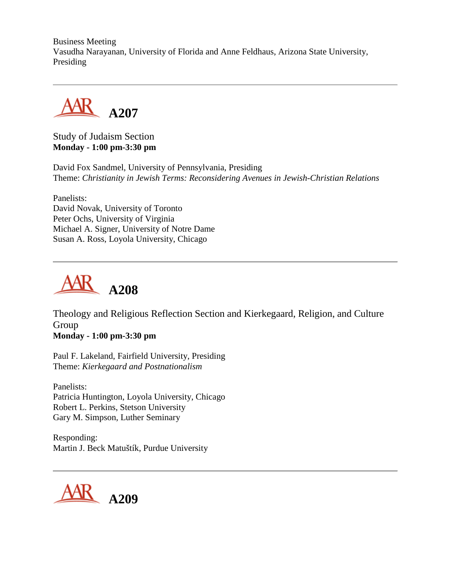Business Meeting Vasudha Narayanan, University of Florida and Anne Feldhaus, Arizona State University, Presiding



Study of Judaism Section **Monday - 1:00 pm-3:30 pm**

David Fox Sandmel, University of Pennsylvania, Presiding Theme: *Christianity in Jewish Terms: Reconsidering Avenues in Jewish-Christian Relations*

Panelists: David Novak, University of Toronto Peter Ochs, University of Virginia Michael A. Signer, University of Notre Dame Susan A. Ross, Loyola University, Chicago



Theology and Religious Reflection Section and Kierkegaard, Religion, and Culture Group

**Monday - 1:00 pm-3:30 pm**

Paul F. Lakeland, Fairfield University, Presiding Theme: *Kierkegaard and Postnationalism*

Panelists: Patricia Huntington, Loyola University, Chicago Robert L. Perkins, Stetson University Gary M. Simpson, Luther Seminary

Responding: Martin J. Beck Matuštík, Purdue University

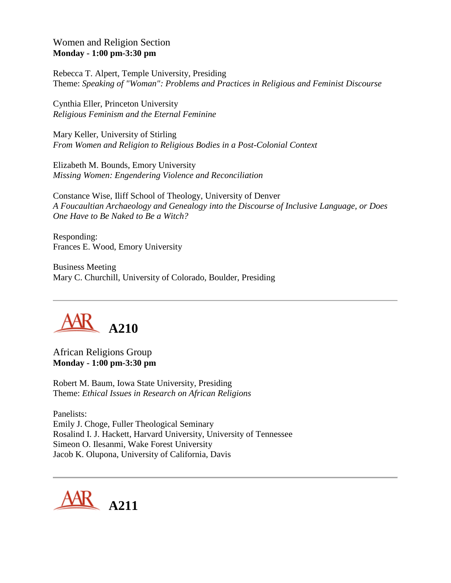# Women and Religion Section **Monday - 1:00 pm-3:30 pm**

Rebecca T. Alpert, Temple University, Presiding Theme: *Speaking of "Woman": Problems and Practices in Religious and Feminist Discourse*

Cynthia Eller, Princeton University *Religious Feminism and the Eternal Feminine*

Mary Keller, University of Stirling *From Women and Religion to Religious Bodies in a Post-Colonial Context*

Elizabeth M. Bounds, Emory University *Missing Women: Engendering Violence and Reconciliation*

Constance Wise, Iliff School of Theology, University of Denver *A Foucaultian Archaeology and Genealogy into the Discourse of Inclusive Language, or Does One Have to Be Naked to Be a Witch?*

Responding: Frances E. Wood, Emory University

Business Meeting Mary C. Churchill, University of Colorado, Boulder, Presiding



African Religions Group **Monday - 1:00 pm-3:30 pm**

Robert M. Baum, Iowa State University, Presiding Theme: *Ethical Issues in Research on African Religions*

Panelists: Emily J. Choge, Fuller Theological Seminary Rosalind I. J. Hackett, Harvard University, University of Tennessee Simeon O. Ilesanmi, Wake Forest University Jacob K. Olupona, University of California, Davis

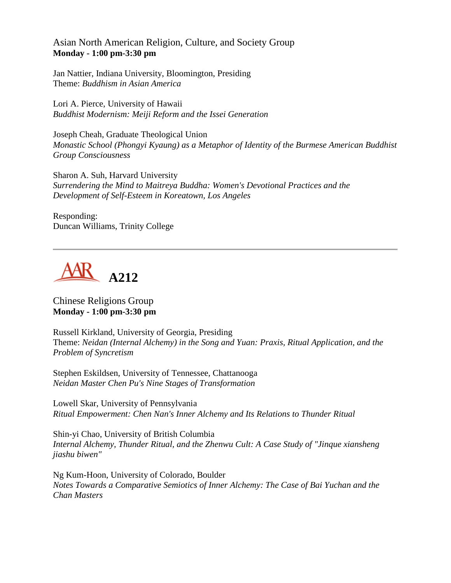## Asian North American Religion, Culture, and Society Group **Monday - 1:00 pm-3:30 pm**

Jan Nattier, Indiana University, Bloomington, Presiding Theme: *Buddhism in Asian America*

Lori A. Pierce, University of Hawaii *Buddhist Modernism: Meiji Reform and the Issei Generation*

Joseph Cheah, Graduate Theological Union *Monastic School (Phongyi Kyaung) as a Metaphor of Identity of the Burmese American Buddhist Group Consciousness*

Sharon A. Suh, Harvard University *Surrendering the Mind to Maitreya Buddha: Women's Devotional Practices and the Development of Self-Esteem in Koreatown, Los Angeles*

Responding: Duncan Williams, Trinity College



#### Chinese Religions Group **Monday - 1:00 pm-3:30 pm**

Russell Kirkland, University of Georgia, Presiding Theme: *Neidan (Internal Alchemy) in the Song and Yuan: Praxis, Ritual Application, and the Problem of Syncretism*

Stephen Eskildsen, University of Tennessee, Chattanooga *Neidan Master Chen Pu's Nine Stages of Transformation*

Lowell Skar, University of Pennsylvania *Ritual Empowerment: Chen Nan's Inner Alchemy and Its Relations to Thunder Ritual*

Shin-yi Chao, University of British Columbia *Internal Alchemy, Thunder Ritual, and the Zhenwu Cult: A Case Study of "Jinque xiansheng jiashu biwen"*

Ng Kum-Hoon, University of Colorado, Boulder *Notes Towards a Comparative Semiotics of Inner Alchemy: The Case of Bai Yuchan and the Chan Masters*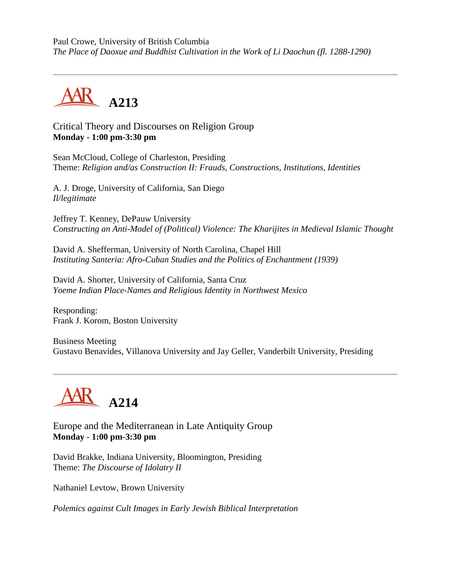Paul Crowe, University of British Columbia *The Place of Daoxue and Buddhist Cultivation in the Work of Li Daochun (fl. 1288-1290)*



Critical Theory and Discourses on Religion Group **Monday - 1:00 pm-3:30 pm**

Sean McCloud, College of Charleston, Presiding Theme: *Religion and/as Construction II: Frauds, Constructions, Institutions, Identities*

A. J. Droge, University of California, San Diego *Il/legitimate*

Jeffrey T. Kenney, DePauw University *Constructing an Anti-Model of (Political) Violence: The Kharijites in Medieval Islamic Thought*

David A. Shefferman, University of North Carolina, Chapel Hill *Instituting Santeria: Afro-Cuban Studies and the Politics of Enchantment (1939)*

David A. Shorter, University of California, Santa Cruz *Yoeme Indian Place-Names and Religious Identity in Northwest Mexico*

Responding: Frank J. Korom, Boston University

Business Meeting Gustavo Benavides, Villanova University and Jay Geller, Vanderbilt University, Presiding



Europe and the Mediterranean in Late Antiquity Group **Monday - 1:00 pm-3:30 pm**

David Brakke, Indiana University, Bloomington, Presiding Theme: *The Discourse of Idolatry II*

Nathaniel Levtow, Brown University

*Polemics against Cult Images in Early Jewish Biblical Interpretation*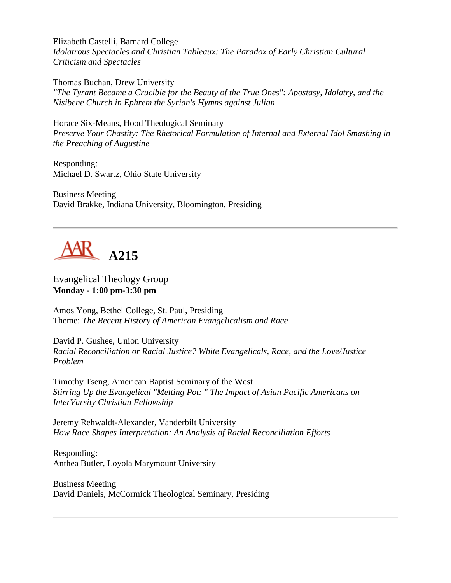Elizabeth Castelli, Barnard College *Idolatrous Spectacles and Christian Tableaux: The Paradox of Early Christian Cultural Criticism and Spectacles*

Thomas Buchan, Drew University *"The Tyrant Became a Crucible for the Beauty of the True Ones": Apostasy, Idolatry, and the Nisibene Church in Ephrem the Syrian's Hymns against Julian*

Horace Six-Means, Hood Theological Seminary *Preserve Your Chastity: The Rhetorical Formulation of Internal and External Idol Smashing in the Preaching of Augustine*

Responding: Michael D. Swartz, Ohio State University

Business Meeting David Brakke, Indiana University, Bloomington, Presiding



Evangelical Theology Group **Monday - 1:00 pm-3:30 pm**

Amos Yong, Bethel College, St. Paul, Presiding Theme: *The Recent History of American Evangelicalism and Race*

David P. Gushee, Union University *Racial Reconciliation or Racial Justice? White Evangelicals, Race, and the Love/Justice Problem*

Timothy Tseng, American Baptist Seminary of the West *Stirring Up the Evangelical "Melting Pot: " The Impact of Asian Pacific Americans on InterVarsity Christian Fellowship*

Jeremy Rehwaldt-Alexander, Vanderbilt University *How Race Shapes Interpretation: An Analysis of Racial Reconciliation Efforts*

Responding: Anthea Butler, Loyola Marymount University

Business Meeting David Daniels, McCormick Theological Seminary, Presiding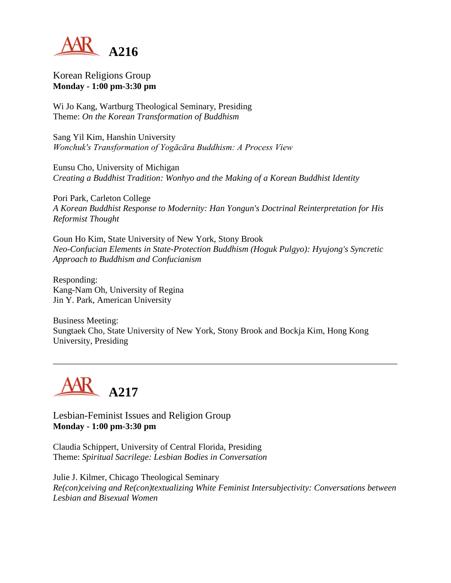

Korean Religions Group **Monday - 1:00 pm-3:30 pm**

Wi Jo Kang, Wartburg Theological Seminary, Presiding Theme: *On the Korean Transformation of Buddhism*

Sang Yil Kim, Hanshin University *Wonchuk's Transformation of Yogācāra Buddhism: A Process View*

Eunsu Cho, University of Michigan *Creating a Buddhist Tradition: Wonhyo and the Making of a Korean Buddhist Identity*

Pori Park, Carleton College *A Korean Buddhist Response to Modernity: Han Yongun's Doctrinal Reinterpretation for His Reformist Thought*

Goun Ho Kim, State University of New York, Stony Brook *Neo-Confucian Elements in State-Protection Buddhism (Hoguk Pulgyo): Hyujong's Syncretic Approach to Buddhism and Confucianism*

Responding: Kang-Nam Oh, University of Regina Jin Y. Park, American University

Business Meeting: Sungtaek Cho, State University of New York, Stony Brook and Bockja Kim, Hong Kong University, Presiding



Lesbian-Feminist Issues and Religion Group **Monday - 1:00 pm-3:30 pm**

Claudia Schippert, University of Central Florida, Presiding Theme: *Spiritual Sacrilege: Lesbian Bodies in Conversation*

Julie J. Kilmer, Chicago Theological Seminary *Re(con)ceiving and Re(con)textualizing White Feminist Intersubjectivity: Conversations between Lesbian and Bisexual Women*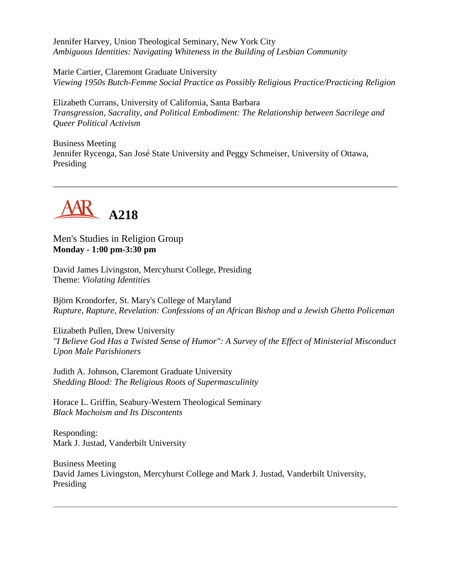Jennifer Harvey, Union Theological Seminary, New York City *Ambiguous Identities: Navigating Whiteness in the Building of Lesbian Community*

Marie Cartier, Claremont Graduate University *Viewing 1950s Butch-Femme Social Practice as Possibly Religious Practice/Practicing Religion*

Elizabeth Currans, University of California, Santa Barbara *Transgression, Sacrality, and Political Embodiment: The Relationship between Sacrilege and Queer Political Activism*

Business Meeting Jennifer Rycenga, San José State University and Peggy Schmeiser, University of Ottawa, Presiding



Men's Studies in Religion Group **Monday - 1:00 pm-3:30 pm**

David James Livingston, Mercyhurst College, Presiding Theme: *Violating Identities*

Björn Krondorfer, St. Mary's College of Maryland *Rupture, Rapture, Revelation: Confessions of an African Bishop and a Jewish Ghetto Policeman*

Elizabeth Pullen, Drew University *"I Believe God Has a Twisted Sense of Humor": A Survey of the Effect of Ministerial Misconduct Upon Male Parishioners*

Judith A. Johnson, Claremont Graduate University *Shedding Blood: The Religious Roots of Supermasculinity*

Horace L. Griffin, Seabury-Western Theological Seminary *Black Machoism and Its Discontents*

Responding: Mark J. Justad, Vanderbilt University

Business Meeting David James Livingston, Mercyhurst College and Mark J. Justad, Vanderbilt University, Presiding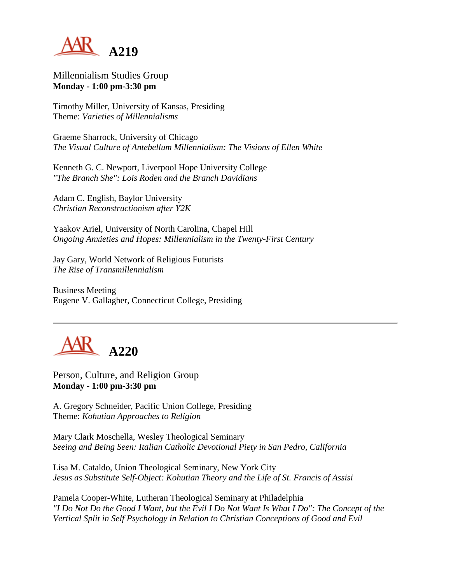

Millennialism Studies Group **Monday - 1:00 pm-3:30 pm**

Timothy Miller, University of Kansas, Presiding Theme: *Varieties of Millennialisms*

Graeme Sharrock, University of Chicago *The Visual Culture of Antebellum Millennialism: The Visions of Ellen White*

Kenneth G. C. Newport, Liverpool Hope University College *"The Branch She": Lois Roden and the Branch Davidians*

Adam C. English, Baylor University *Christian Reconstructionism after Y2K*

Yaakov Ariel, University of North Carolina, Chapel Hill *Ongoing Anxieties and Hopes: Millennialism in the Twenty-First Century*

Jay Gary, World Network of Religious Futurists *The Rise of Transmillennialism*

Business Meeting Eugene V. Gallagher, Connecticut College, Presiding



Person, Culture, and Religion Group **Monday - 1:00 pm-3:30 pm**

A. Gregory Schneider, Pacific Union College, Presiding Theme: *Kohutian Approaches to Religion*

Mary Clark Moschella, Wesley Theological Seminary *Seeing and Being Seen: Italian Catholic Devotional Piety in San Pedro, California*

Lisa M. Cataldo, Union Theological Seminary, New York City *Jesus as Substitute Self-Object: Kohutian Theory and the Life of St. Francis of Assisi*

Pamela Cooper-White, Lutheran Theological Seminary at Philadelphia *"I Do Not Do the Good I Want, but the Evil I Do Not Want Is What I Do": The Concept of the Vertical Split in Self Psychology in Relation to Christian Conceptions of Good and Evil*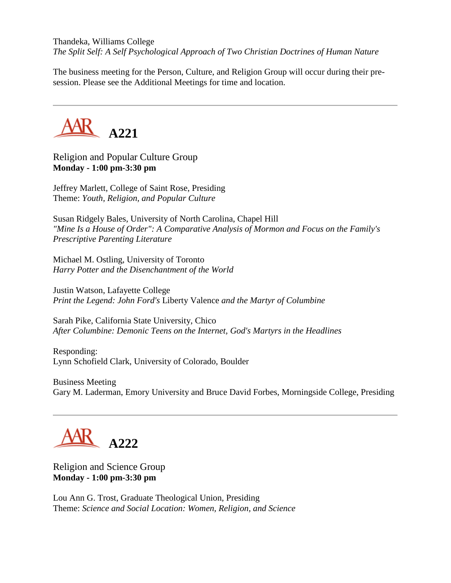Thandeka, Williams College *The Split Self: A Self Psychological Approach of Two Christian Doctrines of Human Nature*

The business meeting for the Person, Culture, and Religion Group will occur during their presession. Please see the Additional Meetings for time and location.



Religion and Popular Culture Group **Monday - 1:00 pm-3:30 pm**

Jeffrey Marlett, College of Saint Rose, Presiding Theme: *Youth, Religion, and Popular Culture*

Susan Ridgely Bales, University of North Carolina, Chapel Hill *"Mine Is a House of Order": A Comparative Analysis of Mormon and Focus on the Family's Prescriptive Parenting Literature*

Michael M. Ostling, University of Toronto *Harry Potter and the Disenchantment of the World*

Justin Watson, Lafayette College *Print the Legend: John Ford's* Liberty Valence *and the Martyr of Columbine*

Sarah Pike, California State University, Chico *After Columbine: Demonic Teens on the Internet, God's Martyrs in the Headlines*

Responding: Lynn Schofield Clark, University of Colorado, Boulder

Business Meeting Gary M. Laderman, Emory University and Bruce David Forbes, Morningside College, Presiding



Religion and Science Group **Monday - 1:00 pm-3:30 pm**

Lou Ann G. Trost, Graduate Theological Union, Presiding Theme: *Science and Social Location: Women, Religion, and Science*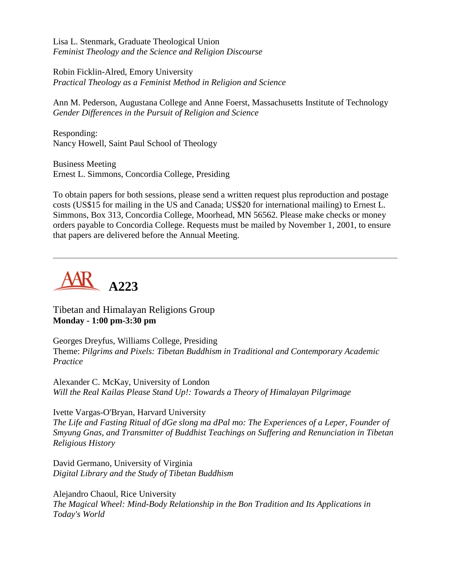Lisa L. Stenmark, Graduate Theological Union *Feminist Theology and the Science and Religion Discourse*

Robin Ficklin-Alred, Emory University *Practical Theology as a Feminist Method in Religion and Science*

Ann M. Pederson, Augustana College and Anne Foerst, Massachusetts Institute of Technology *Gender Differences in the Pursuit of Religion and Science*

Responding: Nancy Howell, Saint Paul School of Theology

Business Meeting Ernest L. Simmons, Concordia College, Presiding

To obtain papers for both sessions, please send a written request plus reproduction and postage costs (US\$15 for mailing in the US and Canada; US\$20 for international mailing) to Ernest L. Simmons, Box 313, Concordia College, Moorhead, MN 56562. Please make checks or money orders payable to Concordia College. Requests must be mailed by November 1, 2001, to ensure that papers are delivered before the Annual Meeting.



Tibetan and Himalayan Religions Group **Monday - 1:00 pm-3:30 pm**

Georges Dreyfus, Williams College, Presiding Theme: *Pilgrims and Pixels: Tibetan Buddhism in Traditional and Contemporary Academic Practice*

Alexander C. McKay, University of London *Will the Real Kailas Please Stand Up!: Towards a Theory of Himalayan Pilgrimage*

Ivette Vargas-O'Bryan, Harvard University *The Life and Fasting Ritual of dGe slong ma dPal mo: The Experiences of a Leper, Founder of Smyung Gnas, and Transmitter of Buddhist Teachings on Suffering and Renunciation in Tibetan Religious History*

David Germano, University of Virginia *Digital Library and the Study of Tibetan Buddhism*

Alejandro Chaoul, Rice University *The Magical Wheel: Mind-Body Relationship in the Bon Tradition and Its Applications in Today's World*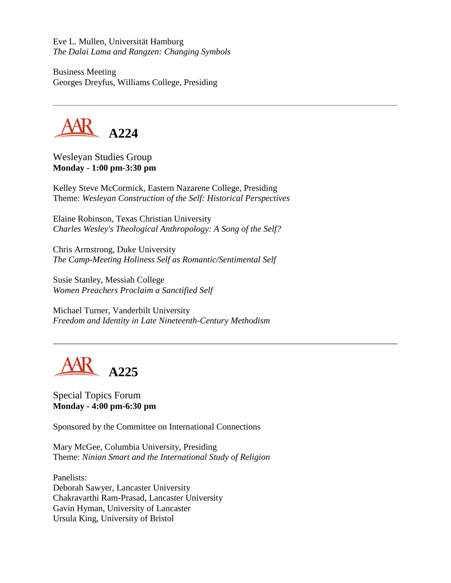Eve L. Mullen, Universität Hamburg *The Dalai Lama and Rangzen: Changing Symbols*

Business Meeting Georges Dreyfus, Williams College, Presiding



Wesleyan Studies Group **Monday - 1:00 pm-3:30 pm**

Kelley Steve McCormick, Eastern Nazarene College, Presiding Theme: *Wesleyan Construction of the Self: Historical Perspectives*

Elaine Robinson, Texas Christian University *Charles Wesley's Theological Anthropology: A Song of the Self?*

Chris Armstrong, Duke University *The Camp-Meeting Holiness Self as Romantic/Sentimental Self*

Susie Stanley, Messiah College *Women Preachers Proclaim a Sanctified Self*

Michael Turner, Vanderbilt University *Freedom and Identity in Late Nineteenth-Century Methodism*



Special Topics Forum **Monday - 4:00 pm-6:30 pm**

Sponsored by the Committee on International Connections

Mary McGee, Columbia University, Presiding Theme: *Ninian Smart and the International Study of Religion*

Panelists: Deborah Sawyer, Lancaster University Chakravarthi Ram-Prasad, Lancaster University Gavin Hyman, University of Lancaster Ursula King, University of Bristol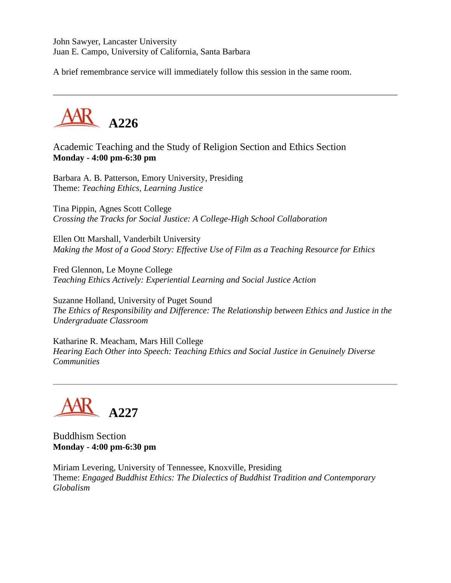John Sawyer, Lancaster University Juan E. Campo, University of California, Santa Barbara

A brief remembrance service will immediately follow this session in the same room.



Academic Teaching and the Study of Religion Section and Ethics Section **Monday - 4:00 pm-6:30 pm**

Barbara A. B. Patterson, Emory University, Presiding Theme: *Teaching Ethics, Learning Justice*

Tina Pippin, Agnes Scott College *Crossing the Tracks for Social Justice: A College-High School Collaboration*

Ellen Ott Marshall, Vanderbilt University *Making the Most of a Good Story: Effective Use of Film as a Teaching Resource for Ethics*

Fred Glennon, Le Moyne College *Teaching Ethics Actively: Experiential Learning and Social Justice Action*

Suzanne Holland, University of Puget Sound *The Ethics of Responsibility and Difference: The Relationship between Ethics and Justice in the Undergraduate Classroom*

Katharine R. Meacham, Mars Hill College *Hearing Each Other into Speech: Teaching Ethics and Social Justice in Genuinely Diverse Communities*

**A227**

Buddhism Section **Monday - 4:00 pm-6:30 pm**

Miriam Levering, University of Tennessee, Knoxville, Presiding Theme: *Engaged Buddhist Ethics: The Dialectics of Buddhist Tradition and Contemporary Globalism*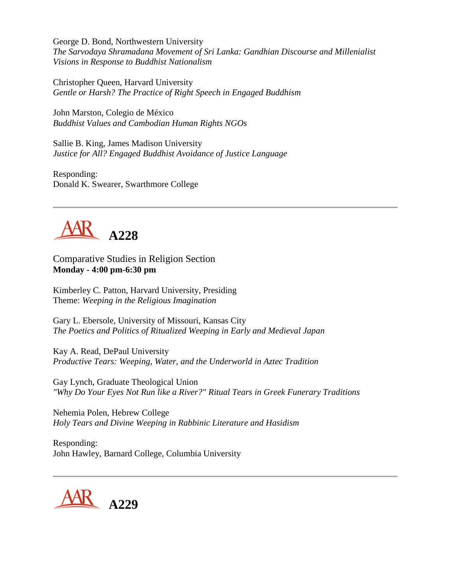George D. Bond, Northwestern University *The Sarvodaya Shramadana Movement of Sri Lanka: Gandhian Discourse and Millenialist Visions in Response to Buddhist Nationalism*

Christopher Queen, Harvard University *Gentle or Harsh? The Practice of Right Speech in Engaged Buddhism*

John Marston, Colegio de México *Buddhist Values and Cambodian Human Rights NGOs*

Sallie B. King, James Madison University *Justice for All? Engaged Buddhist Avoidance of Justice Language*

Responding: Donald K. Swearer, Swarthmore College



Comparative Studies in Religion Section **Monday - 4:00 pm-6:30 pm**

Kimberley C. Patton, Harvard University, Presiding Theme: *Weeping in the Religious Imagination*

Gary L. Ebersole, University of Missouri, Kansas City *The Poetics and Politics of Ritualized Weeping in Early and Medieval Japan*

Kay A. Read, DePaul University *Productive Tears: Weeping, Water, and the Underworld in Aztec Tradition*

Gay Lynch, Graduate Theological Union *"Why Do Your Eyes Not Run like a River?" Ritual Tears in Greek Funerary Traditions*

Nehemia Polen, Hebrew College *Holy Tears and Divine Weeping in Rabbinic Literature and Hasidism*

Responding: John Hawley, Barnard College, Columbia University

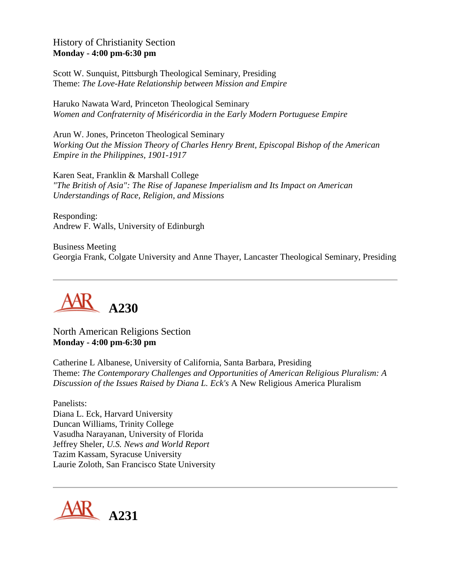History of Christianity Section **Monday - 4:00 pm-6:30 pm**

Scott W. Sunquist, Pittsburgh Theological Seminary, Presiding Theme: *The Love-Hate Relationship between Mission and Empire*

Haruko Nawata Ward, Princeton Theological Seminary *Women and Confraternity of Miséricordia in the Early Modern Portuguese Empire*

Arun W. Jones, Princeton Theological Seminary *Working Out the Mission Theory of Charles Henry Brent, Episcopal Bishop of the American Empire in the Philippines, 1901-1917*

Karen Seat, Franklin & Marshall College *"The British of Asia": The Rise of Japanese Imperialism and Its Impact on American Understandings of Race, Religion, and Missions*

Responding: Andrew F. Walls, University of Edinburgh

Business Meeting Georgia Frank, Colgate University and Anne Thayer, Lancaster Theological Seminary, Presiding



North American Religions Section **Monday - 4:00 pm-6:30 pm**

Catherine L Albanese, University of California, Santa Barbara, Presiding Theme: *The Contemporary Challenges and Opportunities of American Religious Pluralism: A Discussion of the Issues Raised by Diana L. Eck's* A New Religious America Pluralism

Panelists: Diana L. Eck, Harvard University Duncan Williams, Trinity College Vasudha Narayanan, University of Florida Jeffrey Sheler, *U.S. News and World Report* Tazim Kassam, Syracuse University Laurie Zoloth, San Francisco State University

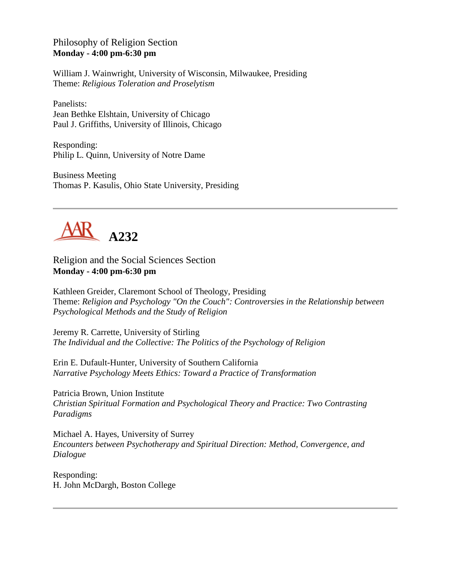Philosophy of Religion Section **Monday - 4:00 pm-6:30 pm**

William J. Wainwright, University of Wisconsin, Milwaukee, Presiding Theme: *Religious Toleration and Proselytism*

Panelists: Jean Bethke Elshtain, University of Chicago Paul J. Griffiths, University of Illinois, Chicago

Responding: Philip L. Quinn, University of Notre Dame

Business Meeting Thomas P. Kasulis, Ohio State University, Presiding



Religion and the Social Sciences Section **Monday - 4:00 pm-6:30 pm**

Kathleen Greider, Claremont School of Theology, Presiding Theme: *Religion and Psychology "On the Couch": Controversies in the Relationship between Psychological Methods and the Study of Religion*

Jeremy R. Carrette, University of Stirling *The Individual and the Collective: The Politics of the Psychology of Religion*

Erin E. Dufault-Hunter, University of Southern California *Narrative Psychology Meets Ethics: Toward a Practice of Transformation*

Patricia Brown, Union Institute *Christian Spiritual Formation and Psychological Theory and Practice: Two Contrasting Paradigms*

Michael A. Hayes, University of Surrey *Encounters between Psychotherapy and Spiritual Direction: Method, Convergence, and Dialogue*

Responding: H. John McDargh, Boston College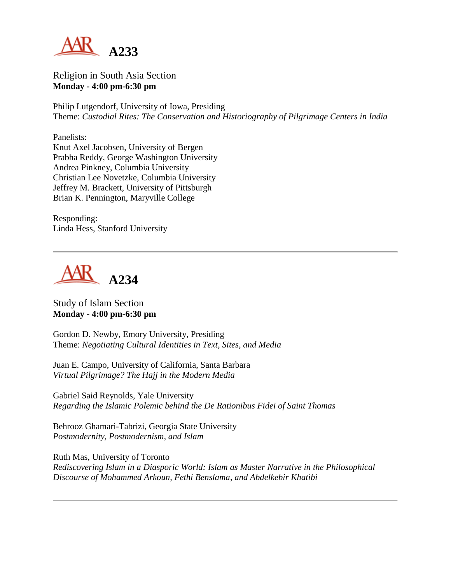

Religion in South Asia Section **Monday - 4:00 pm-6:30 pm**

Philip Lutgendorf, University of Iowa, Presiding Theme: *Custodial Rites: The Conservation and Historiography of Pilgrimage Centers in India*

Panelists:

Knut Axel Jacobsen, University of Bergen Prabha Reddy, George Washington University Andrea Pinkney, Columbia University Christian Lee Novetzke, Columbia University Jeffrey M. Brackett, University of Pittsburgh Brian K. Pennington, Maryville College

Responding: Linda Hess, Stanford University



Study of Islam Section **Monday - 4:00 pm-6:30 pm**

Gordon D. Newby, Emory University, Presiding Theme: *Negotiating Cultural Identities in Text, Sites, and Media*

Juan E. Campo, University of California, Santa Barbara *Virtual Pilgrimage? The Hajj in the Modern Media*

Gabriel Said Reynolds, Yale University *Regarding the Islamic Polemic behind the De Rationibus Fidei of Saint Thomas*

Behrooz Ghamari-Tabrizi, Georgia State University *Postmodernity, Postmodernism, and Islam*

Ruth Mas, University of Toronto *Rediscovering Islam in a Diasporic World: Islam as Master Narrative in the Philosophical Discourse of Mohammed Arkoun, Fethi Benslama, and Abdelkebir Khatibi*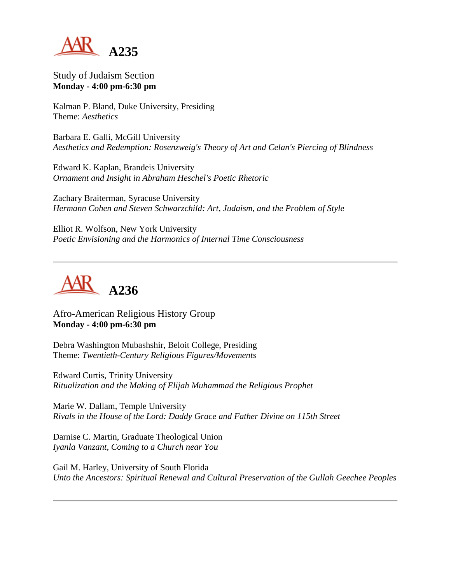

Study of Judaism Section **Monday - 4:00 pm-6:30 pm**

Kalman P. Bland, Duke University, Presiding Theme: *Aesthetics*

Barbara E. Galli, McGill University *Aesthetics and Redemption: Rosenzweig's Theory of Art and Celan's Piercing of Blindness*

Edward K. Kaplan, Brandeis University *Ornament and Insight in Abraham Heschel's Poetic Rhetoric*

Zachary Braiterman, Syracuse University *Hermann Cohen and Steven Schwarzchild: Art, Judaism, and the Problem of Style*

Elliot R. Wolfson, New York University *Poetic Envisioning and the Harmonics of Internal Time Consciousness*



Afro-American Religious History Group **Monday - 4:00 pm-6:30 pm**

Debra Washington Mubashshir, Beloit College, Presiding Theme: *Twentieth-Century Religious Figures/Movements*

Edward Curtis, Trinity University *Ritualization and the Making of Elijah Muhammad the Religious Prophet*

Marie W. Dallam, Temple University *Rivals in the House of the Lord: Daddy Grace and Father Divine on 115th Street*

Darnise C. Martin, Graduate Theological Union *Iyanla Vanzant, Coming to a Church near You*

Gail M. Harley, University of South Florida *Unto the Ancestors: Spiritual Renewal and Cultural Preservation of the Gullah Geechee Peoples*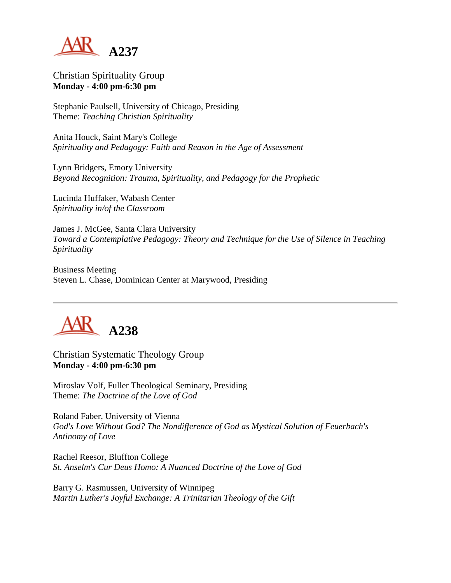

Christian Spirituality Group **Monday - 4:00 pm-6:30 pm**

Stephanie Paulsell, University of Chicago, Presiding Theme: *Teaching Christian Spirituality*

Anita Houck, Saint Mary's College *Spirituality and Pedagogy: Faith and Reason in the Age of Assessment*

Lynn Bridgers, Emory University *Beyond Recognition: Trauma, Spirituality, and Pedagogy for the Prophetic*

Lucinda Huffaker, Wabash Center *Spirituality in/of the Classroom*

James J. McGee, Santa Clara University *Toward a Contemplative Pedagogy: Theory and Technique for the Use of Silence in Teaching Spirituality*

Business Meeting Steven L. Chase, Dominican Center at Marywood, Presiding



Christian Systematic Theology Group **Monday - 4:00 pm-6:30 pm**

Miroslav Volf, Fuller Theological Seminary, Presiding Theme: *The Doctrine of the Love of God*

Roland Faber, University of Vienna *God's Love Without God? The Nondifference of God as Mystical Solution of Feuerbach's Antinomy of Love*

Rachel Reesor, Bluffton College *St. Anselm's Cur Deus Homo: A Nuanced Doctrine of the Love of God*

Barry G. Rasmussen, University of Winnipeg *Martin Luther's Joyful Exchange: A Trinitarian Theology of the Gift*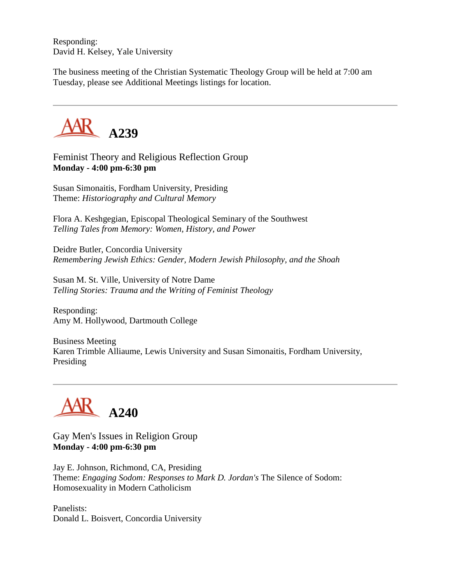Responding: David H. Kelsey, Yale University

The business meeting of the Christian Systematic Theology Group will be held at 7:00 am Tuesday, please see Additional Meetings listings for location.



Feminist Theory and Religious Reflection Group **Monday - 4:00 pm-6:30 pm**

Susan Simonaitis, Fordham University, Presiding Theme: *Historiography and Cultural Memory*

Flora A. Keshgegian, Episcopal Theological Seminary of the Southwest *Telling Tales from Memory: Women, History, and Power*

Deidre Butler, Concordia University *Remembering Jewish Ethics: Gender, Modern Jewish Philosophy, and the Shoah*

Susan M. St. Ville, University of Notre Dame *Telling Stories: Trauma and the Writing of Feminist Theology*

Responding: Amy M. Hollywood, Dartmouth College

Business Meeting Karen Trimble Alliaume, Lewis University and Susan Simonaitis, Fordham University, Presiding

**A240**

Gay Men's Issues in Religion Group **Monday - 4:00 pm-6:30 pm**

Jay E. Johnson, Richmond, CA, Presiding Theme: *Engaging Sodom: Responses to Mark D. Jordan's* The Silence of Sodom: Homosexuality in Modern Catholicism

Panelists: Donald L. Boisvert, Concordia University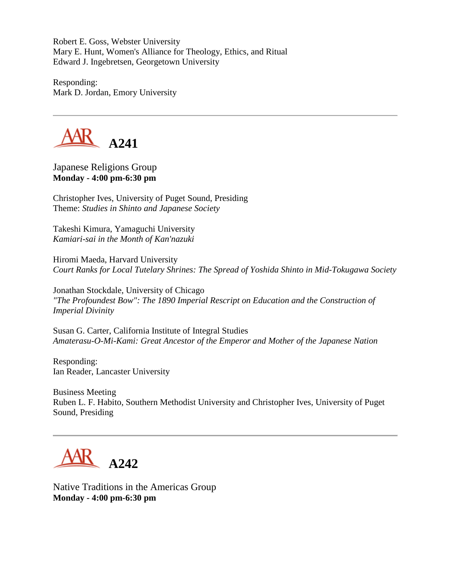Robert E. Goss, Webster University Mary E. Hunt, Women's Alliance for Theology, Ethics, and Ritual Edward J. Ingebretsen, Georgetown University

Responding: Mark D. Jordan, Emory University



Japanese Religions Group **Monday - 4:00 pm-6:30 pm**

Christopher Ives, University of Puget Sound, Presiding Theme: *Studies in Shinto and Japanese Society*

Takeshi Kimura, Yamaguchi University *Kamiari-sai in the Month of Kan'nazuki*

Hiromi Maeda, Harvard University *Court Ranks for Local Tutelary Shrines: The Spread of Yoshida Shinto in Mid-Tokugawa Society*

Jonathan Stockdale, University of Chicago *"The Profoundest Bow": The 1890 Imperial Rescript on Education and the Construction of Imperial Divinity*

Susan G. Carter, California Institute of Integral Studies *Amaterasu-O-Mi-Kami: Great Ancestor of the Emperor and Mother of the Japanese Nation*

Responding: Ian Reader, Lancaster University

Business Meeting Ruben L. F. Habito, Southern Methodist University and Christopher Ives, University of Puget Sound, Presiding

**A242**

Native Traditions in the Americas Group **Monday - 4:00 pm-6:30 pm**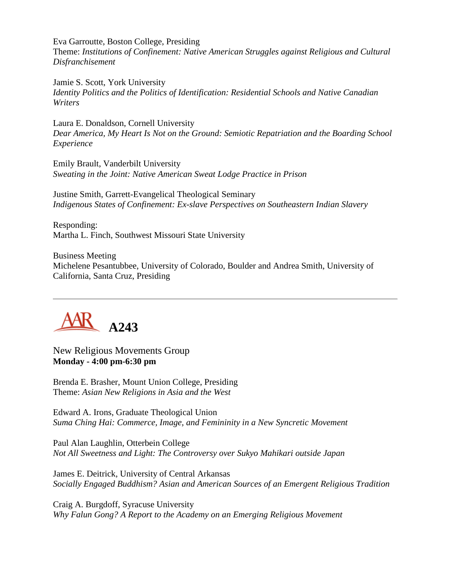Eva Garroutte, Boston College, Presiding Theme: *Institutions of Confinement: Native American Struggles against Religious and Cultural Disfranchisement*

Jamie S. Scott, York University *Identity Politics and the Politics of Identification: Residential Schools and Native Canadian Writers*

Laura E. Donaldson, Cornell University *Dear America, My Heart Is Not on the Ground: Semiotic Repatriation and the Boarding School Experience*

Emily Brault, Vanderbilt University *Sweating in the Joint: Native American Sweat Lodge Practice in Prison*

Justine Smith, Garrett-Evangelical Theological Seminary *Indigenous States of Confinement: Ex-slave Perspectives on Southeastern Indian Slavery*

Responding: Martha L. Finch, Southwest Missouri State University

Business Meeting Michelene Pesantubbee, University of Colorado, Boulder and Andrea Smith, University of California, Santa Cruz, Presiding



New Religious Movements Group **Monday - 4:00 pm-6:30 pm**

Brenda E. Brasher, Mount Union College, Presiding Theme: *Asian New Religions in Asia and the West*

Edward A. Irons, Graduate Theological Union *Suma Ching Hai: Commerce, Image, and Femininity in a New Syncretic Movement*

Paul Alan Laughlin, Otterbein College *Not All Sweetness and Light: The Controversy over Sukyo Mahikari outside Japan*

James E. Deitrick, University of Central Arkansas *Socially Engaged Buddhism? Asian and American Sources of an Emergent Religious Tradition*

Craig A. Burgdoff, Syracuse University *Why Falun Gong? A Report to the Academy on an Emerging Religious Movement*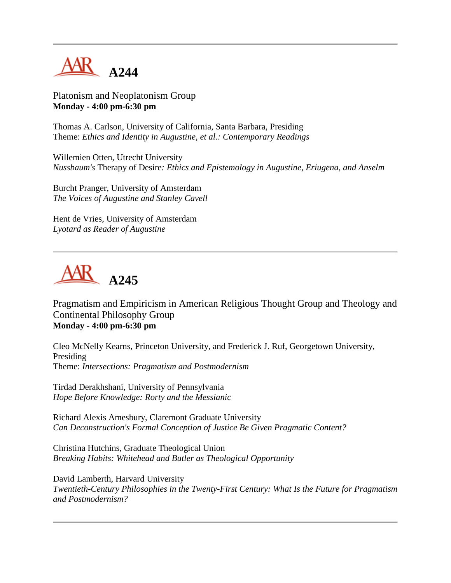

Platonism and Neoplatonism Group **Monday - 4:00 pm-6:30 pm**

Thomas A. Carlson, University of California, Santa Barbara, Presiding Theme: *Ethics and Identity in Augustine, et al.: Contemporary Readings*

Willemien Otten, Utrecht University *Nussbaum's* Therapy of Desire*: Ethics and Epistemology in Augustine, Eriugena, and Anselm*

Burcht Pranger, University of Amsterdam *The Voices of Augustine and Stanley Cavell*

Hent de Vries, University of Amsterdam *Lyotard as Reader of Augustine*



Pragmatism and Empiricism in American Religious Thought Group and Theology and Continental Philosophy Group **Monday - 4:00 pm-6:30 pm**

Cleo McNelly Kearns, Princeton University, and Frederick J. Ruf, Georgetown University, Presiding Theme: *Intersections: Pragmatism and Postmodernism*

Tirdad Derakhshani, University of Pennsylvania *Hope Before Knowledge: Rorty and the Messianic*

Richard Alexis Amesbury, Claremont Graduate University *Can Deconstruction's Formal Conception of Justice Be Given Pragmatic Content?*

Christina Hutchins, Graduate Theological Union *Breaking Habits: Whitehead and Butler as Theological Opportunity*

David Lamberth, Harvard University *Twentieth-Century Philosophies in the Twenty-First Century: What Is the Future for Pragmatism and Postmodernism?*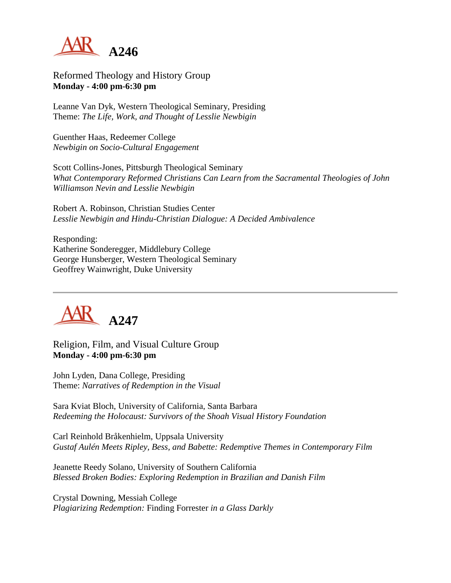

Reformed Theology and History Group **Monday - 4:00 pm-6:30 pm**

Leanne Van Dyk, Western Theological Seminary, Presiding Theme: *The Life, Work, and Thought of Lesslie Newbigin*

Guenther Haas, Redeemer College *Newbigin on Socio-Cultural Engagement*

Scott Collins-Jones, Pittsburgh Theological Seminary *What Contemporary Reformed Christians Can Learn from the Sacramental Theologies of John Williamson Nevin and Lesslie Newbigin*

Robert A. Robinson, Christian Studies Center *Lesslie Newbigin and Hindu-Christian Dialogue: A Decided Ambivalence*

Responding: Katherine Sonderegger, Middlebury College George Hunsberger, Western Theological Seminary Geoffrey Wainwright, Duke University



Religion, Film, and Visual Culture Group **Monday - 4:00 pm-6:30 pm**

John Lyden, Dana College, Presiding Theme: *Narratives of Redemption in the Visual*

Sara Kviat Bloch, University of California, Santa Barbara *Redeeming the Holocaust: Survivors of the Shoah Visual History Foundation*

Carl Reinhold Bråkenhielm, Uppsala University *Gustaf Aulén Meets Ripley, Bess, and Babette: Redemptive Themes in Contemporary Film*

Jeanette Reedy Solano, University of Southern California *Blessed Broken Bodies: Exploring Redemption in Brazilian and Danish Film*

Crystal Downing, Messiah College *Plagiarizing Redemption:* Finding Forrester *in a Glass Darkly*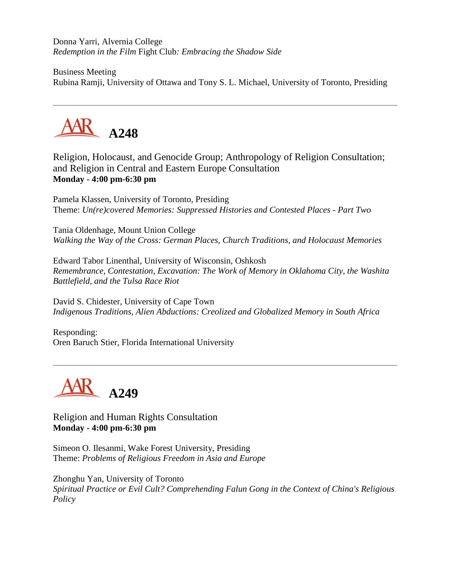Donna Yarri, Alvernia College *Redemption in the Film* Fight Club*: Embracing the Shadow Side*

Business Meeting Rubina Ramji, University of Ottawa and Tony S. L. Michael, University of Toronto, Presiding



Religion, Holocaust, and Genocide Group; Anthropology of Religion Consultation; and Religion in Central and Eastern Europe Consultation **Monday - 4:00 pm-6:30 pm**

Pamela Klassen, University of Toronto, Presiding Theme: *Un(re)covered Memories: Suppressed Histories and Contested Places - Part Two*

Tania Oldenhage, Mount Union College *Walking the Way of the Cross: German Places, Church Traditions, and Holocaust Memories*

Edward Tabor Linenthal, University of Wisconsin, Oshkosh *Remembrance, Contestation, Excavation: The Work of Memory in Oklahoma City, the Washita Battlefield, and the Tulsa Race Riot*

David S. Chidester, University of Cape Town *Indigenous Traditions, Alien Abductions: Creolized and Globalized Memory in South Africa*

Responding: Oren Baruch Stier, Florida International University



Religion and Human Rights Consultation **Monday - 4:00 pm-6:30 pm**

Simeon O. Ilesanmi, Wake Forest University, Presiding Theme: *Problems of Religious Freedom in Asia and Europe*

Zhonghu Yan, University of Toronto *Spiritual Practice or Evil Cult? Comprehending Falun Gong in the Context of China's Religious Policy*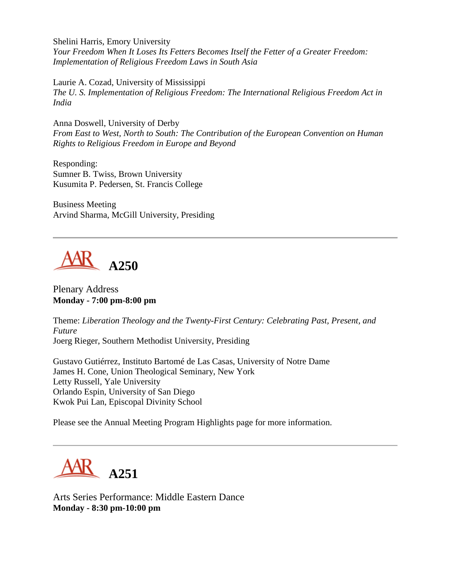Shelini Harris, Emory University *Your Freedom When It Loses Its Fetters Becomes Itself the Fetter of a Greater Freedom: Implementation of Religious Freedom Laws in South Asia*

Laurie A. Cozad, University of Mississippi *The U. S. Implementation of Religious Freedom: The International Religious Freedom Act in India*

Anna Doswell, University of Derby *From East to West, North to South: The Contribution of the European Convention on Human Rights to Religious Freedom in Europe and Beyond*

Responding: Sumner B. Twiss, Brown University Kusumita P. Pedersen, St. Francis College

Business Meeting Arvind Sharma, McGill University, Presiding



Plenary Address **Monday - 7:00 pm-8:00 pm**

Theme: *Liberation Theology and the Twenty-First Century: Celebrating Past, Present, and Future* Joerg Rieger, Southern Methodist University, Presiding

Gustavo Gutiérrez, Instituto Bartomé de Las Casas, University of Notre Dame James H. Cone, Union Theological Seminary, New York Letty Russell, Yale University Orlando Espin, University of San Diego Kwok Pui Lan, Episcopal Divinity School

Please see the Annual Meeting Program Highlights page for more information.



Arts Series Performance: Middle Eastern Dance **Monday - 8:30 pm-10:00 pm**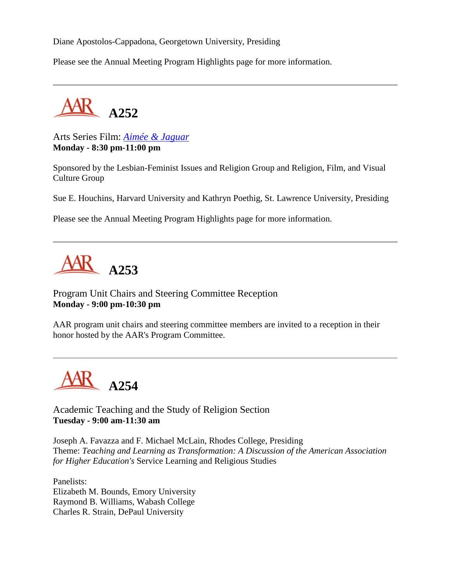Diane Apostolos-Cappadona, Georgetown University, Presiding

Please see the Annual Meeting Program Highlights page for more information.



Arts Series Film: *[Aimée & Jaguar](http://www.senatorfilm.de/Aimee/index.html)* **Monday - 8:30 pm-11:00 pm**

Sponsored by the Lesbian-Feminist Issues and Religion Group and Religion, Film, and Visual Culture Group

Sue E. Houchins, Harvard University and Kathryn Poethig, St. Lawrence University, Presiding

Please see the Annual Meeting Program Highlights page for more information.



Program Unit Chairs and Steering Committee Reception **Monday - 9:00 pm-10:30 pm**

AAR program unit chairs and steering committee members are invited to a reception in their honor hosted by the AAR's Program Committee.

**A254**

Academic Teaching and the Study of Religion Section **Tuesday - 9:00 am-11:30 am**

Joseph A. Favazza and F. Michael McLain, Rhodes College, Presiding Theme: *Teaching and Learning as Transformation: A Discussion of the American Association for Higher Education's* Service Learning and Religious Studies

Panelists: Elizabeth M. Bounds, Emory University Raymond B. Williams, Wabash College Charles R. Strain, DePaul University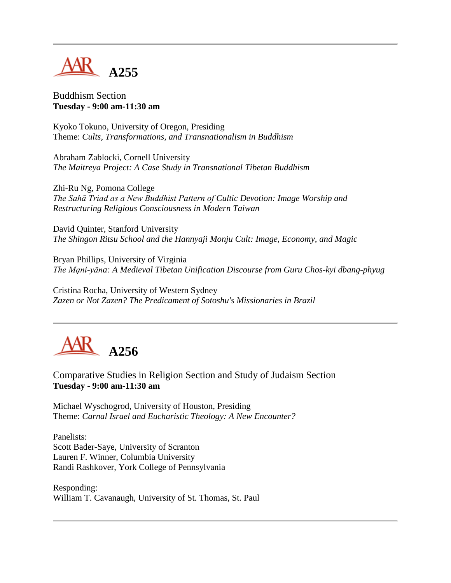

Buddhism Section **Tuesday - 9:00 am-11:30 am**

Kyoko Tokuno, University of Oregon, Presiding Theme: *Cults, Transformations, and Transnationalism in Buddhism*

Abraham Zablocki, Cornell University *The Maitreya Project: A Case Study in Transnational Tibetan Buddhism*

Zhi-Ru Ng, Pomona College *The Sahā Triad as a New Buddhist Pattern of Cultic Devotion: Image Worship and Restructuring Religious Consciousness in Modern Taiwan*

David Quinter, Stanford University *The Shingon Ritsu School and the Hannyaji Monju Cult: Image, Economy, and Magic*

Bryan Phillips, University of Virginia *The Mạni-yāna: A Medieval Tibetan Unification Discourse from Guru Chos-kyi dbang-phyug*

Cristina Rocha, University of Western Sydney *Zazen or Not Zazen? The Predicament of Sotoshu's Missionaries in Brazil*



Comparative Studies in Religion Section and Study of Judaism Section **Tuesday - 9:00 am-11:30 am**

Michael Wyschogrod, University of Houston, Presiding Theme: *Carnal Israel and Eucharistic Theology: A New Encounter?*

Panelists: Scott Bader-Saye, University of Scranton Lauren F. Winner, Columbia University Randi Rashkover, York College of Pennsylvania

Responding: William T. Cavanaugh, University of St. Thomas, St. Paul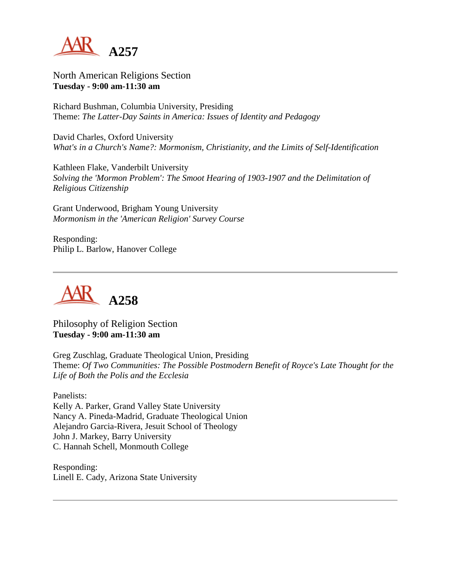

North American Religions Section **Tuesday - 9:00 am-11:30 am**

Richard Bushman, Columbia University, Presiding Theme: *The Latter-Day Saints in America: Issues of Identity and Pedagogy*

David Charles, Oxford University *What's in a Church's Name?: Mormonism, Christianity, and the Limits of Self-Identification*

Kathleen Flake, Vanderbilt University *Solving the 'Mormon Problem': The Smoot Hearing of 1903-1907 and the Delimitation of Religious Citizenship*

Grant Underwood, Brigham Young University *Mormonism in the 'American Religion' Survey Course*

Responding: Philip L. Barlow, Hanover College



Philosophy of Religion Section **Tuesday - 9:00 am-11:30 am**

Greg Zuschlag, Graduate Theological Union, Presiding Theme: *Of Two Communities: The Possible Postmodern Benefit of Royce's Late Thought for the Life of Both the Polis and the Ecclesia*

Panelists: Kelly A. Parker, Grand Valley State University Nancy A. Pineda-Madrid, Graduate Theological Union Alejandro Garcia-Rivera, Jesuit School of Theology John J. Markey, Barry University C. Hannah Schell, Monmouth College

Responding: Linell E. Cady, Arizona State University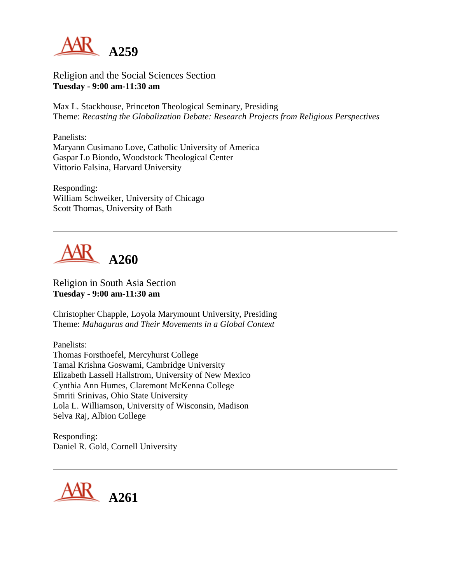

Religion and the Social Sciences Section **Tuesday - 9:00 am-11:30 am**

Max L. Stackhouse, Princeton Theological Seminary, Presiding Theme: *Recasting the Globalization Debate: Research Projects from Religious Perspectives*

Panelists: Maryann Cusimano Love, Catholic University of America Gaspar Lo Biondo, Woodstock Theological Center Vittorio Falsina, Harvard University

Responding: William Schweiker, University of Chicago Scott Thomas, University of Bath



Religion in South Asia Section **Tuesday - 9:00 am-11:30 am**

Christopher Chapple, Loyola Marymount University, Presiding Theme: *Mahagurus and Their Movements in a Global Context*

Panelists: Thomas Forsthoefel, Mercyhurst College Tamal Krishna Goswami, Cambridge University Elizabeth Lassell Hallstrom, University of New Mexico Cynthia Ann Humes, Claremont McKenna College Smriti Srinivas, Ohio State University Lola L. Williamson, University of Wisconsin, Madison Selva Raj, Albion College

Responding: Daniel R. Gold, Cornell University

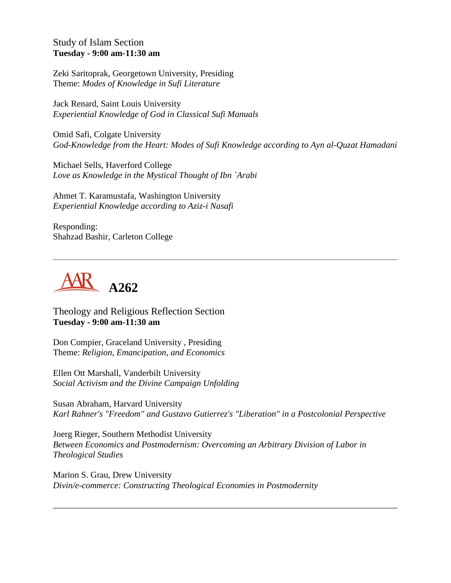## Study of Islam Section **Tuesday - 9:00 am-11:30 am**

Zeki Saritoprak, Georgetown University, Presiding Theme: *Modes of Knowledge in Sufi Literature*

Jack Renard, Saint Louis University *Experiential Knowledge of God in Classical Sufi Manuals*

Omid Safi, Colgate University *God-Knowledge from the Heart: Modes of Sufi Knowledge according to Ayn al-Quzat Hamadani*

Michael Sells, Haverford College *Love as Knowledge in the Mystical Thought of Ibn `Arabi*

Ahmet T. Karamustafa, Washington University *Experiential Knowledge according to Aziz-i Nasafi*

Responding: Shahzad Bashir, Carleton College



Theology and Religious Reflection Section **Tuesday - 9:00 am-11:30 am**

Don Compier, Graceland University , Presiding Theme: *Religion, Emancipation, and Economics*

Ellen Ott Marshall, Vanderbilt University *Social Activism and the Divine Campaign Unfolding*

Susan Abraham, Harvard University *Karl Rahner's "Freedom" and Gustavo Gutierrez's "Liberation" in a Postcolonial Perspective*

Joerg Rieger, Southern Methodist University *Between Economics and Postmodernism: Overcoming an Arbitrary Division of Labor in Theological Studies*

Marion S. Grau, Drew University *Divin/e-commerce: Constructing Theological Economies in Postmodernity*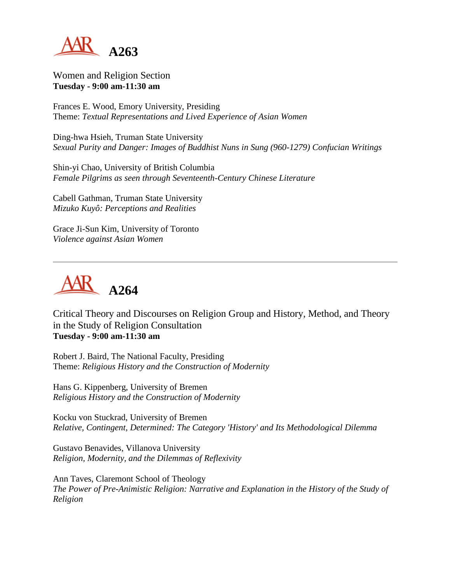

Women and Religion Section **Tuesday - 9:00 am-11:30 am**

Frances E. Wood, Emory University, Presiding Theme: *Textual Representations and Lived Experience of Asian Women*

Ding-hwa Hsieh, Truman State University *Sexual Purity and Danger: Images of Buddhist Nuns in Sung (960-1279) Confucian Writings*

Shin-yi Chao, University of British Columbia *Female Pilgrims as seen through Seventeenth-Century Chinese Literature*

Cabell Gathman, Truman State University *Mizuko Kuyô: Perceptions and Realities*

Grace Ji-Sun Kim, University of Toronto *Violence against Asian Women*



Critical Theory and Discourses on Religion Group and History, Method, and Theory in the Study of Religion Consultation **Tuesday - 9:00 am-11:30 am**

Robert J. Baird, The National Faculty, Presiding Theme: *Religious History and the Construction of Modernity*

Hans G. Kippenberg, University of Bremen *Religious History and the Construction of Modernity*

Kocku von Stuckrad, University of Bremen *Relative, Contingent, Determined: The Category 'History' and Its Methodological Dilemma*

Gustavo Benavides, Villanova University *Religion, Modernity, and the Dilemmas of Reflexivity*

Ann Taves, Claremont School of Theology *The Power of Pre-Animistic Religion: Narrative and Explanation in the History of the Study of Religion*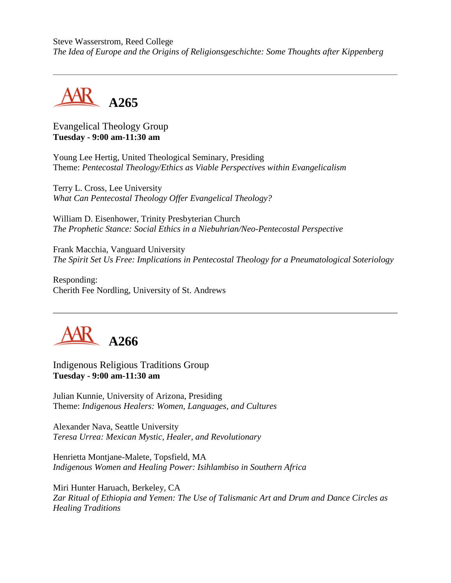Steve Wasserstrom, Reed College *The Idea of Europe and the Origins of Religionsgeschichte: Some Thoughts after Kippenberg*



## Evangelical Theology Group **Tuesday - 9:00 am-11:30 am**

Young Lee Hertig, United Theological Seminary, Presiding Theme: *Pentecostal Theology/Ethics as Viable Perspectives within Evangelicalism*

Terry L. Cross, Lee University *What Can Pentecostal Theology Offer Evangelical Theology?*

William D. Eisenhower, Trinity Presbyterian Church *The Prophetic Stance: Social Ethics in a Niebuhrian/Neo-Pentecostal Perspective*

Frank Macchia, Vanguard University *The Spirit Set Us Free: Implications in Pentecostal Theology for a Pneumatological Soteriology*

Responding: Cherith Fee Nordling, University of St. Andrews



Indigenous Religious Traditions Group **Tuesday - 9:00 am-11:30 am**

Julian Kunnie, University of Arizona, Presiding Theme: *Indigenous Healers: Women, Languages, and Cultures*

Alexander Nava, Seattle University *Teresa Urrea: Mexican Mystic, Healer, and Revolutionary*

Henrietta Montjane-Malete, Topsfield, MA *Indigenous Women and Healing Power: Isihlambiso in Southern Africa*

Miri Hunter Haruach, Berkeley, CA *Zar Ritual of Ethiopia and Yemen: The Use of Talismanic Art and Drum and Dance Circles as Healing Traditions*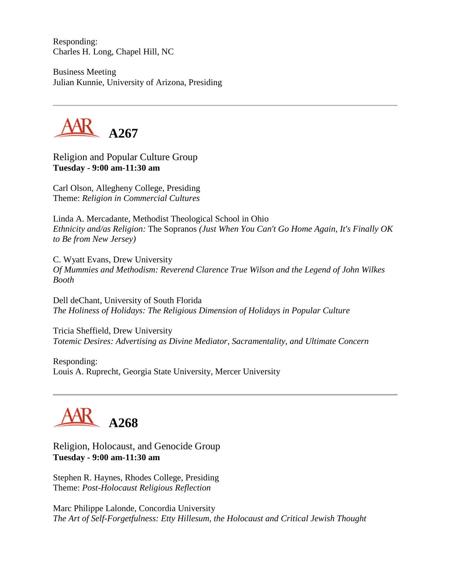Responding: Charles H. Long, Chapel Hill, NC

Business Meeting Julian Kunnie, University of Arizona, Presiding



Religion and Popular Culture Group **Tuesday - 9:00 am-11:30 am**

Carl Olson, Allegheny College, Presiding Theme: *Religion in Commercial Cultures*

Linda A. Mercadante, Methodist Theological School in Ohio *Ethnicity and/as Religion:* The Sopranos *(Just When You Can't Go Home Again, It's Finally OK to Be from New Jersey)*

C. Wyatt Evans, Drew University *Of Mummies and Methodism: Reverend Clarence True Wilson and the Legend of John Wilkes Booth*

Dell deChant, University of South Florida *The Holiness of Holidays: The Religious Dimension of Holidays in Popular Culture*

Tricia Sheffield, Drew University *Totemic Desires: Advertising as Divine Mediator, Sacramentality, and Ultimate Concern*

Responding: Louis A. Ruprecht, Georgia State University, Mercer University

## **A268**

Religion, Holocaust, and Genocide Group **Tuesday - 9:00 am-11:30 am**

Stephen R. Haynes, Rhodes College, Presiding Theme: *Post-Holocaust Religious Reflection*

Marc Philippe Lalonde, Concordia University *The Art of Self-Forgetfulness: Etty Hillesum, the Holocaust and Critical Jewish Thought*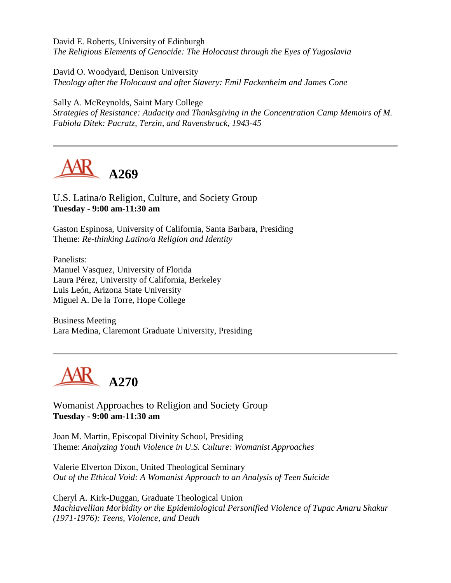David E. Roberts, University of Edinburgh *The Religious Elements of Genocide: The Holocaust through the Eyes of Yugoslavia*

David O. Woodyard, Denison University *Theology after the Holocaust and after Slavery: Emil Fackenheim and James Cone*

Sally A. McReynolds, Saint Mary College *Strategies of Resistance: Audacity and Thanksgiving in the Concentration Camp Memoirs of M. Fabiola Ditek: Pacratz, Terzin, and Ravensbruck, 1943-45*



U.S. Latina/o Religion, Culture, and Society Group **Tuesday - 9:00 am-11:30 am**

Gaston Espinosa, University of California, Santa Barbara, Presiding Theme: *Re-thinking Latino/a Religion and Identity*

Panelists: Manuel Vasquez, University of Florida Laura Pérez, University of California, Berkeley Luis León, Arizona State University Miguel A. De la Torre, Hope College

Business Meeting Lara Medina, Claremont Graduate University, Presiding



Womanist Approaches to Religion and Society Group **Tuesday - 9:00 am-11:30 am**

Joan M. Martin, Episcopal Divinity School, Presiding Theme: *Analyzing Youth Violence in U.S. Culture: Womanist Approaches*

Valerie Elverton Dixon, United Theological Seminary *Out of the Ethical Void: A Womanist Approach to an Analysis of Teen Suicide*

Cheryl A. Kirk-Duggan, Graduate Theological Union *Machiavellian Morbidity or the Epidemiological Personified Violence of Tupac Amaru Shakur (1971-1976): Teens, Violence, and Death*